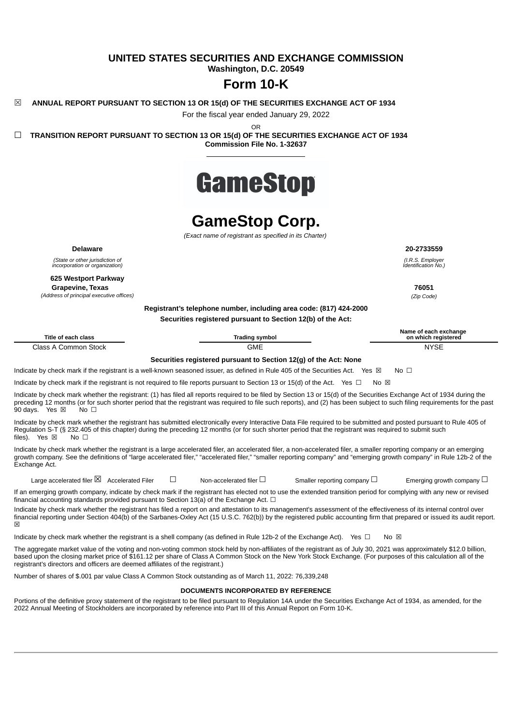**UNITED STATES SECURITIES AND EXCHANGE COMMISSION**

**Washington, D.C. 20549**

# **Form 10-K**

☒ **ANNUAL REPORT PURSUANT TO SECTION 13 OR 15(d) OF THE SECURITIES EXCHANGE ACT OF 1934**

For the fiscal year ended January 29, 2022

OR

☐ **TRANSITION REPORT PURSUANT TO SECTION 13 OR 15(d) OF THE SECURITIES EXCHANGE ACT OF 1934 Commission File No. 1-32637**

# **GameStop**

# **GameStop Corp.**

*(Exact name of registrant as specified in its Charter)*

*(State or other jurisdiction of incorporation or organization)*

**625 Westport Parkway**

**Grapevine, Texas 76051** *(Address of principal executive offices) (Zip Code)*

**Delaware 20-2733559**

*(I.R.S. Employer Identification No.)*

**Registrant's telephone number, including area code: (817) 424-2000 Securities registered pursuant to Section 12(b) of the Act:**

| Title of each class  | Trading symbol                                                     | Name of each exchange<br>on which reaistered |
|----------------------|--------------------------------------------------------------------|----------------------------------------------|
| Class A Common Stock | GME                                                                | <b>NYSE</b>                                  |
|                      | According accelerate increased to Accelera AA/aV of the Act Alexan |                                              |

#### **Securities registered pursuant to Section 12(g) of the Act: None**

Indicate by check mark if the registrant is a well-known seasoned issuer, as defined in Rule 405 of the Securities Act. Yes ⊠ No □

Indicate by check mark if the registrant is not required to file reports pursuant to Section 13 or 15(d) of the Act. Yes  $\Box$  No  $\boxtimes$ 

Indicate by check mark whether the registrant: (1) has filed all reports required to be filed by Section 13 or 15(d) of the Securities Exchange Act of 1934 during the preceding 12 months (or for such shorter period that the registrant was required to file such reports), and (2) has been subject to such filing requirements for the past 90 days. Yes  $\boxtimes$  No  $\Box$ 

Indicate by check mark whether the registrant has submitted electronically every Interactive Data File required to be submitted and posted pursuant to Rule 405 of Regulation S-T (§ 232.405 of this chapter) during the preceding 12 months (or for such shorter period that the registrant was required to submit such files). Yes  $\boxtimes$  No  $\square$ 

Indicate by check mark whether the registrant is a large accelerated filer, an accelerated filer, a non-accelerated filer, a smaller reporting company or an emerging growth company. See the definitions of "large accelerated filer," "accelerated filer," "smaller reporting company" and "emerging growth company" in Rule 12b-2 of the Exchange Act.

Large accelerated filer ⊠ Accelerated Filer □ Non-accelerated filer □ Smaller reporting company □ Emerging growth company □

If an emerging growth company, indicate by check mark if the registrant has elected not to use the extended transition period for complying with any new or revised financial accounting standards provided pursuant to Section 13(a) of the Exchange Act.  $\Box$ 

Indicate by check mark whether the registrant has filed a report on and attestation to its management's assessment of the effectiveness of its internal control over financial reporting under Section 404(b) of the Sarbanes-Oxley Act (15 U.S.C. 762(b)) by the registered public accounting firm that prepared or issued its audit report. ☒

Indicate by check mark whether the registrant is a shell company (as defined in Rule 12b-2 of the Exchange Act). Yes  $\Box$  No  $\boxtimes$ 

The aggregate market value of the voting and non-voting common stock held by non-affiliates of the registrant as of July 30, 2021 was approximately \$12.0 billion, based upon the closing market price of \$161.12 per share of Class A Common Stock on the New York Stock Exchange. (For purposes of this calculation all of the registrant's directors and officers are deemed affiliates of the registrant.)

Number of shares of \$.001 par value Class A Common Stock outstanding as of March 11, 2022: 76,339,248

#### **DOCUMENTS INCORPORATED BY REFERENCE**

Portions of the definitive proxy statement of the registrant to be filed pursuant to Regulation 14A under the Securities Exchange Act of 1934, as amended, for the 2022 Annual Meeting of Stockholders are incorporated by reference into Part III of this Annual Report on Form 10-K.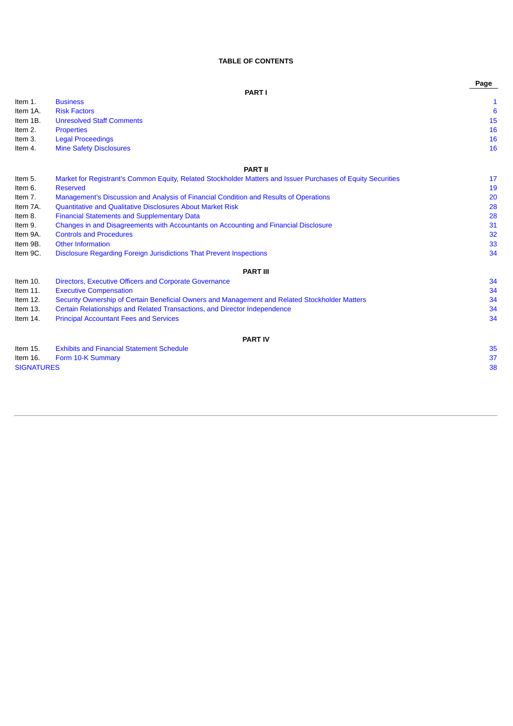**TABLE OF CONTENTS**

|                   |                                                                                                              | Page            |
|-------------------|--------------------------------------------------------------------------------------------------------------|-----------------|
|                   | <b>PART I</b>                                                                                                |                 |
| Item 1.           | <b>Business</b>                                                                                              | $\mathbf 1$     |
| Item 1A.          | <b>Risk Factors</b>                                                                                          | $6\phantom{1}6$ |
| Item 1B.          | <b>Unresolved Staff Comments</b>                                                                             | 15              |
| Item 2.           | <b>Properties</b>                                                                                            | 16              |
| Item 3.           | <b>Legal Proceedings</b>                                                                                     | 16              |
| Item 4.           | <b>Mine Safety Disclosures</b>                                                                               | 16              |
|                   | <b>PART II</b>                                                                                               |                 |
| Item 5.           | Market for Registrant's Common Equity, Related Stockholder Matters and Issuer Purchases of Equity Securities | 17              |
| Item 6.           | <b>Reserved</b>                                                                                              | 19              |
| Item 7.           | Management's Discussion and Analysis of Financial Condition and Results of Operations                        | 20              |
| Item 7A.          | <b>Quantitative and Qualitative Disclosures About Market Risk</b>                                            | 28              |
| Item 8.           | <b>Financial Statements and Supplementary Data</b>                                                           | 28              |
| Item 9.           | Changes in and Disagreements with Accountants on Accounting and Financial Disclosure                         | 31              |
| Item 9A.          | <b>Controls and Procedures</b>                                                                               | 32              |
| Item 9B.          | <b>Other Information</b>                                                                                     | 33              |
| Item 9C.          | Disclosure Regarding Foreign Jurisdictions That Prevent Inspections                                          | 34              |
|                   | <b>PART III</b>                                                                                              |                 |
| Item $10$ .       | Directors, Executive Officers and Corporate Governance                                                       | 34              |
| Item $11$ .       | <b>Executive Compensation</b>                                                                                | 34              |
| Item $12$ .       | Security Ownership of Certain Beneficial Owners and Management and Related Stockholder Matters               | 34              |
| Item $13.$        | Certain Relationships and Related Transactions, and Director Independence                                    | 34              |
| Item $14$ .       | <b>Principal Accountant Fees and Services</b>                                                                | 34              |
|                   | <b>PART IV</b>                                                                                               |                 |
| Item $15.$        | <b>Exhibits and Financial Statement Schedule</b>                                                             | 35              |
| Item $16$ .       | Form 10-K Summary                                                                                            | 37              |
| <b>SIGNATURES</b> |                                                                                                              | 38              |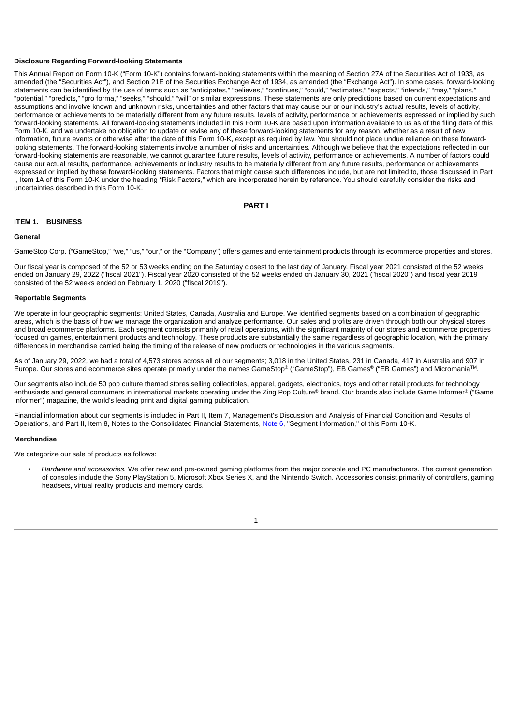#### **Disclosure Regarding Forward-looking Statements**

This Annual Report on Form 10-K ("Form 10-K") contains forward-looking statements within the meaning of Section 27A of the Securities Act of 1933, as amended (the "Securities Act"), and Section 21E of the Securities Exchange Act of 1934, as amended (the "Exchange Act"). In some cases, forward-looking statements can be identified by the use of terms such as "anticipates," "believes," "continues," "could," "estimates," "expects," "intends," "may," "plans," "potential," "predicts," "pro forma," "seeks," "should," "will" or similar expressions. These statements are only predictions based on current expectations and assumptions and involve known and unknown risks, uncertainties and other factors that may cause our or our industry's actual results, levels of activity, performance or achievements to be materially different from any future results, levels of activity, performance or achievements expressed or implied by such forward-looking statements. All forward-looking statements included in this Form 10-K are based upon information available to us as of the filing date of this Form 10-K, and we undertake no obligation to update or revise any of these forward-looking statements for any reason, whether as a result of new information, future events or otherwise after the date of this Form 10-K, except as required by law. You should not place undue reliance on these forwardlooking statements. The forward-looking statements involve a number of risks and uncertainties. Although we believe that the expectations reflected in our forward-looking statements are reasonable, we cannot guarantee future results, levels of activity, performance or achievements. A number of factors could cause our actual results, performance, achievements or industry results to be materially different from any future results, performance or achievements expressed or implied by these forward-looking statements. Factors that might cause such differences include, but are not limited to, those discussed in Part I, Item 1A of this Form 10-K under the heading "Risk Factors," which are incorporated herein by reference. You should carefully consider the risks and uncertainties described in this Form 10-K.

# **PART I**

#### <span id="page-2-0"></span>**ITEM 1. BUSINESS**

#### **General**

GameStop Corp. ("GameStop," "we," "us," "our," or the "Company") offers games and entertainment products through its ecommerce properties and stores.

Our fiscal year is composed of the 52 or 53 weeks ending on the Saturday closest to the last day of January. Fiscal year 2021 consisted of the 52 weeks ended on January 29, 2022 ("fiscal 2021"). Fiscal year 2020 consisted of the 52 weeks ended on January 30, 2021 ("fiscal 2020") and fiscal year 2019 consisted of the 52 weeks ended on February 1, 2020 ("fiscal 2019").

#### **Reportable Segments**

We operate in four geographic segments: United States, Canada, Australia and Europe. We identified segments based on a combination of geographic areas, which is the basis of how we manage the organization and analyze performance. Our sales and profits are driven through both our physical stores and broad ecommerce platforms. Each segment consists primarily of retail operations, with the significant majority of our stores and ecommerce properties focused on games, entertainment products and technology. These products are substantially the same regardless of geographic location, with the primary differences in merchandise carried being the timing of the release of new products or technologies in the various segments.

As of January 29, 2022, we had a total of 4,573 stores across all of our segments; 3,018 in the United States, 231 in Canada, 417 in Australia and 907 in Europe. Our stores and ecommerce sites operate primarily under the names GameStop® ("GameStop"), EB Games® ("EB Games") and Micromania™.

Our segments also include 50 pop culture themed stores selling collectibles, apparel, gadgets, electronics, toys and other retail products for technology enthusiasts and general consumers in international markets operating under the Zing Pop Culture® brand. Our brands also include Game Informer® ("Game Informer") magazine, the world's leading print and digital gaming publication.

Financial information about our segments is included in Part II, Item 7, Management's Discussion and Analysis of Financial Condition and Results of Operations, and Part II, Item 8, Notes to the Consolidated Financial Statements, [Note 6,](#page-45-0) "Segment Information," of this Form 10-K.

#### **Merchandise**

We categorize our sale of products as follows:

*• Hardware and accessories.* We offer new and pre-owned gaming platforms from the major console and PC manufacturers. The current generation of consoles include the Sony PlayStation 5, Microsoft Xbox Series X, and the Nintendo Switch. Accessories consist primarily of controllers, gaming headsets, virtual reality products and memory cards.

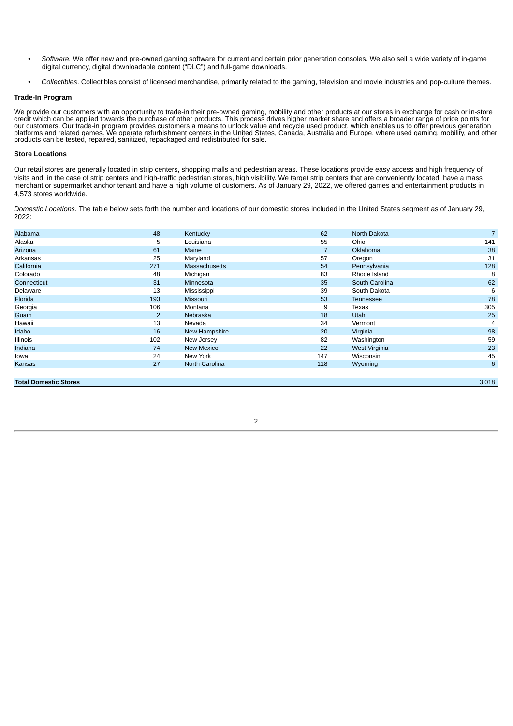- *• Software.* We offer new and pre-owned gaming software for current and certain prior generation consoles. We also sell a wide variety of in-game digital currency, digital downloadable content ("DLC") and full-game downloads.
- *• Collectibles*. Collectibles consist of licensed merchandise, primarily related to the gaming, television and movie industries and pop-culture themes.

#### **Trade-In Program**

We provide our customers with an opportunity to trade-in their pre-owned gaming, mobility and other products at our stores in exchange for cash or in-store credit which can be applied towards the purchase of other products. This process drives higher market share and offers a broader range of price points for our customers. Our trade-in program provides customers a means to unlock value and recycle used product, which enables us to offer previous generation platforms and related games. We operate refurbishment centers in the United States, Canada, Australia and Europe, where used gaming, mobility, and other products can be tested, repaired, sanitized, repackaged and redistributed for sale.

# **Store Locations**

Our retail stores are generally located in strip centers, shopping malls and pedestrian areas. These locations provide easy access and high frequency of visits and, in the case of strip centers and high-traffic pedestrian stores, high visibility. We target strip centers that are conveniently located, have a mass merchant or supermarket anchor tenant and have a high volume of customers. As of January 29, 2022, we offered games and entertainment products in 4,573 stores worldwide.

*Domestic Locations.* The table below sets forth the number and locations of our domestic stores included in the United States segment as of January 29, 2022:

| Alabama     | 48             | Kentucky          | 62             | North Dakota         | $\overline{7}$ |
|-------------|----------------|-------------------|----------------|----------------------|----------------|
| Alaska      | 5              | Louisiana         | 55             | Ohio                 | 141            |
| Arizona     | 61             | Maine             | $\overline{7}$ | <b>Oklahoma</b>      | 38             |
| Arkansas    | 25             | Maryland          | 57             | Oregon               | 31             |
| California  | 271            | Massachusetts     | 54             | Pennsylvania         | 128            |
| Colorado    | 48             | Michigan          | 83             | Rhode Island         | 8              |
| Connecticut | 31             | Minnesota         | 35             | South Carolina       | 62             |
| Delaware    | 13             | Mississippi       | 39             | South Dakota         | 6              |
| Florida     | 193            | Missouri          | 53             | Tennessee            | 78             |
| Georgia     | 106            | Montana           | 9              | Texas                | 305            |
| Guam        | $\overline{2}$ | Nebraska          | 18             | Utah                 | 25             |
| Hawaii      | 13             | Nevada            | 34             | Vermont              | 4              |
| Idaho       | 16             | New Hampshire     | 20             | Virginia             | 98             |
| Illinois    | 102            | New Jersey        | 82             | Washington           | 59             |
| Indiana     | 74             | <b>New Mexico</b> | 22             | <b>West Virginia</b> | 23             |
| Iowa        | 24             | New York          | 147            | Wisconsin            | 45             |
| Kansas      | 27             | North Carolina    | 118            | Wyoming              | 6              |
|             |                |                   |                |                      |                |
|             |                |                   |                |                      |                |

**Total Domestic Stores** 3,018

2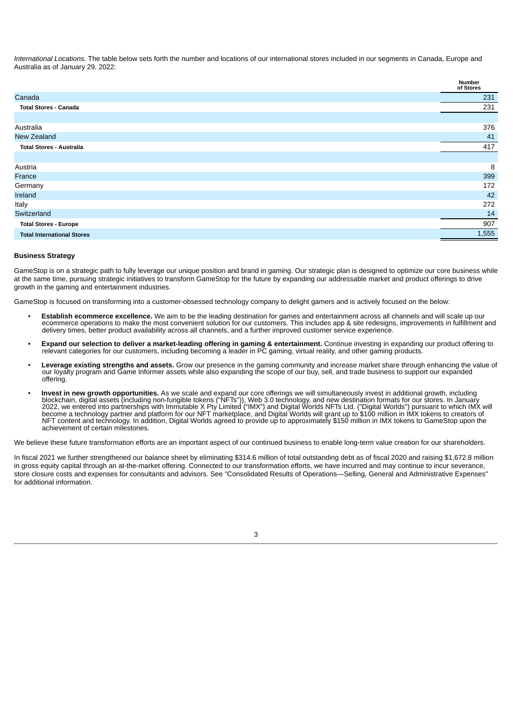*International Locations.* The table below sets forth the number and locations of our international stores included in our segments in Canada, Europe and Australia as of January 29, 2022:

**Number**

|                                   | <b>NUMBER</b><br>of Stores |
|-----------------------------------|----------------------------|
| Canada                            | 231                        |
| <b>Total Stores - Canada</b>      | 231                        |
|                                   |                            |
| Australia                         | 376                        |
| New Zealand                       | 41                         |
| <b>Total Stores - Australia</b>   | 417                        |
|                                   |                            |
| Austria                           | 8                          |
| France                            | 399                        |
| Germany                           | 172                        |
| Ireland                           | 42                         |
| Italy                             | 272                        |
| Switzerland                       | 14                         |
| <b>Total Stores - Europe</b>      | 907                        |
| <b>Total International Stores</b> | 1,555                      |

#### **Business Strategy**

GameStop is on a strategic path to fully leverage our unique position and brand in gaming. Our strategic plan is designed to optimize our core business while at the same time, pursuing strategic initiatives to transform GameStop for the future by expanding our addressable market and product offerings to drive growth in the gaming and entertainment industries.

GameStop is focused on transforming into a customer-obsessed technology company to delight gamers and is actively focused on the below:

- **Establish ecommerce excellence.** We aim to be the leading destination for games and entertainment across all channels and will scale up our ecommerce operations to make the most convenient solution for our customers. This includes app & site redesigns, improvements in fulfillment and delivery times, better product availability across all channels, and a further improved customer service experience.
- **Expand our selection to deliver a market-leading offering in gaming & entertainment.** Continue investing in expanding our product offering to relevant categories for our customers, including becoming a leader in PC gaming, virtual reality, and other gaming products.
- **Leverage existing strengths and assets.** Grow our presence in the gaming community and increase market share through enhancing the value of our loyalty program and Game Informer assets while also expanding the scope of our buy, sell, and trade business to support our expanded offering.
- **Invest in new growth opportunities.** As we scale and expand our core offerings we will simultaneously invest in additional growth, including blockchain, digital assets (including non-fungible tokens ("NFTs")), Web 3.0 technology, and new destination formats for our stores. In January 2022, we entered into partnerships with Immutable X Pty Limited ("IMX") and Digital Worlds NFTs Ltd. ("Digital Worlds") pursuant to which IMX will become a technology partner and platform for our NFT marketplace, and Digital Worlds will grant up to \$100 million in IMX tokens to creators of NFT content and technology. In addition, Digital Worlds agreed to provide up to approximately \$150 million in IMX tokens to GameStop upon the achievement of certain milestones.

We believe these future transformation efforts are an important aspect of our continued business to enable long-term value creation for our shareholders.

In fiscal 2021 we further strengthened our balance sheet by eliminating \$314.6 million of total outstanding debt as of fiscal 2020 and raising \$1,672.8 million in gross equity capital through an at-the-market offering. Connected to our transformation efforts, we have incurred and may continue to incur severance, store closure costs and expenses for consultants and advisors. See "Consolidated Results of Operations—Selling, General and Administrative Expenses" for additional information.

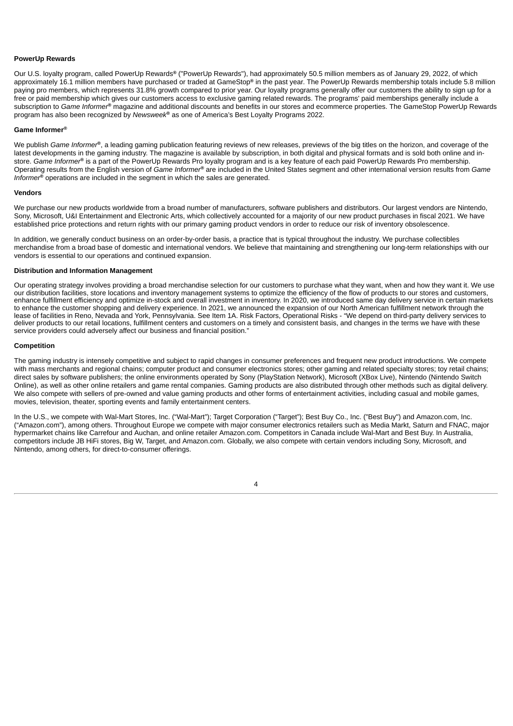# **PowerUp Rewards**

Our U.S. loyalty program, called PowerUp Rewards® ("PowerUp Rewards"), had approximately 50.5 million members as of January 29, 2022, of which approximately 16.1 million members have purchased or traded at GameStop® in the past year. The PowerUp Rewards membership totals include 5.8 million paying pro members, which represents 31.8% growth compared to prior year. Our loyalty programs generally offer our customers the ability to sign up for a free or paid membership which gives our customers access to exclusive gaming related rewards. The programs' paid memberships generally include a subscription to Game Informer® magazine and additional discounts and benefits in our stores and ecommerce properties. The GameStop PowerUp Rewards program has also been recognized by *Newsweek®* as one of America's Best Loyalty Programs 2022.

#### **Game Informer ®**

We publish Game Informer®, a leading gaming publication featuring reviews of new releases, previews of the big titles on the horizon, and coverage of the latest developments in the gaming industry. The magazine is available by subscription, in both digital and physical formats and is sold both online and instore. Game Informer® is a part of the PowerUp Rewards Pro loyalty program and is a key feature of each paid PowerUp Rewards Pro membership. Operating results from the English version of Game Informer® are included in the United States segment and other international version results from Game Informer<sup>®</sup> operations are included in the segment in which the sales are generated.

#### **Vendors**

We purchase our new products worldwide from a broad number of manufacturers, software publishers and distributors. Our largest vendors are Nintendo, Sony, Microsoft, U&I Entertainment and Electronic Arts, which collectively accounted for a majority of our new product purchases in fiscal 2021. We have established price protections and return rights with our primary gaming product vendors in order to reduce our risk of inventory obsolescence.

In addition, we generally conduct business on an order-by-order basis, a practice that is typical throughout the industry. We purchase collectibles merchandise from a broad base of domestic and international vendors. We believe that maintaining and strengthening our long-term relationships with our vendors is essential to our operations and continued expansion.

#### **Distribution and Information Management**

Our operating strategy involves providing a broad merchandise selection for our customers to purchase what they want, when and how they want it. We use our distribution facilities, store locations and inventory management systems to optimize the efficiency of the flow of products to our stores and customers, enhance fulfillment efficiency and optimize in-stock and overall investment in inventory. In 2020, we introduced same day delivery service in certain markets to enhance the customer shopping and delivery experience. In 2021, we announced the expansion of our North American fulfillment network through the lease of facilities in Reno, Nevada and York, Pennsylvania. See Item 1A. Risk Factors, Operational Risks - "We depend on third-party delivery services to deliver products to our retail locations, fulfillment centers and customers on a timely and consistent basis, and changes in the terms we have with these service providers could adversely affect our business and financial position."

#### **Competition**

The gaming industry is intensely competitive and subject to rapid changes in consumer preferences and frequent new product introductions. We compete with mass merchants and regional chains; computer product and consumer electronics stores; other gaming and related specialty stores; toy retail chains; direct sales by software publishers; the online environments operated by Sony (PlayStation Network), Microsoft (XBox Live), Nintendo (Nintendo Switch Online), as well as other online retailers and game rental companies. Gaming products are also distributed through other methods such as digital delivery. We also compete with sellers of pre-owned and value gaming products and other forms of entertainment activities, including casual and mobile games, movies, television, theater, sporting events and family entertainment centers.

In the U.S., we compete with Wal-Mart Stores, Inc. ("Wal-Mart"); Target Corporation ("Target"); Best Buy Co., Inc. ("Best Buy") and Amazon.com, Inc. ("Amazon.com"), among others. Throughout Europe we compete with major consumer electronics retailers such as Media Markt, Saturn and FNAC, major hypermarket chains like Carrefour and Auchan, and online retailer Amazon.com. Competitors in Canada include Wal-Mart and Best Buy. In Australia, competitors include JB HiFi stores, Big W, Target, and Amazon.com. Globally, we also compete with certain vendors including Sony, Microsoft, and Nintendo, among others, for direct-to-consumer offerings.

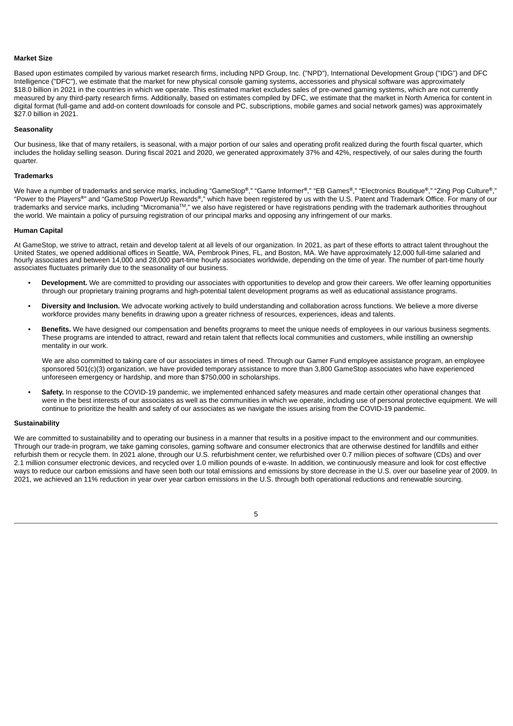#### **Market Size**

Based upon estimates compiled by various market research firms, including NPD Group, Inc. ("NPD"), International Development Group ("IDG") and DFC Intelligence ("DFC"), we estimate that the market for new physical console gaming systems, accessories and physical software was approximately \$18.0 billion in 2021 in the countries in which we operate. This estimated market excludes sales of pre-owned gaming systems, which are not currently measured by any third-party research firms. Additionally, based on estimates compiled by DFC, we estimate that the market in North America for content in digital format (full-game and add-on content downloads for console and PC, subscriptions, mobile games and social network games) was approximately \$27.0 billion in 2021.

#### **Seasonality**

Our business, like that of many retailers, is seasonal, with a major portion of our sales and operating profit realized during the fourth fiscal quarter, which includes the holiday selling season. During fiscal 2021 and 2020, we generated approximately 37% and 42%, respectively, of our sales during the fourth quarter.

#### **Trademarks**

We have a number of trademarks and service marks, including "GameStop®," "Game Informer®," "EB Games®," "Electronics Boutique®," "Zing Pop Culture®," "Power to the Players®" and "GameStop PowerUp Rewards®," which have been registered by us with the U.S. Patent and Trademark Office. For many of our trademarks and service marks, including "Micromania™," we also have registered or have registrations pending with the trademark authorities throughout the world. We maintain a policy of pursuing registration of our principal marks and opposing any infringement of our marks.

#### **Human Capital**

At GameStop, we strive to attract, retain and develop talent at all levels of our organization. In 2021, as part of these efforts to attract talent throughout the United States, we opened additional offices in Seattle, WA, Pembrook Pines, FL, and Boston, MA. We have approximately 12,000 full-time salaried and hourly associates and between 14,000 and 28,000 part-time hourly associates worldwide, depending on the time of year. The number of part-time hourly associates fluctuates primarily due to the seasonality of our business.

- *•* **Development.** We are committed to providing our associates with opportunities to develop and grow their careers. We offer learning opportunities through our proprietary training programs and high-potential talent development programs as well as educational assistance programs.
- *•* **Diversity and Inclusion.** We advocate working actively to build understanding and collaboration across functions. We believe a more diverse workforce provides many benefits in drawing upon a greater richness of resources, experiences, ideas and talents.
- *•* **Benefits.** We have designed our compensation and benefits programs to meet the unique needs of employees in our various business segments. These programs are intended to attract, reward and retain talent that reflects local communities and customers, while instilling an ownership mentality in our work.

We are also committed to taking care of our associates in times of need. Through our Gamer Fund employee assistance program, an employee sponsored 501(c)(3) organization, we have provided temporary assistance to more than 3,800 GameStop associates who have experienced unforeseen emergency or hardship, and more than \$750,000 in scholarships.

**Safety.** In response to the COVID-19 pandemic, we implemented enhanced safety measures and made certain other operational changes that were in the best interests of our associates as well as the communities in which we operate, including use of personal protective equipment. We will continue to prioritize the health and safety of our associates as we navigate the issues arising from the COVID-19 pandemic.

#### **Sustainability**

We are committed to sustainability and to operating our business in a manner that results in a positive impact to the environment and our communities. Through our trade-in program, we take gaming consoles, gaming software and consumer electronics that are otherwise destined for landfills and either refurbish them or recycle them. In 2021 alone, through our U.S. refurbishment center, we refurbished over 0.7 million pieces of software (CDs) and over 2.1 million consumer electronic devices, and recycled over 1.0 million pounds of e-waste. In addition, we continuously measure and look for cost effective ways to reduce our carbon emissions and have seen both our total emissions and emissions by store decrease in the U.S. over our baseline year of 2009. In 2021, we achieved an 11% reduction in year over year carbon emissions in the U.S. through both operational reductions and renewable sourcing.

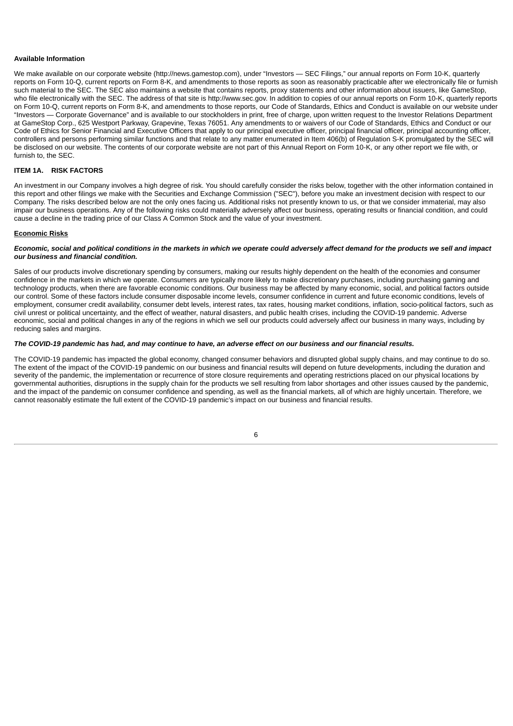#### **Available Information**

We make available on our corporate website (http://news.gamestop.com), under "Investors — SEC Filings," our annual reports on Form 10-K, quarterly reports on Form 10-Q, current reports on Form 8-K, and amendments to those reports as soon as reasonably practicable after we electronically file or furnish such material to the SEC. The SEC also maintains a website that contains reports, proxy statements and other information about issuers, like GameStop, who file electronically with the SEC. The address of that site is http://www.sec.gov. In addition to copies of our annual reports on Form 10-K, quarterly reports on Form 10-Q, current reports on Form 8-K, and amendments to those reports, our Code of Standards, Ethics and Conduct is available on our website under "Investors — Corporate Governance" and is available to our stockholders in print, free of charge, upon written request to the Investor Relations Department at GameStop Corp., 625 Westport Parkway, Grapevine, Texas 76051. Any amendments to or waivers of our Code of Standards, Ethics and Conduct or our Code of Ethics for Senior Financial and Executive Officers that apply to our principal executive officer, principal financial officer, principal accounting officer, controllers and persons performing similar functions and that relate to any matter enumerated in Item 406(b) of Regulation S-K promulgated by the SEC will be disclosed on our website. The contents of our corporate website are not part of this Annual Report on Form 10-K, or any other report we file with, or furnish to, the SEC.

#### <span id="page-7-0"></span>**ITEM 1A. RISK FACTORS**

An investment in our Company involves a high degree of risk. You should carefully consider the risks below, together with the other information contained in this report and other filings we make with the Securities and Exchange Commission ("SEC"), before you make an investment decision with respect to our Company. The risks described below are not the only ones facing us. Additional risks not presently known to us, or that we consider immaterial, may also impair our business operations. Any of the following risks could materially adversely affect our business, operating results or financial condition, and could cause a decline in the trading price of our Class A Common Stock and the value of your investment.

#### **Economic Risks**

#### *Economic, social and political conditions in the markets in which we operate could adversely affect demand for the products we sell and impact our business and financial condition.*

Sales of our products involve discretionary spending by consumers, making our results highly dependent on the health of the economies and consumer confidence in the markets in which we operate. Consumers are typically more likely to make discretionary purchases, including purchasing gaming and technology products, when there are favorable economic conditions. Our business may be affected by many economic, social, and political factors outside our control. Some of these factors include consumer disposable income levels, consumer confidence in current and future economic conditions, levels of employment, consumer credit availability, consumer debt levels, interest rates, tax rates, housing market conditions, inflation, socio-political factors, such as civil unrest or political uncertainty, and the effect of weather, natural disasters, and public health crises, including the COVID-19 pandemic. Adverse economic, social and political changes in any of the regions in which we sell our products could adversely affect our business in many ways, including by reducing sales and margins.

#### *The COVID-19 pandemic has had, and may continue to have, an adverse effect on our business and our financial results.*

The COVID-19 pandemic has impacted the global economy, changed consumer behaviors and disrupted global supply chains, and may continue to do so. The extent of the impact of the COVID-19 pandemic on our business and financial results will depend on future developments, including the duration and severity of the pandemic, the implementation or recurrence of store closure requirements and operating restrictions placed on our physical locations by governmental authorities, disruptions in the supply chain for the products we sell resulting from labor shortages and other issues caused by the pandemic, and the impact of the pandemic on consumer confidence and spending, as well as the financial markets, all of which are highly uncertain. Therefore, we cannot reasonably estimate the full extent of the COVID-19 pandemic's impact on our business and financial results.

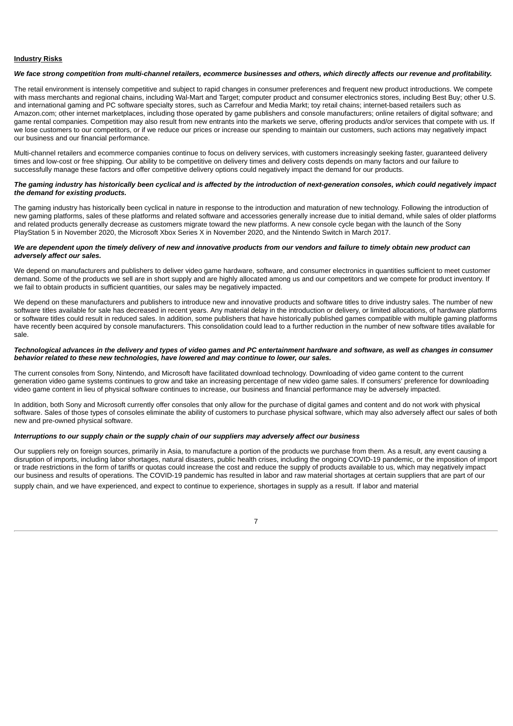#### **Industry Risks**

#### *We face strong competition from multi-channel retailers, ecommerce businesses and others, which directly affects our revenue and profitability.*

The retail environment is intensely competitive and subject to rapid changes in consumer preferences and frequent new product introductions. We compete with mass merchants and regional chains, including Wal-Mart and Target; computer product and consumer electronics stores, including Best Buy; other U.S. and international gaming and PC software specialty stores, such as Carrefour and Media Markt; toy retail chains; internet-based retailers such as Amazon.com; other internet marketplaces, including those operated by game publishers and console manufacturers; online retailers of digital software; and game rental companies. Competition may also result from new entrants into the markets we serve, offering products and/or services that compete with us. If we lose customers to our competitors, or if we reduce our prices or increase our spending to maintain our customers, such actions may negatively impact our business and our financial performance.

Multi-channel retailers and ecommerce companies continue to focus on delivery services, with customers increasingly seeking faster, guaranteed delivery times and low-cost or free shipping. Our ability to be competitive on delivery times and delivery costs depends on many factors and our failure to successfully manage these factors and offer competitive delivery options could negatively impact the demand for our products.

#### *The gaming industry has historically been cyclical and is affected by the introduction of next-generation consoles, which could negatively impact the demand for existing products.*

The gaming industry has historically been cyclical in nature in response to the introduction and maturation of new technology. Following the introduction of new gaming platforms, sales of these platforms and related software and accessories generally increase due to initial demand, while sales of older platforms and related products generally decrease as customers migrate toward the new platforms. A new console cycle began with the launch of the Sony PlayStation 5 in November 2020, the Microsoft Xbox Series X in November 2020, and the Nintendo Switch in March 2017.

#### *We are dependent upon the timely delivery of new and innovative products from our vendors and failure to timely obtain new product can adversely affect our sales.*

We depend on manufacturers and publishers to deliver video game hardware, software, and consumer electronics in quantities sufficient to meet customer demand. Some of the products we sell are in short supply and are highly allocated among us and our competitors and we compete for product inventory. If we fail to obtain products in sufficient quantities, our sales may be negatively impacted.

We depend on these manufacturers and publishers to introduce new and innovative products and software titles to drive industry sales. The number of new software titles available for sale has decreased in recent years. Any material delay in the introduction or delivery, or limited allocations, of hardware platforms or software titles could result in reduced sales. In addition, some publishers that have historically published games compatible with multiple gaming platforms have recently been acquired by console manufacturers. This consolidation could lead to a further reduction in the number of new software titles available for sale.

#### *Technological advances in the delivery and types of video games and PC entertainment hardware and software, as well as changes in consumer behavior related to these new technologies, have lowered and may continue to lower, our sales.*

The current consoles from Sony, Nintendo, and Microsoft have facilitated download technology. Downloading of video game content to the current generation video game systems continues to grow and take an increasing percentage of new video game sales. If consumers' preference for downloading video game content in lieu of physical software continues to increase, our business and financial performance may be adversely impacted.

In addition, both Sony and Microsoft currently offer consoles that only allow for the purchase of digital games and content and do not work with physical software. Sales of those types of consoles eliminate the ability of customers to purchase physical software, which may also adversely affect our sales of both new and pre-owned physical software.

# *Interruptions to our supply chain or the supply chain of our suppliers may adversely affect our business*

Our suppliers rely on foreign sources, primarily in Asia, to manufacture a portion of the products we purchase from them. As a result, any event causing a disruption of imports, including labor shortages, natural disasters, public health crises, including the ongoing COVID-19 pandemic, or the imposition of import or trade restrictions in the form of tariffs or quotas could increase the cost and reduce the supply of products available to us, which may negatively impact our business and results of operations. The COVID-19 pandemic has resulted in labor and raw material shortages at certain suppliers that are part of our supply chain, and we have experienced, and expect to continue to experience, shortages in supply as a result. If labor and material

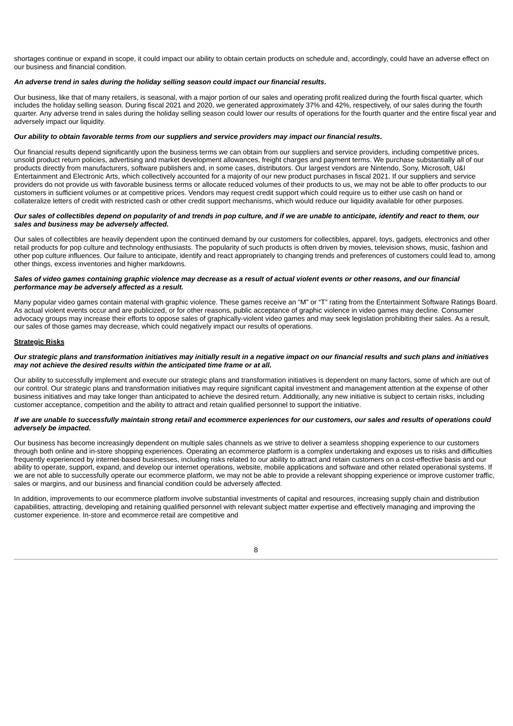shortages continue or expand in scope, it could impact our ability to obtain certain products on schedule and, accordingly, could have an adverse effect on our business and financial condition.

#### *An adverse trend in sales during the holiday selling season could impact our financial results.*

Our business, like that of many retailers, is seasonal, with a major portion of our sales and operating profit realized during the fourth fiscal quarter, which includes the holiday selling season. During fiscal 2021 and 2020, we generated approximately 37% and 42%, respectively, of our sales during the fourth quarter. Any adverse trend in sales during the holiday selling season could lower our results of operations for the fourth quarter and the entire fiscal year and adversely impact our liquidity.

## *Our ability to obtain favorable terms from our suppliers and service providers may impact our financial results.*

Our financial results depend significantly upon the business terms we can obtain from our suppliers and service providers, including competitive prices, unsold product return policies, advertising and market development allowances, freight charges and payment terms. We purchase substantially all of our products directly from manufacturers, software publishers and, in some cases, distributors. Our largest vendors are Nintendo, Sony, Microsoft, U&I Entertainment and Electronic Arts, which collectively accounted for a majority of our new product purchases in fiscal 2021. If our suppliers and service providers do not provide us with favorable business terms or allocate reduced volumes of their products to us, we may not be able to offer products to our customers in sufficient volumes or at competitive prices. Vendors may request credit support which could require us to either use cash on hand or collateralize letters of credit with restricted cash or other credit support mechanisms, which would reduce our liquidity available for other purposes.

#### *Our sales of collectibles depend on popularity of and trends in pop culture, and if we are unable to anticipate, identify and react to them, our sales and business may be adversely affected.*

Our sales of collectibles are heavily dependent upon the continued demand by our customers for collectibles, apparel, toys, gadgets, electronics and other retail products for pop culture and technology enthusiasts. The popularity of such products is often driven by movies, television shows, music, fashion and other pop culture influences. Our failure to anticipate, identify and react appropriately to changing trends and preferences of customers could lead to, among other things, excess inventories and higher markdowns.

#### *Sales of video games containing graphic violence may decrease as a result of actual violent events or other reasons, and our financial performance may be adversely affected as a result.*

Many popular video games contain material with graphic violence. These games receive an "M" or "T" rating from the Entertainment Software Ratings Board. As actual violent events occur and are publicized, or for other reasons, public acceptance of graphic violence in video games may decline. Consumer advocacy groups may increase their efforts to oppose sales of graphically-violent video games and may seek legislation prohibiting their sales. As a result, our sales of those games may decrease, which could negatively impact our results of operations.

#### **Strategic Risks**

#### *Our strategic plans and transformation initiatives may initially result in a negative impact on our financial results and such plans and initiatives may not achieve the desired results within the anticipated time frame or at all.*

Our ability to successfully implement and execute our strategic plans and transformation initiatives is dependent on many factors, some of which are out of our control. Our strategic plans and transformation initiatives may require significant capital investment and management attention at the expense of other business initiatives and may take longer than anticipated to achieve the desired return. Additionally, any new initiative is subject to certain risks, including customer acceptance, competition and the ability to attract and retain qualified personnel to support the initiative.

#### *If we are unable to successfully maintain strong retail and ecommerce experiences for our customers, our sales and results of operations could adversely be impacted.*

Our business has become increasingly dependent on multiple sales channels as we strive to deliver a seamless shopping experience to our customers through both online and in-store shopping experiences. Operating an ecommerce platform is a complex undertaking and exposes us to risks and difficulties frequently experienced by internet-based businesses, including risks related to our ability to attract and retain customers on a cost-effective basis and our ability to operate, support, expand, and develop our internet operations, website, mobile applications and software and other related operational systems. If we are not able to successfully operate our ecommerce platform, we may not be able to provide a relevant shopping experience or improve customer traffic, sales or margins, and our business and financial condition could be adversely affected.

In addition, improvements to our ecommerce platform involve substantial investments of capital and resources, increasing supply chain and distribution capabilities, attracting, developing and retaining qualified personnel with relevant subject matter expertise and effectively managing and improving the customer experience. In-store and ecommerce retail are competitive and

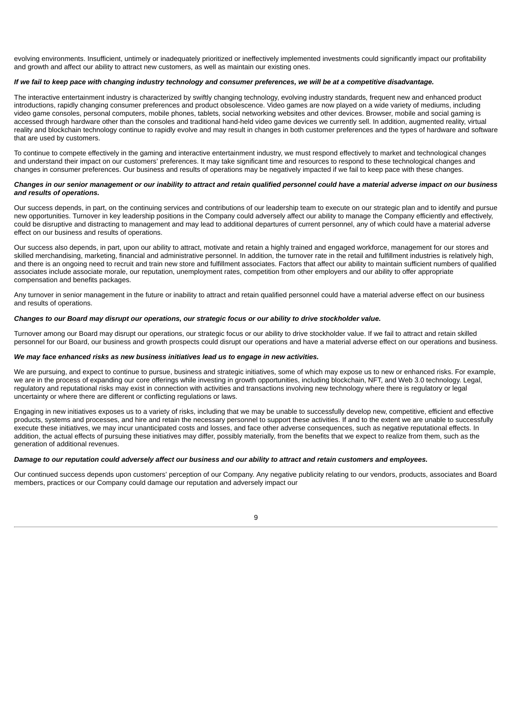evolving environments. Insufficient, untimely or inadequately prioritized or ineffectively implemented investments could significantly impact our profitability and growth and affect our ability to attract new customers, as well as maintain our existing ones.

#### *If we fail to keep pace with changing industry technology and consumer preferences, we will be at a competitive disadvantage.*

The interactive entertainment industry is characterized by swiftly changing technology, evolving industry standards, frequent new and enhanced product introductions, rapidly changing consumer preferences and product obsolescence. Video games are now played on a wide variety of mediums, including video game consoles, personal computers, mobile phones, tablets, social networking websites and other devices. Browser, mobile and social gaming is accessed through hardware other than the consoles and traditional hand-held video game devices we currently sell. In addition, augmented reality, virtual reality and blockchain technology continue to rapidly evolve and may result in changes in both customer preferences and the types of hardware and software that are used by customers.

To continue to compete effectively in the gaming and interactive entertainment industry, we must respond effectively to market and technological changes and understand their impact on our customers' preferences. It may take significant time and resources to respond to these technological changes and changes in consumer preferences. Our business and results of operations may be negatively impacted if we fail to keep pace with these changes.

#### *Changes in our senior management or our inability to attract and retain qualified personnel could have a material adverse impact on our business and results of operations.*

Our success depends, in part, on the continuing services and contributions of our leadership team to execute on our strategic plan and to identify and pursue new opportunities. Turnover in key leadership positions in the Company could adversely affect our ability to manage the Company efficiently and effectively, could be disruptive and distracting to management and may lead to additional departures of current personnel, any of which could have a material adverse effect on our business and results of operations.

Our success also depends, in part, upon our ability to attract, motivate and retain a highly trained and engaged workforce, management for our stores and skilled merchandising, marketing, financial and administrative personnel. In addition, the turnover rate in the retail and fulfillment industries is relatively high, and there is an ongoing need to recruit and train new store and fulfillment associates. Factors that affect our ability to maintain sufficient numbers of qualified associates include associate morale, our reputation, unemployment rates, competition from other employers and our ability to offer appropriate compensation and benefits packages.

Any turnover in senior management in the future or inability to attract and retain qualified personnel could have a material adverse effect on our business and results of operations.

#### *Changes to our Board may disrupt our operations, our strategic focus or our ability to drive stockholder value.*

Turnover among our Board may disrupt our operations, our strategic focus or our ability to drive stockholder value. If we fail to attract and retain skilled personnel for our Board, our business and growth prospects could disrupt our operations and have a material adverse effect on our operations and business.

#### *We may face enhanced risks as new business initiatives lead us to engage in new activities.*

We are pursuing, and expect to continue to pursue, business and strategic initiatives, some of which may expose us to new or enhanced risks. For example, we are in the process of expanding our core offerings while investing in growth opportunities, including blockchain, NFT, and Web 3.0 technology. Legal, regulatory and reputational risks may exist in connection with activities and transactions involving new technology where there is regulatory or legal uncertainty or where there are different or conflicting regulations or laws.

Engaging in new initiatives exposes us to a variety of risks, including that we may be unable to successfully develop new, competitive, efficient and effective products, systems and processes, and hire and retain the necessary personnel to support these activities. If and to the extent we are unable to successfully execute these initiatives, we may incur unanticipated costs and losses, and face other adverse consequences, such as negative reputational effects. In addition, the actual effects of pursuing these initiatives may differ, possibly materially, from the benefits that we expect to realize from them, such as the generation of additional revenues.

#### *Damage to our reputation could adversely affect our business and our ability to attract and retain customers and employees.*

Our continued success depends upon customers' perception of our Company. Any negative publicity relating to our vendors, products, associates and Board members, practices or our Company could damage our reputation and adversely impact our

9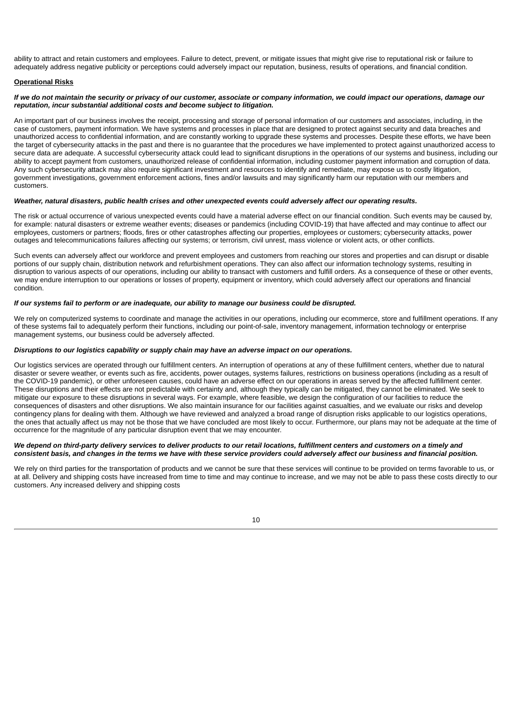ability to attract and retain customers and employees. Failure to detect, prevent, or mitigate issues that might give rise to reputational risk or failure to adequately address negative publicity or perceptions could adversely impact our reputation, business, results of operations, and financial condition.

#### **Operational Risks**

#### *If we do not maintain the security or privacy of our customer, associate or company information, we could impact our operations, damage our reputation, incur substantial additional costs and become subject to litigation.*

An important part of our business involves the receipt, processing and storage of personal information of our customers and associates, including, in the case of customers, payment information. We have systems and processes in place that are designed to protect against security and data breaches and unauthorized access to confidential information, and are constantly working to upgrade these systems and processes. Despite these efforts, we have been the target of cybersecurity attacks in the past and there is no guarantee that the procedures we have implemented to protect against unauthorized access to secure data are adequate. A successful cybersecurity attack could lead to significant disruptions in the operations of our systems and business, including our ability to accept payment from customers, unauthorized release of confidential information, including customer payment information and corruption of data. Any such cybersecurity attack may also require significant investment and resources to identify and remediate, may expose us to costly litigation, government investigations, government enforcement actions, fines and/or lawsuits and may significantly harm our reputation with our members and customers.

#### *Weather, natural disasters, public health crises and other unexpected events could adversely affect our operating results.*

The risk or actual occurrence of various unexpected events could have a material adverse effect on our financial condition. Such events may be caused by, for example: natural disasters or extreme weather events; diseases or pandemics (including COVID-19) that have affected and may continue to affect our employees, customers or partners; floods, fires or other catastrophes affecting our properties, employees or customers; cybersecurity attacks, power outages and telecommunications failures affecting our systems; or terrorism, civil unrest, mass violence or violent acts, or other conflicts.

Such events can adversely affect our workforce and prevent employees and customers from reaching our stores and properties and can disrupt or disable portions of our supply chain, distribution network and refurbishment operations. They can also affect our information technology systems, resulting in disruption to various aspects of our operations, including our ability to transact with customers and fulfill orders. As a consequence of these or other events, we may endure interruption to our operations or losses of property, equipment or inventory, which could adversely affect our operations and financial condition.

#### *If our systems fail to perform or are inadequate, our ability to manage our business could be disrupted.*

We rely on computerized systems to coordinate and manage the activities in our operations, including our ecommerce, store and fulfillment operations. If any of these systems fail to adequately perform their functions, including our point-of-sale, inventory management, information technology or enterprise management systems, our business could be adversely affected.

# *Disruptions to our logistics capability or supply chain may have an adverse impact on our operations.*

Our logistics services are operated through our fulfillment centers. An interruption of operations at any of these fulfillment centers, whether due to natural disaster or severe weather, or events such as fire, accidents, power outages, systems failures, restrictions on business operations (including as a result of the COVID-19 pandemic), or other unforeseen causes, could have an adverse effect on our operations in areas served by the affected fulfillment center. These disruptions and their effects are not predictable with certainty and, although they typically can be mitigated, they cannot be eliminated. We seek to mitigate our exposure to these disruptions in several ways. For example, where feasible, we design the configuration of our facilities to reduce the consequences of disasters and other disruptions. We also maintain insurance for our facilities against casualties, and we evaluate our risks and develop contingency plans for dealing with them. Although we have reviewed and analyzed a broad range of disruption risks applicable to our logistics operations, the ones that actually affect us may not be those that we have concluded are most likely to occur. Furthermore, our plans may not be adequate at the time of occurrence for the magnitude of any particular disruption event that we may encounter.

#### *We depend on third-party delivery services to deliver products to our retail locations, fulfillment centers and customers on a timely and consistent basis, and changes in the terms we have with these service providers could adversely affect our business and financial position.*

We rely on third parties for the transportation of products and we cannot be sure that these services will continue to be provided on terms favorable to us, or at all. Delivery and shipping costs have increased from time to time and may continue to increase, and we may not be able to pass these costs directly to our customers. Any increased delivery and shipping costs

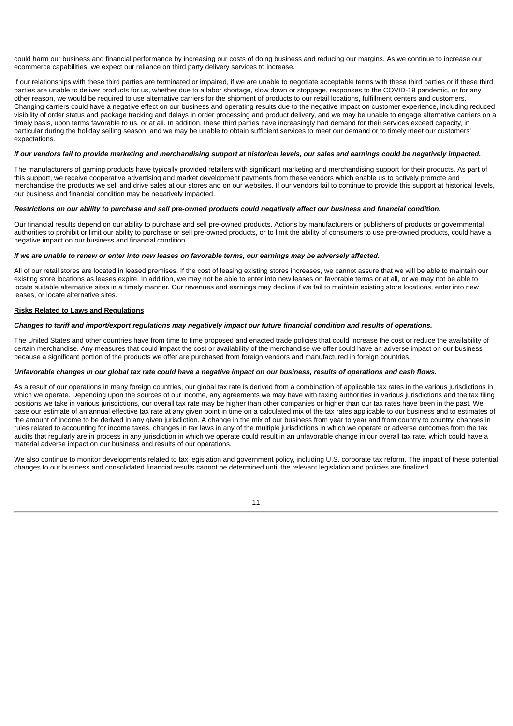could harm our business and financial performance by increasing our costs of doing business and reducing our margins. As we continue to increase our ecommerce capabilities, we expect our reliance on third party delivery services to increase.

If our relationships with these third parties are terminated or impaired, if we are unable to negotiate acceptable terms with these third parties or if these third parties are unable to deliver products for us, whether due to a labor shortage, slow down or stoppage, responses to the COVID-19 pandemic, or for any other reason, we would be required to use alternative carriers for the shipment of products to our retail locations, fulfillment centers and customers. Changing carriers could have a negative effect on our business and operating results due to the negative impact on customer experience, including reduced visibility of order status and package tracking and delays in order processing and product delivery, and we may be unable to engage alternative carriers on a timely basis, upon terms favorable to us, or at all. In addition, these third parties have increasingly had demand for their services exceed capacity, in particular during the holiday selling season, and we may be unable to obtain sufficient services to meet our demand or to timely meet our customers' expectations.

## *If our vendors fail to provide marketing and merchandising support at historical levels, our sales and earnings could be negatively impacted.*

The manufacturers of gaming products have typically provided retailers with significant marketing and merchandising support for their products. As part of this support, we receive cooperative advertising and market development payments from these vendors which enable us to actively promote and merchandise the products we sell and drive sales at our stores and on our websites. If our vendors fail to continue to provide this support at historical levels, our business and financial condition may be negatively impacted.

# *Restrictions on our ability to purchase and sell pre-owned products could negatively affect our business and financial condition.*

Our financial results depend on our ability to purchase and sell pre-owned products. Actions by manufacturers or publishers of products or governmental authorities to prohibit or limit our ability to purchase or sell pre-owned products, or to limit the ability of consumers to use pre-owned products, could have a negative impact on our business and financial condition.

#### *If we are unable to renew or enter into new leases on favorable terms, our earnings may be adversely affected.*

All of our retail stores are located in leased premises. If the cost of leasing existing stores increases, we cannot assure that we will be able to maintain our existing store locations as leases expire. In addition, we may not be able to enter into new leases on favorable terms or at all, or we may not be able to locate suitable alternative sites in a timely manner. Our revenues and earnings may decline if we fail to maintain existing store locations, enter into new leases, or locate alternative sites.

#### **Risks Related to Laws and Regulations**

# *Changes to tariff and import/export regulations may negatively impact our future financial condition and results of operations.*

The United States and other countries have from time to time proposed and enacted trade policies that could increase the cost or reduce the availability of certain merchandise. Any measures that could impact the cost or availability of the merchandise we offer could have an adverse impact on our business because a significant portion of the products we offer are purchased from foreign vendors and manufactured in foreign countries.

#### *Unfavorable changes in our global tax rate could have a negative impact on our business, results of operations and cash flows.*

As a result of our operations in many foreign countries, our global tax rate is derived from a combination of applicable tax rates in the various jurisdictions in which we operate. Depending upon the sources of our income, any agreements we may have with taxing authorities in various jurisdictions and the tax filing positions we take in various jurisdictions, our overall tax rate may be higher than other companies or higher than our tax rates have been in the past. We base our estimate of an annual effective tax rate at any given point in time on a calculated mix of the tax rates applicable to our business and to estimates of the amount of income to be derived in any given jurisdiction. A change in the mix of our business from year to year and from country to country, changes in rules related to accounting for income taxes, changes in tax laws in any of the multiple jurisdictions in which we operate or adverse outcomes from the tax audits that regularly are in process in any jurisdiction in which we operate could result in an unfavorable change in our overall tax rate, which could have a material adverse impact on our business and results of our operations.

We also continue to monitor developments related to tax legislation and government policy, including U.S. corporate tax reform. The impact of these potential changes to our business and consolidated financial results cannot be determined until the relevant legislation and policies are finalized.

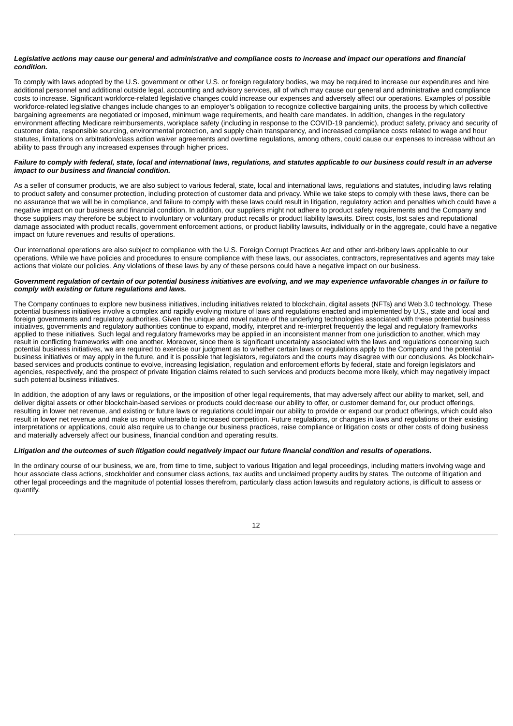#### *Legislative actions may cause our general and administrative and compliance costs to increase and impact our operations and financial condition.*

To comply with laws adopted by the U.S. government or other U.S. or foreign regulatory bodies, we may be required to increase our expenditures and hire additional personnel and additional outside legal, accounting and advisory services, all of which may cause our general and administrative and compliance costs to increase. Significant workforce-related legislative changes could increase our expenses and adversely affect our operations. Examples of possible workforce-related legislative changes include changes to an employer's obligation to recognize collective bargaining units, the process by which collective bargaining agreements are negotiated or imposed, minimum wage requirements, and health care mandates. In addition, changes in the regulatory environment affecting Medicare reimbursements, workplace safety (including in response to the COVID-19 pandemic), product safety, privacy and security of customer data, responsible sourcing, environmental protection, and supply chain transparency, and increased compliance costs related to wage and hour statutes, limitations on arbitration/class action waiver agreements and overtime regulations, among others, could cause our expenses to increase without an ability to pass through any increased expenses through higher prices.

#### *Failure to comply with federal, state, local and international laws, regulations, and statutes applicable to our business could result in an adverse impact to our business and financial condition.*

As a seller of consumer products, we are also subject to various federal, state, local and international laws, regulations and statutes, including laws relating to product safety and consumer protection, including protection of customer data and privacy. While we take steps to comply with these laws, there can be no assurance that we will be in compliance, and failure to comply with these laws could result in litigation, regulatory action and penalties which could have a negative impact on our business and financial condition. In addition, our suppliers might not adhere to product safety requirements and the Company and those suppliers may therefore be subject to involuntary or voluntary product recalls or product liability lawsuits. Direct costs, lost sales and reputational damage associated with product recalls, government enforcement actions, or product liability lawsuits, individually or in the aggregate, could have a negative impact on future revenues and results of operations.

Our international operations are also subject to compliance with the U.S. Foreign Corrupt Practices Act and other anti-bribery laws applicable to our operations. While we have policies and procedures to ensure compliance with these laws, our associates, contractors, representatives and agents may take actions that violate our policies. Any violations of these laws by any of these persons could have a negative impact on our business.

#### *Government regulation of certain of our potential business initiatives are evolving, and we may experience unfavorable changes in or failure to comply with existing or future regulations and laws.*

The Company continues to explore new business initiatives, including initiatives related to blockchain, digital assets (NFTs) and Web 3.0 technology. These potential business initiatives involve a complex and rapidly evolving mixture of laws and regulations enacted and implemented by U.S., state and local and foreign governments and regulatory authorities. Given the unique and novel nature of the underlying technologies associated with these potential business initiatives, governments and regulatory authorities continue to expand, modify, interpret and re-interpret frequently the legal and regulatory frameworks applied to these initiatives. Such legal and regulatory frameworks may be applied in an inconsistent manner from one jurisdiction to another, which may result in conflicting frameworks with one another. Moreover, since there is significant uncertainty associated with the laws and regulations concerning such potential business initiatives, we are required to exercise our judgment as to whether certain laws or regulations apply to the Company and the potential business initiatives or may apply in the future, and it is possible that legislators, regulators and the courts may disagree with our conclusions. As blockchainbased services and products continue to evolve, increasing legislation, regulation and enforcement efforts by federal, state and foreign legislators and agencies, respectively, and the prospect of private litigation claims related to such services and products become more likely, which may negatively impact such potential business initiatives.

In addition, the adoption of any laws or regulations, or the imposition of other legal requirements, that may adversely affect our ability to market, sell, and deliver digital assets or other blockchain-based services or products could decrease our ability to offer, or customer demand for, our product offerings, resulting in lower net revenue, and existing or future laws or regulations could impair our ability to provide or expand our product offerings, which could also result in lower net revenue and make us more vulnerable to increased competition. Future regulations, or changes in laws and regulations or their existing interpretations or applications, could also require us to change our business practices, raise compliance or litigation costs or other costs of doing business and materially adversely affect our business, financial condition and operating results.

# *Litigation and the outcomes of such litigation could negatively impact our future financial condition and results of operations.*

In the ordinary course of our business, we are, from time to time, subject to various litigation and legal proceedings, including matters involving wage and hour associate class actions, stockholder and consumer class actions, tax audits and unclaimed property audits by states. The outcome of litigation and other legal proceedings and the magnitude of potential losses therefrom, particularly class action lawsuits and regulatory actions, is difficult to assess or quantify.

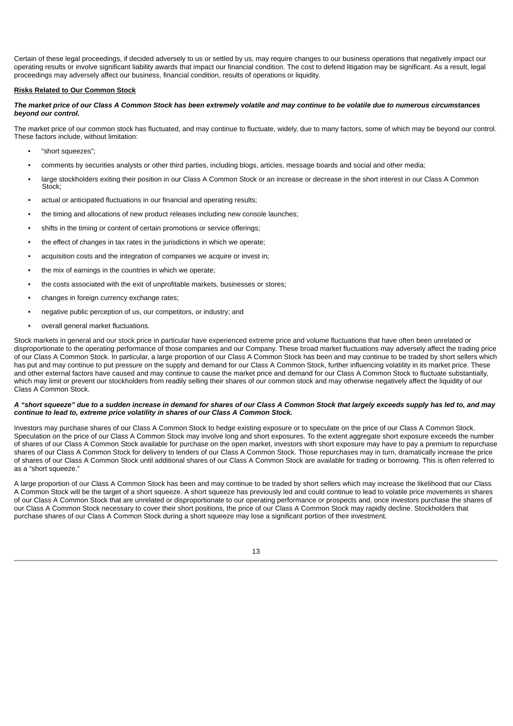Certain of these legal proceedings, if decided adversely to us or settled by us, may require changes to our business operations that negatively impact our operating results or involve significant liability awards that impact our financial condition. The cost to defend litigation may be significant. As a result, legal proceedings may adversely affect our business, financial condition, results of operations or liquidity.

# **Risks Related to Our Common Stock**

#### *The market price of our Class A Common Stock has been extremely volatile and may continue to be volatile due to numerous circumstances beyond our control.*

The market price of our common stock has fluctuated, and may continue to fluctuate, widely, due to many factors, some of which may be beyond our control. These factors include, without limitation:

- "short squeezes";
- comments by securities analysts or other third parties, including blogs, articles, message boards and social and other media;
- large stockholders exiting their position in our Class A Common Stock or an increase or decrease in the short interest in our Class A Common Stock:
- actual or anticipated fluctuations in our financial and operating results;
- the timing and allocations of new product releases including new console launches;
- shifts in the timing or content of certain promotions or service offerings;
- the effect of changes in tax rates in the jurisdictions in which we operate;
- acquisition costs and the integration of companies we acquire or invest in;
- the mix of earnings in the countries in which we operate;
- the costs associated with the exit of unprofitable markets, businesses or stores;
- changes in foreign currency exchange rates;
- negative public perception of us, our competitors, or industry; and
- overall general market fluctuations.

Stock markets in general and our stock price in particular have experienced extreme price and volume fluctuations that have often been unrelated or disproportionate to the operating performance of those companies and our Company. These broad market fluctuations may adversely affect the trading price of our Class A Common Stock. In particular, a large proportion of our Class A Common Stock has been and may continue to be traded by short sellers which has put and may continue to put pressure on the supply and demand for our Class A Common Stock, further influencing volatility in its market price. These and other external factors have caused and may continue to cause the market price and demand for our Class A Common Stock to fluctuate substantially, which may limit or prevent our stockholders from readily selling their shares of our common stock and may otherwise negatively affect the liquidity of our Class A Common Stock.

#### *A "short squeeze" due to a sudden increase in demand for shares of our Class A Common Stock that largely exceeds supply has led to, and may continue to lead to, extreme price volatility in shares of our Class A Common Stock.*

Investors may purchase shares of our Class A Common Stock to hedge existing exposure or to speculate on the price of our Class A Common Stock. Speculation on the price of our Class A Common Stock may involve long and short exposures. To the extent aggregate short exposure exceeds the number of shares of our Class A Common Stock available for purchase on the open market, investors with short exposure may have to pay a premium to repurchase shares of our Class A Common Stock for delivery to lenders of our Class A Common Stock. Those repurchases may in turn, dramatically increase the price of shares of our Class A Common Stock until additional shares of our Class A Common Stock are available for trading or borrowing. This is often referred to as a "short squeeze."

A large proportion of our Class A Common Stock has been and may continue to be traded by short sellers which may increase the likelihood that our Class A Common Stock will be the target of a short squeeze. A short squeeze has previously led and could continue to lead to volatile price movements in shares of our Class A Common Stock that are unrelated or disproportionate to our operating performance or prospects and, once investors purchase the shares of our Class A Common Stock necessary to cover their short positions, the price of our Class A Common Stock may rapidly decline. Stockholders that purchase shares of our Class A Common Stock during a short squeeze may lose a significant portion of their investment.

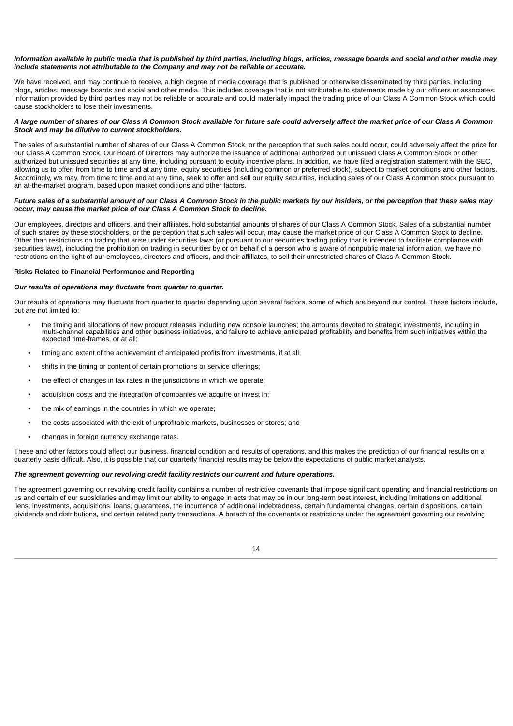#### *Information available in public media that is published by third parties, including blogs, articles, message boards and social and other media may include statements not attributable to the Company and may not be reliable or accurate.*

We have received, and may continue to receive, a high degree of media coverage that is published or otherwise disseminated by third parties, including blogs, articles, message boards and social and other media. This includes coverage that is not attributable to statements made by our officers or associates. Information provided by third parties may not be reliable or accurate and could materially impact the trading price of our Class A Common Stock which could cause stockholders to lose their investments.

#### *A large number of shares of our Class A Common Stock available for future sale could adversely affect the market price of our Class A Common Stock and may be dilutive to current stockholders.*

The sales of a substantial number of shares of our Class A Common Stock, or the perception that such sales could occur, could adversely affect the price for our Class A Common Stock. Our Board of Directors may authorize the issuance of additional authorized but unissued Class A Common Stock or other authorized but unissued securities at any time, including pursuant to equity incentive plans. In addition, we have filed a registration statement with the SEC, allowing us to offer, from time to time and at any time, equity securities (including common or preferred stock), subject to market conditions and other factors. Accordingly, we may, from time to time and at any time, seek to offer and sell our equity securities, including sales of our Class A common stock pursuant to an at-the-market program, based upon market conditions and other factors.

#### *Future sales of a substantial amount of our Class A Common Stock in the public markets by our insiders, or the perception that these sales may occur, may cause the market price of our Class A Common Stock to decline.*

Our employees, directors and officers, and their affiliates, hold substantial amounts of shares of our Class A Common Stock. Sales of a substantial number of such shares by these stockholders, or the perception that such sales will occur, may cause the market price of our Class A Common Stock to decline. Other than restrictions on trading that arise under securities laws (or pursuant to our securities trading policy that is intended to facilitate compliance with securities laws), including the prohibition on trading in securities by or on behalf of a person who is aware of nonpublic material information, we have no restrictions on the right of our employees, directors and officers, and their affiliates, to sell their unrestricted shares of Class A Common Stock.

#### **Risks Related to Financial Performance and Reporting**

#### *Our results of operations may fluctuate from quarter to quarter.*

Our results of operations may fluctuate from quarter to quarter depending upon several factors, some of which are beyond our control. These factors include, but are not limited to:

- the timing and allocations of new product releases including new console launches; the amounts devoted to strategic investments, including in multi-channel capabilities and other business initiatives, and failure to achieve anticipated profitability and benefits from such initiatives within the expected time-frames, or at all;
- timing and extent of the achievement of anticipated profits from investments, if at all;
- shifts in the timing or content of certain promotions or service offerings;
- the effect of changes in tax rates in the jurisdictions in which we operate;
- acquisition costs and the integration of companies we acquire or invest in;
- the mix of earnings in the countries in which we operate;
- the costs associated with the exit of unprofitable markets, businesses or stores; and
- changes in foreign currency exchange rates.

These and other factors could affect our business, financial condition and results of operations, and this makes the prediction of our financial results on a quarterly basis difficult. Also, it is possible that our quarterly financial results may be below the expectations of public market analysts.

#### *The agreement governing our revolving credit facility restricts our current and future operations.*

The agreement governing our revolving credit facility contains a number of restrictive covenants that impose significant operating and financial restrictions on us and certain of our subsidiaries and may limit our ability to engage in acts that may be in our long-term best interest, including limitations on additional liens, investments, acquisitions, loans, quarantees, the incurrence of additional indebtedness, certain fundamental changes, certain dispositions, certain dividends and distributions, and certain related party transactions. A breach of the covenants or restrictions under the agreement governing our revolving

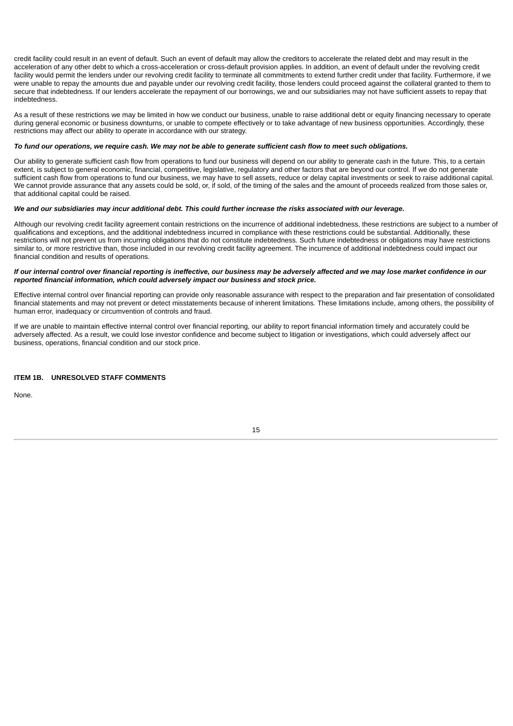credit facility could result in an event of default. Such an event of default may allow the creditors to accelerate the related debt and may result in the acceleration of any other debt to which a cross-acceleration or cross-default provision applies. In addition, an event of default under the revolving credit facility would permit the lenders under our revolving credit facility to terminate all commitments to extend further credit under that facility. Furthermore, if we were unable to repay the amounts due and payable under our revolving credit facility, those lenders could proceed against the collateral granted to them to secure that indebtedness. If our lenders accelerate the repayment of our borrowings, we and our subsidiaries may not have sufficient assets to repay that indebtedness.

As a result of these restrictions we may be limited in how we conduct our business, unable to raise additional debt or equity financing necessary to operate during general economic or business downturns, or unable to compete effectively or to take advantage of new business opportunities. Accordingly, these restrictions may affect our ability to operate in accordance with our strategy.

#### *To fund our operations, we require cash. We may not be able to generate sufficient cash flow to meet such obligations.*

Our ability to generate sufficient cash flow from operations to fund our business will depend on our ability to generate cash in the future. This, to a certain extent, is subject to general economic, financial, competitive, legislative, regulatory and other factors that are beyond our control. If we do not generate sufficient cash flow from operations to fund our business, we may have to sell assets, reduce or delay capital investments or seek to raise additional capital. We cannot provide assurance that any assets could be sold, or, if sold, of the timing of the sales and the amount of proceeds realized from those sales or, that additional capital could be raised.

#### *We and our subsidiaries may incur additional debt. This could further increase the risks associated with our leverage.*

Although our revolving credit facility agreement contain restrictions on the incurrence of additional indebtedness, these restrictions are subject to a number of qualifications and exceptions, and the additional indebtedness incurred in compliance with these restrictions could be substantial. Additionally, these restrictions will not prevent us from incurring obligations that do not constitute indebtedness. Such future indebtedness or obligations may have restrictions similar to, or more restrictive than, those included in our revolving credit facility agreement. The incurrence of additional indebtedness could impact our financial condition and results of operations.

#### *If our internal control over financial reporting is ineffective, our business may be adversely affected and we may lose market confidence in our reported financial information, which could adversely impact our business and stock price.*

Effective internal control over financial reporting can provide only reasonable assurance with respect to the preparation and fair presentation of consolidated financial statements and may not prevent or detect misstatements because of inherent limitations. These limitations include, among others, the possibility of human error, inadequacy or circumvention of controls and fraud.

If we are unable to maintain effective internal control over financial reporting, our ability to report financial information timely and accurately could be adversely affected. As a result, we could lose investor confidence and become subject to litigation or investigations, which could adversely affect our business, operations, financial condition and our stock price.

#### <span id="page-16-0"></span>**ITEM 1B. UNRESOLVED STAFF COMMENTS**

<span id="page-16-1"></span>None.

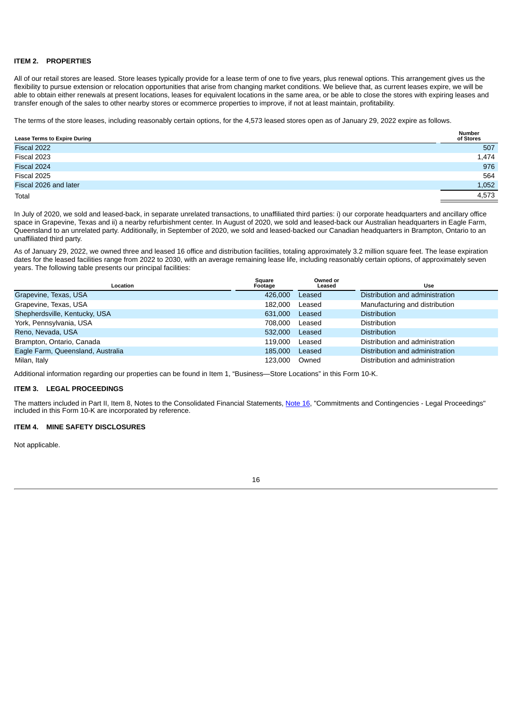# **ITEM 2. PROPERTIES**

All of our retail stores are leased. Store leases typically provide for a lease term of one to five years, plus renewal options. This arrangement gives us the flexibility to pursue extension or relocation opportunities that arise from changing market conditions. We believe that, as current leases expire, we will be able to obtain either renewals at present locations, leases for equivalent locations in the same area, or be able to close the stores with expiring leases and transfer enough of the sales to other nearby stores or ecommerce properties to improve, if not at least maintain, profitability.

The terms of the store leases, including reasonably certain options, for the 4,573 leased stores open as of January 29, 2022 expire as follows.

| <b>Lease Terms to Expire During</b> | <b>Number</b><br>of Stores |
|-------------------------------------|----------------------------|
| Fiscal 2022                         | 507                        |
| Fiscal 2023                         | 1,474                      |
| Fiscal 2024                         | 976                        |
| Fiscal 2025                         | 564                        |
| Fiscal 2026 and later               | 1,052                      |
| Total                               | 4,573                      |

In July of 2020, we sold and leased-back, in separate unrelated transactions, to unaffiliated third parties: i) our corporate headquarters and ancillary office space in Grapevine, Texas and ii) a nearby refurbishment center. In August of 2020, we sold and leased-back our Australian headquarters in Eagle Farm, Queensland to an unrelated party. Additionally, in September of 2020, we sold and leased-backed our Canadian headquarters in Brampton, Ontario to an unaffiliated third party.

As of January 29, 2022, we owned three and leased 16 office and distribution facilities, totaling approximately 3.2 million square feet. The lease expiration dates for the leased facilities range from 2022 to 2030, with an average remaining lease life, including reasonably certain options, of approximately seven years. The following table presents our principal facilities:

| Location                          | Square<br>Footage | Owned or<br>Leased | Use                             |
|-----------------------------------|-------------------|--------------------|---------------------------------|
| Grapevine, Texas, USA             | 426,000           | Leased             | Distribution and administration |
| Grapevine, Texas, USA             | 182.000           | Leased             | Manufacturing and distribution  |
| Shepherdsville, Kentucky, USA     | 631,000           | Leased             | <b>Distribution</b>             |
| York, Pennsylvania, USA           | 708.000           | Leased             | <b>Distribution</b>             |
| Reno, Nevada, USA                 | 532,000           | Leased             | <b>Distribution</b>             |
| Brampton, Ontario, Canada         | 119.000           | Leased             | Distribution and administration |
| Eagle Farm, Queensland, Australia | 185,000           | Leased             | Distribution and administration |
| Milan, Italy                      | 123,000           | Owned              | Distribution and administration |

Additional information regarding our properties can be found in Item 1, "Business—Store Locations" in this Form 10-K.

#### <span id="page-17-0"></span>**ITEM 3. LEGAL PROCEEDINGS**

The matters included in Part II, Item 8, Notes to the Consolidated Financial Statements, [Note 16,](#page-57-0) "Commitments and Contingencies - Legal Proceedings" included in this Form 10-K are incorporated by reference.

#### <span id="page-17-1"></span>**ITEM 4. MINE SAFETY DISCLOSURES**

Not applicable.

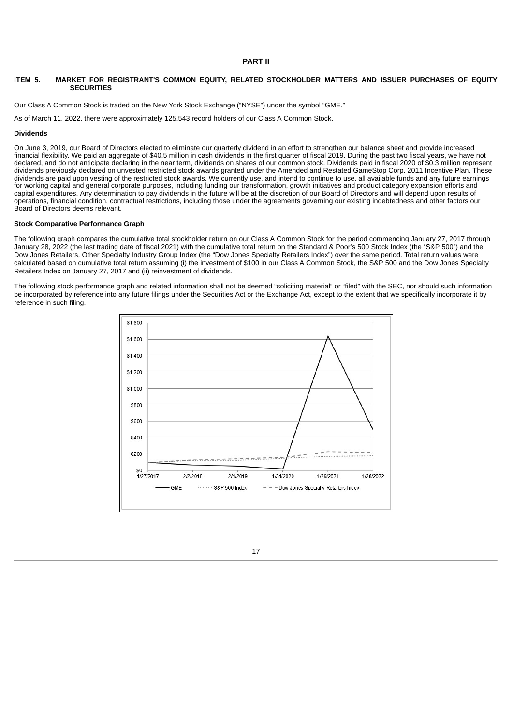# **PART II**

#### <span id="page-18-0"></span>**ITEM 5. MARKET FOR REGISTRANT'S COMMON EQUITY, RELATED STOCKHOLDER MATTERS AND ISSUER PURCHASES OF EQUITY SECURITIES**

Our Class A Common Stock is traded on the New York Stock Exchange ("NYSE") under the symbol "GME."

As of March 11, 2022, there were approximately 125,543 record holders of our Class A Common Stock.

#### **Dividends**

On June 3, 2019, our Board of Directors elected to eliminate our quarterly dividend in an effort to strengthen our balance sheet and provide increased financial flexibility. We paid an aggregate of \$40.5 million in cash dividends in the first quarter of fiscal 2019. During the past two fiscal years, we have not declared, and do not anticipate declaring in the near term, dividends on shares of our common stock. Dividends paid in fiscal 2020 of \$0.3 million represent dividends previously declared on unvested restricted stock awards granted under the Amended and Restated GameStop Corp. 2011 Incentive Plan. These dividends are paid upon vesting of the restricted stock awards. We currently use, and intend to continue to use, all available funds and any future earnings for working capital and general corporate purposes, including funding our transformation, growth initiatives and product category expansion efforts and capital expenditures. Any determination to pay dividends in the future will be at the discretion of our Board of Directors and will depend upon results of operations, financial condition, contractual restrictions, including those under the agreements governing our existing indebtedness and other factors our Board of Directors deems relevant.

#### **Stock Comparative Performance Graph**

The following graph compares the cumulative total stockholder return on our Class A Common Stock for the period commencing January 27, 2017 through January 28, 2022 (the last trading date of fiscal 2021) with the cumulative total return on the Standard & Poor's 500 Stock Index (the "S&P 500") and the Dow Jones Retailers, Other Specialty Industry Group Index (the "Dow Jones Specialty Retailers Index") over the same period. Total return values were calculated based on cumulative total return assuming (i) the investment of \$100 in our Class A Common Stock, the S&P 500 and the Dow Jones Specialty Retailers Index on January 27, 2017 and (ii) reinvestment of dividends.

The following stock performance graph and related information shall not be deemed "soliciting material" or "filed" with the SEC, nor should such information be incorporated by reference into any future filings under the Securities Act or the Exchange Act, except to the extent that we specifically incorporate it by reference in such filing.



17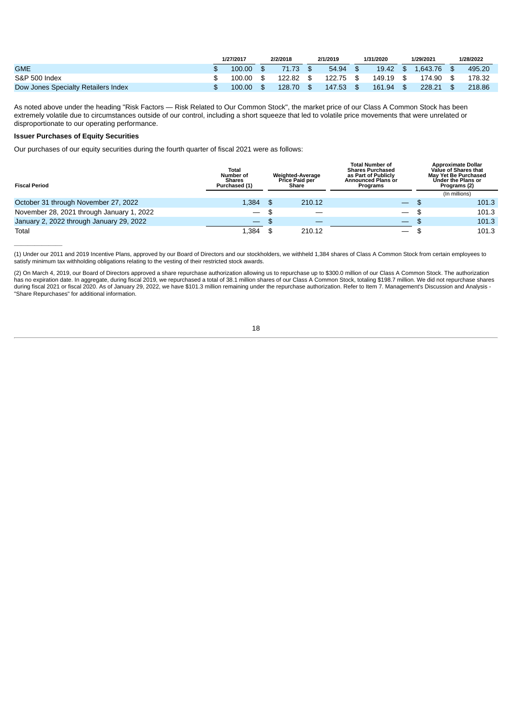|                                     | 1/27/2017 |        | 2/2/2018 |            | 2/1/2019 |             | 1/31/2020    |           | 1/29/2021            |  | 1/28/2022 |
|-------------------------------------|-----------|--------|----------|------------|----------|-------------|--------------|-----------|----------------------|--|-----------|
| <b>GME</b>                          |           | 100.00 |          | $71.73$ \$ |          | 54.94       | $\mathbb{S}$ |           | 19.42 \$ 1.643.76 \$ |  | 495.20    |
| <b>S&amp;P 500 Index</b>            |           | 100.00 |          | 122.82 \$  |          | 122.75 \$   |              | 149.19 \$ | 174.90 \$            |  | 178.32    |
| Dow Jones Specialty Retailers Index |           | 100.00 |          | 128.70 \$  |          | $147.53$ \$ |              | 161.94    | \$<br>$228.21$ \$    |  | 218.86    |

As noted above under the heading "Risk Factors — Risk Related to Our Common Stock", the market price of our Class A Common Stock has been extremely volatile due to circumstances outside of our control, including a short squeeze that led to volatile price movements that were unrelated or disproportionate to our operating performance.

# **Issuer Purchases of Equity Securities**

**\_\_\_\_\_\_\_\_\_\_\_\_\_\_**

Our purchases of our equity securities during the fourth quarter of fiscal 2021 were as follows:

| <b>Fiscal Period</b>                      | Total<br>Number of<br><b>Shares</b><br>Purchased (1) |      | <b>Weighted-Average</b><br>Price Paid per<br>Share | <b>Total Number of</b><br><b>Shares Purchased</b><br>as Part of Publicly<br><b>Announced Plans or</b><br>Programs |      | <b>Approximate Dollar</b><br>Value of Shares that<br><b>May Yet Be Purchased</b><br>Under the Plans or<br>Programs (2) |  |
|-------------------------------------------|------------------------------------------------------|------|----------------------------------------------------|-------------------------------------------------------------------------------------------------------------------|------|------------------------------------------------------------------------------------------------------------------------|--|
|                                           |                                                      |      |                                                    |                                                                                                                   |      | (In millions)                                                                                                          |  |
| October 31 through November 27, 2022      | 1.384                                                | - \$ | 210.12                                             | $\overline{\phantom{a}}$                                                                                          | -S   | 101.3                                                                                                                  |  |
| November 28, 2021 through January 1, 2022 | $\overline{\phantom{0}}$                             | \$   |                                                    | $\overline{\phantom{m}}$                                                                                          | -96  | 101.3                                                                                                                  |  |
| January 2, 2022 through January 29, 2022  |                                                      | - \$ |                                                    | $\qquad \qquad -$                                                                                                 | - \$ | 101.3                                                                                                                  |  |
| Total                                     | 1.384                                                |      | 210.12                                             | $\overline{\phantom{0}}$                                                                                          |      | 101.3                                                                                                                  |  |

(1) Under our 2011 and 2019 Incentive Plans, approved by our Board of Directors and our stockholders, we withheld 1,384 shares of Class A Common Stock from certain employees to satisfy minimum tax withholding obligations relating to the vesting of their restricted stock awards.

<span id="page-19-0"></span>(2) On March 4, 2019, our Board of Directors approved a share repurchase authorization allowing us to repurchase up to \$300.0 million of our Class A Common Stock. The authorization has no expiration date. In aggregate, during fiscal 2019, we repurchased a total of 38.1 million shares of our Class A Common Stock, totaling \$198.7 million. We did not repurchase shares during fiscal 2021 or fiscal 2020. As of January 29, 2022, we have \$101.3 million remaining under the repurchase authorization. Refer to Item 7. Management's Discussion and Analysis - "Share Repurchases" for additional information.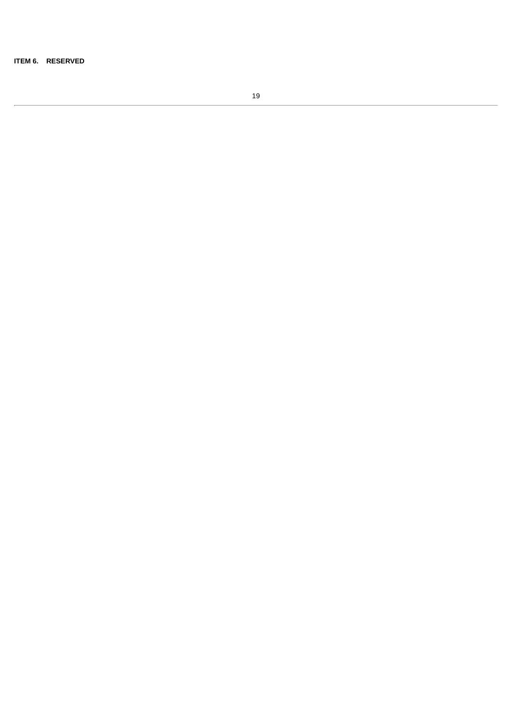<span id="page-20-0"></span>**ITEM 6. RESERVED**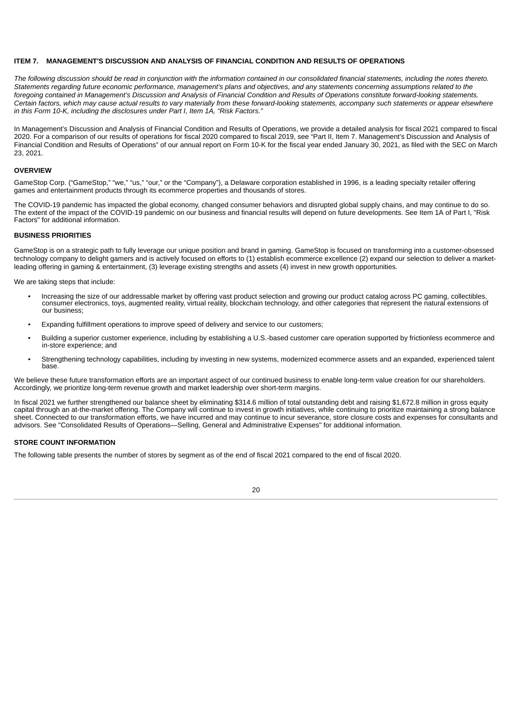# **ITEM 7. MANAGEMENT'S DISCUSSION AND ANALYSIS OF FINANCIAL CONDITION AND RESULTS OF OPERATIONS**

*The following discussion should be read in conjunction with the information contained in our consolidated financial statements, including the notes thereto. Statements regarding future economic performance, management's plans and objectives, and any statements concerning assumptions related to the foregoing contained in Management's Discussion and Analysis of Financial Condition and Results of Operations constitute forward-looking statements. Certain factors, which may cause actual results to vary materially from these forward-looking statements, accompany such statements or appear elsewhere in this Form 10-K, including the disclosures under Part I, Item 1A, "Risk Factors."*

In Management's Discussion and Analysis of Financial Condition and Results of Operations, we provide a detailed analysis for fiscal 2021 compared to fiscal 2020. For a comparison of our results of operations for fiscal 2020 compared to fiscal 2019, see "Part II, Item 7. Management's Discussion and Analysis of Financial Condition and Results of Operations" of our annual report on Form 10-K for the fiscal year ended January 30, 2021, as filed with the SEC on March 23, 2021.

#### **OVERVIEW**

GameStop Corp. ("GameStop," "we," "us," "our," or the "Company"), a Delaware corporation established in 1996, is a leading specialty retailer offering games and entertainment products through its ecommerce properties and thousands of stores.

The COVID-19 pandemic has impacted the global economy, changed consumer behaviors and disrupted global supply chains, and may continue to do so. The extent of the impact of the COVID-19 pandemic on our business and financial results will depend on future developments. See Item 1A of Part I, "Risk Factors" for additional information.

#### **BUSINESS PRIORITIES**

GameStop is on a strategic path to fully leverage our unique position and brand in gaming. GameStop is focused on transforming into a customer-obsessed technology company to delight gamers and is actively focused on efforts to (1) establish ecommerce excellence (2) expand our selection to deliver a marketleading offering in gaming & entertainment, (3) leverage existing strengths and assets (4) invest in new growth opportunities.

We are taking steps that include:

- Increasing the size of our addressable market by offering vast product selection and growing our product catalog across PC gaming, collectibles, consumer electronics, toys, augmented reality, virtual reality, blockchain technology, and other categories that represent the natural extensions of our business;
- Expanding fulfillment operations to improve speed of delivery and service to our customers;
- Building a superior customer experience, including by establishing a U.S.-based customer care operation supported by frictionless ecommerce and in-store experience; and
- Strengthening technology capabilities, including by investing in new systems, modernized ecommerce assets and an expanded, experienced talent base.

We believe these future transformation efforts are an important aspect of our continued business to enable long-term value creation for our shareholders. Accordingly, we prioritize long-term revenue growth and market leadership over short-term margins.

In fiscal 2021 we further strengthened our balance sheet by eliminating \$314.6 million of total outstanding debt and raising \$1,672.8 million in gross equity capital through an at-the-market offering. The Company will continue to invest in growth initiatives, while continuing to prioritize maintaining a strong balance sheet. Connected to our transformation efforts, we have incurred and may continue to incur severance, store closure costs and expenses for consultants and advisors. See "Consolidated Results of Operations—Selling, General and Administrative Expenses" for additional information.

#### **STORE COUNT INFORMATION**

The following table presents the number of stores by segment as of the end of fiscal 2021 compared to the end of fiscal 2020.

 $20$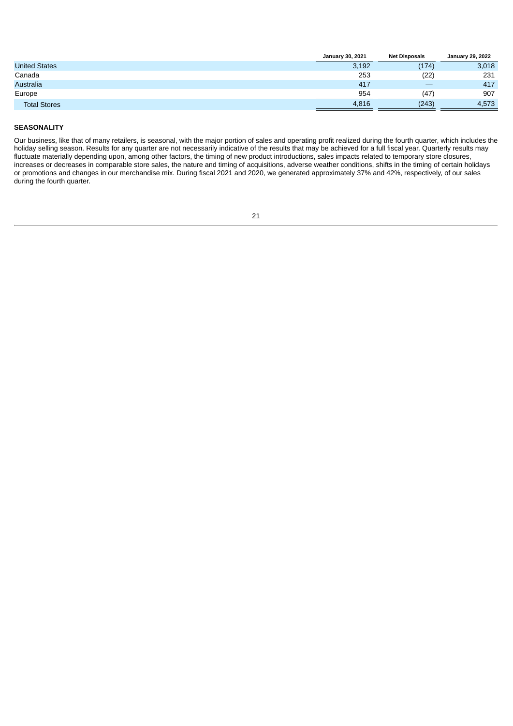|                      | January 30, 2021 | <b>Net Disposals</b> | <b>January 29, 2022</b> |
|----------------------|------------------|----------------------|-------------------------|
| <b>United States</b> | 3,192            | (174)                | 3,018                   |
| Canada               | 253              | (22)                 | 231                     |
| Australia            | 417              | —                    | 417                     |
| Europe               | 954              | (47)                 | 907                     |
| <b>Total Stores</b>  | 4,816            | (243)                | 4,573                   |

# **SEASONALITY**

Our business, like that of many retailers, is seasonal, with the major portion of sales and operating profit realized during the fourth quarter, which includes the holiday selling season. Results for any quarter are not necessarily indicative of the results that may be achieved for a full fiscal year. Quarterly results may fluctuate materially depending upon, among other factors, the timing of new product introductions, sales impacts related to temporary store closures, increases or decreases in comparable store sales, the nature and timing of acquisitions, adverse weather conditions, shifts in the timing of certain holidays or promotions and changes in our merchandise mix. During fiscal 2021 and 2020, we generated approximately 37% and 42%, respectively, of our sales during the fourth quarter.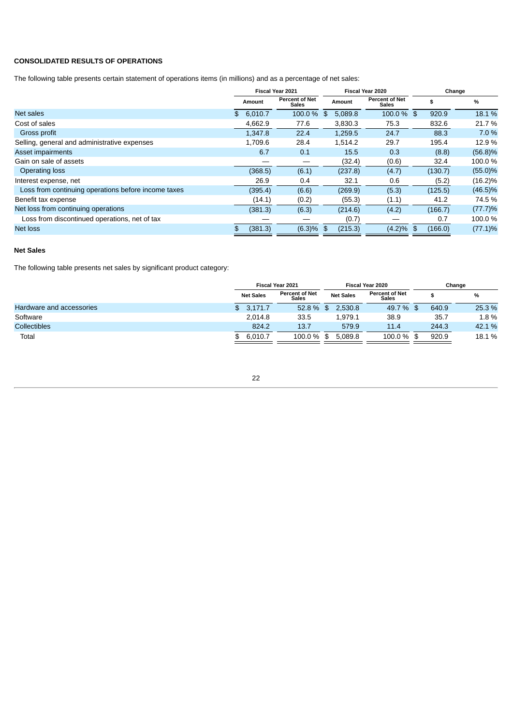# **CONSOLIDATED RESULTS OF OPERATIONS**

The following table presents certain statement of operations items (in millions) and as a percentage of net sales:

|                                                     |                | Fiscal Year 2021 |                                       | <b>Fiscal Year 2020</b> |         |                                       |  | Change  |            |  |
|-----------------------------------------------------|----------------|------------------|---------------------------------------|-------------------------|---------|---------------------------------------|--|---------|------------|--|
|                                                     |                | Amount           | <b>Percent of Net</b><br><b>Sales</b> |                         | Amount  | <b>Percent of Net</b><br><b>Sales</b> |  | \$      | %          |  |
| Net sales                                           | $\mathfrak{L}$ | 6,010.7          | 100.0%                                | \$.                     | 5,089.8 | $100.0\%$ \$                          |  | 920.9   | 18.1%      |  |
| Cost of sales                                       |                | 4,662.9          | 77.6                                  |                         | 3,830.3 | 75.3                                  |  | 832.6   | 21.7%      |  |
| Gross profit                                        |                | 1,347.8          | 22.4                                  |                         | 1,259.5 | 24.7                                  |  | 88.3    | 7.0 %      |  |
| Selling, general and administrative expenses        |                | 1,709.6          | 28.4                                  |                         | 1,514.2 | 29.7                                  |  | 195.4   | 12.9 %     |  |
| Asset impairments                                   |                | 6.7              | 0.1                                   |                         | 15.5    | 0.3                                   |  | (8.8)   | $(56.8)\%$ |  |
| Gain on sale of assets                              |                |                  |                                       |                         | (32.4)  | (0.6)                                 |  | 32.4    | 100.0%     |  |
| <b>Operating loss</b>                               |                | (368.5)          | (6.1)                                 |                         | (237.8) | (4.7)                                 |  | (130.7) | $(55.0)\%$ |  |
| Interest expense, net                               |                | 26.9             | 0.4                                   |                         | 32.1    | 0.6                                   |  | (5.2)   | $(16.2)\%$ |  |
| Loss from continuing operations before income taxes |                | (395.4)          | (6.6)                                 |                         | (269.9) | (5.3)                                 |  | (125.5) | $(46.5)\%$ |  |
| Benefit tax expense                                 |                | (14.1)           | (0.2)                                 |                         | (55.3)  | (1.1)                                 |  | 41.2    | 74.5 %     |  |
| Net loss from continuing operations                 |                | (381.3)          | (6.3)                                 |                         | (214.6) | (4.2)                                 |  | (166.7) | $(77.7)\%$ |  |
| Loss from discontinued operations, net of tax       |                |                  |                                       |                         | (0.7)   |                                       |  | 0.7     | 100.0%     |  |
| Net loss                                            | \$             | (381.3)          | $(6.3)\%$ \$                          |                         | (215.3) | $(4.2)\%$ \$                          |  | (166.0) | $(77.1)\%$ |  |

# **Net Sales**

The following table presents net sales by significant product category:

|                          |                  | <b>Fiscal Year 2021</b>               |                  | Fiscal Year 2020                      | Change |        |  |
|--------------------------|------------------|---------------------------------------|------------------|---------------------------------------|--------|--------|--|
|                          | <b>Net Sales</b> | <b>Percent of Net</b><br><b>Sales</b> | <b>Net Sales</b> | <b>Percent of Net</b><br><b>Sales</b> |        | %      |  |
| Hardware and accessories | \$3,171.7        | $52.8\%$ \$                           | 2.530.8          | 49.7 % \$                             | 640.9  | 25.3 % |  |
| Software                 | 2.014.8          | 33.5                                  | 1.979.1          | 38.9                                  | 35.7   | 1.8%   |  |
| <b>Collectibles</b>      | 824.2            | 13.7                                  | 579.9            | 11.4                                  | 244.3  | 42.1%  |  |
| Total                    | 6,010.7<br>\$    | 100.0 % \$                            | 5.089.8          | 100.0 % \$                            | 920.9  | 18.1 % |  |

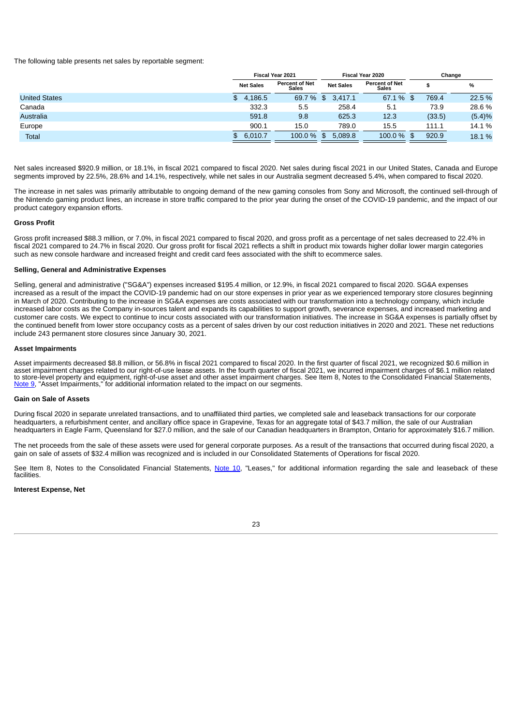The following table presents net sales by reportable segment:

|                      | Fiscal Year 2021       |                                       |                   | Fiscal Year 2020               | Change |        |  |
|----------------------|------------------------|---------------------------------------|-------------------|--------------------------------|--------|--------|--|
|                      | <b>Net Sales</b>       | <b>Percent of Net</b><br><b>Sales</b> | <b>Net Sales</b>  | <b>Percent of Net</b><br>Sales |        | %      |  |
| <b>United States</b> | 4.186.5<br>\$.         |                                       | 69.7 % \$ 3.417.1 | 67.1 % \$                      | 769.4  | 22.5 % |  |
| Canada               | 332.3                  | 5.5                                   | 258.4             | 5.1                            | 73.9   | 28.6 % |  |
| Australia            | 591.8                  | 9.8                                   | 625.3             | 12.3                           | (33.5) | (5.4)% |  |
| Europe               | 900.1                  | 15.0                                  | 789.0             | 15.5                           | 111.1  | 14.1 % |  |
| Total                | 6,010.7<br>$$^{\circ}$ | $100.0\%$ \$                          | 5.089.8           | $100.0\%$ \$                   | 920.9  | 18.1%  |  |

Net sales increased \$920.9 million, or 18.1%, in fiscal 2021 compared to fiscal 2020. Net sales during fiscal 2021 in our United States, Canada and Europe segments improved by 22.5%, 28.6% and 14.1%, respectively, while net sales in our Australia segment decreased 5.4%, when compared to fiscal 2020.

The increase in net sales was primarily attributable to ongoing demand of the new gaming consoles from Sony and Microsoft, the continued sell-through of the Nintendo gaming product lines, an increase in store traffic compared to the prior year during the onset of the COVID-19 pandemic, and the impact of our product category expansion efforts.

#### **Gross Profit**

Gross profit increased \$88.3 million, or 7.0%, in fiscal 2021 compared to fiscal 2020, and gross profit as a percentage of net sales decreased to 22.4% in fiscal 2021 compared to 24.7% in fiscal 2020. Our gross profit for fiscal 2021 reflects a shift in product mix towards higher dollar lower margin categories such as new console hardware and increased freight and credit card fees associated with the shift to ecommerce sales.

#### **Selling, General and Administrative Expenses**

Selling, general and administrative ("SG&A") expenses increased \$195.4 million, or 12.9%, in fiscal 2021 compared to fiscal 2020. SG&A expenses increased as a result of the impact the COVID-19 pandemic had on our store expenses in prior year as we experienced temporary store closures beginning in March of 2020. Contributing to the increase in SG&A expenses are costs associated with our transformation into a technology company, which include increased labor costs as the Company in-sources talent and expands its capabilities to support growth, severance expenses, and increased marketing and customer care costs. We expect to continue to incur costs associated with our transformation initiatives. The increase in SG&A expenses is partially offset by the continued benefit from lower store occupancy costs as a percent of sales driven by our cost reduction initiatives in 2020 and 2021. These net reductions include 243 permanent store closures since January 30, 2021.

#### **Asset Impairments**

Asset impairments decreased \$8.8 million, or 56.8% in fiscal 2021 compared to fiscal 2020. In the first quarter of fiscal 2021, we recognized \$0.6 million in asset impairment charges related to our right-of-use lease assets. In the fourth quarter of fiscal 2021, we incurred impairment charges of \$6.1 million related to store-level property and equipment, right-of-use asset and other asset impairment charges. See Item 8, Notes to the Consolidated Financial Statements, [Note 9](#page-47-0), "Asset Impairments," for additional information related to the impact on our segments.

#### **Gain on Sale of Assets**

During fiscal 2020 in separate unrelated transactions, and to unaffiliated third parties, we completed sale and leaseback transactions for our corporate headquarters, a refurbishment center, and ancillary office space in Grapevine, Texas for an aggregate total of \$43.7 million, the sale of our Australian headquarters in Eagle Farm, Queensland for \$27.0 million, and the sale of our Canadian headquarters in Brampton, Ontario for approximately \$16.7 million.

The net proceeds from the sale of these assets were used for general corporate purposes. As a result of the transactions that occurred during fiscal 2020, a gain on sale of assets of \$32.4 million was recognized and is included in our Consolidated Statements of Operations for fiscal 2020.

See Item 8, Notes to the Consolidated Financial Statements, [Note 10,](#page-47-1) "Leases," for additional information regarding the sale and leaseback of these facilities.

#### **Interest Expense, Net**

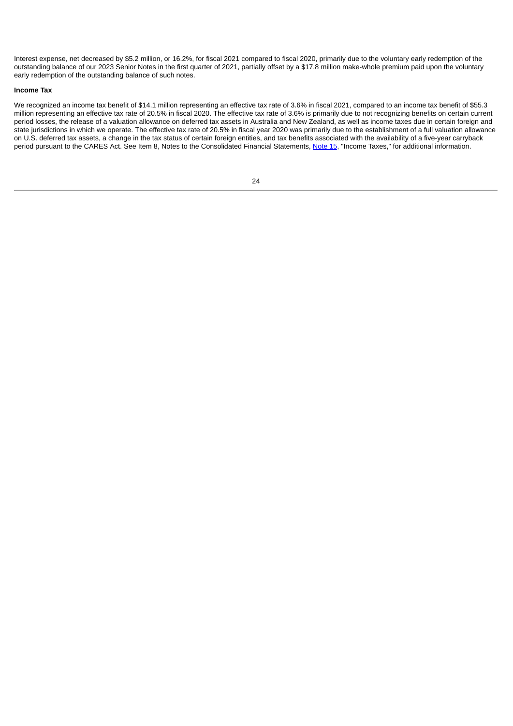Interest expense, net decreased by \$5.2 million, or 16.2%, for fiscal 2021 compared to fiscal 2020, primarily due to the voluntary early redemption of the outstanding balance of our 2023 Senior Notes in the first quarter of 2021, partially offset by a \$17.8 million make-whole premium paid upon the voluntary early redemption of the outstanding balance of such notes.

# **Income Tax**

We recognized an income tax benefit of \$14.1 million representing an effective tax rate of 3.6% in fiscal 2021, compared to an income tax benefit of \$55.3 million representing an effective tax rate of 20.5% in fiscal 2020. The effective tax rate of 3.6% is primarily due to not recognizing benefits on certain current period losses, the release of a valuation allowance on deferred tax assets in Australia and New Zealand, as well as income taxes due in certain foreign and state jurisdictions in which we operate. The effective tax rate of 20.5% in fiscal year 2020 was primarily due to the establishment of a full valuation allowance on U.S. deferred tax assets, a change in the tax status of certain foreign entities, and tax benefits associated with the availability of a five-year carryback period pursuant to the CARES Act. See Item 8, Notes to the Consolidated Financial Statements, <u>Note 15</u>, "Income Taxes," for additional information.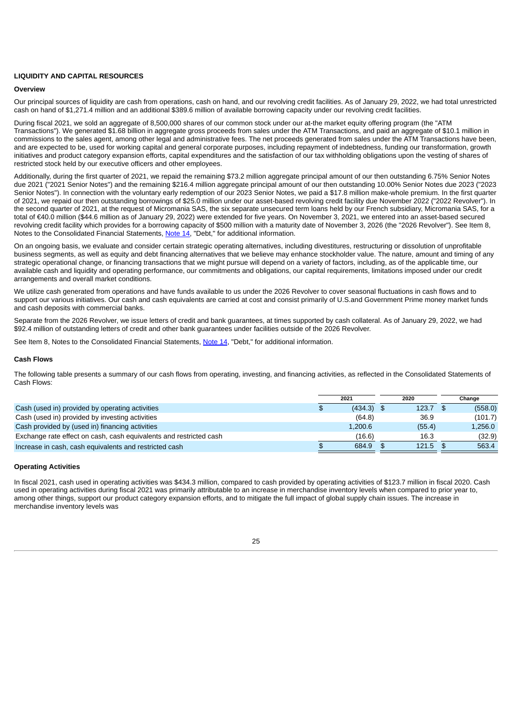# **LIQUIDITY AND CAPITAL RESOURCES**

#### **Overview**

Our principal sources of liquidity are cash from operations, cash on hand, and our revolving credit facilities. As of January 29, 2022, we had total unrestricted cash on hand of \$1,271.4 million and an additional \$389.6 million of available borrowing capacity under our revolving credit facilities.

During fiscal 2021, we sold an aggregate of 8,500,000 shares of our common stock under our at-the market equity offering program (the "ATM Transactions"). We generated \$1.68 billion in aggregate gross proceeds from sales under the ATM Transactions, and paid an aggregate of \$10.1 million in commissions to the sales agent, among other legal and administrative fees. The net proceeds generated from sales under the ATM Transactions have been, and are expected to be, used for working capital and general corporate purposes, including repayment of indebtedness, funding our transformation, growth initiatives and product category expansion efforts, capital expenditures and the satisfaction of our tax withholding obligations upon the vesting of shares of restricted stock held by our executive officers and other employees.

Additionally, during the first quarter of 2021, we repaid the remaining \$73.2 million aggregate principal amount of our then outstanding 6.75% Senior Notes due 2021 ("2021 Senior Notes") and the remaining \$216.4 million aggregate principal amount of our then outstanding 10.00% Senior Notes due 2023 ("2023 Senior Notes"). In connection with the voluntary early redemption of our 2023 Senior Notes, we paid a \$17.8 million make-whole premium. In the first quarter of 2021, we repaid our then outstanding borrowings of \$25.0 million under our asset-based revolving credit facility due November 2022 ("2022 Revolver"). In the second quarter of 2021, at the request of Micromania SAS, the six separate unsecured term loans held by our French subsidiary, Micromania SAS, for a total of €40.0 million (\$44.6 million as of January 29, 2022) were extended for five years. On November 3, 2021, we entered into an asset-based secured revolving credit facility which provides for a borrowing capacity of \$500 million with a maturity date of November 3, 2026 (the "2026 Revolver"). See Item 8, Notes to the Consolidated Financial Statements, [Note 14](#page-53-0), "Debt," for additional information.

On an ongoing basis, we evaluate and consider certain strategic operating alternatives, including divestitures, restructuring or dissolution of unprofitable business segments, as well as equity and debt financing alternatives that we believe may enhance stockholder value. The nature, amount and timing of any strategic operational change, or financing transactions that we might pursue will depend on a variety of factors, including, as of the applicable time, our available cash and liquidity and operating performance, our commitments and obligations, our capital requirements, limitations imposed under our credit arrangements and overall market conditions.

We utilize cash generated from operations and have funds available to us under the 2026 Revolver to cover seasonal fluctuations in cash flows and to support our various initiatives. Our cash and cash equivalents are carried at cost and consist primarily of U.S.and Government Prime money market funds and cash deposits with commercial banks.

Separate from the 2026 Revolver, we issue letters of credit and bank guarantees, at times supported by cash collateral. As of January 29, 2022, we had \$92.4 million of outstanding letters of credit and other bank guarantees under facilities outside of the 2026 Revolver.

See Item 8, Notes to the Consolidated Financial Statements, [Note 14](#page-53-0), "Debt," for additional information.

#### **Cash Flows**

The following table presents a summary of our cash flows from operating, investing, and financing activities, as reflected in the Consolidated Statements of Cash Flows:

|                                                                    | 2021    | 2020   |  | Change  |  |
|--------------------------------------------------------------------|---------|--------|--|---------|--|
| Cash (used in) provided by operating activities                    | (434.3) | 123.7  |  | (558.0) |  |
| Cash (used in) provided by investing activities                    | (64.8)  | 36.9   |  | (101.7) |  |
| Cash provided by (used in) financing activities                    | 1.200.6 | (55.4) |  | 1.256.0 |  |
| Exchange rate effect on cash, cash equivalents and restricted cash | (16.6)  | 16.3   |  | (32.9)  |  |
| Increase in cash, cash equivalents and restricted cash             | 684.9   | 121.5  |  | 563.4   |  |

# **Operating Activities**

In fiscal 2021, cash used in operating activities was \$434.3 million, compared to cash provided by operating activities of \$123.7 million in fiscal 2020. Cash used in operating activities during fiscal 2021 was primarily attributable to an increase in merchandise inventory levels when compared to prior year to, among other things, support our product category expansion efforts, and to mitigate the full impact of global supply chain issues. The increase in merchandise inventory levels was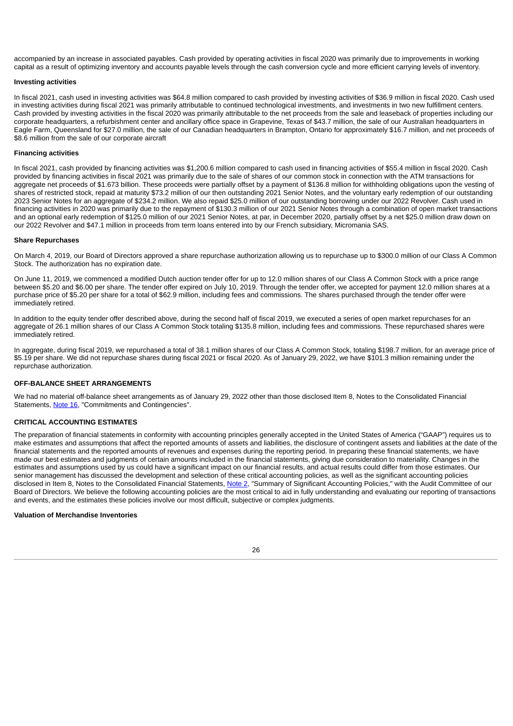accompanied by an increase in associated payables. Cash provided by operating activities in fiscal 2020 was primarily due to improvements in working capital as a result of optimizing inventory and accounts payable levels through the cash conversion cycle and more efficient carrying levels of inventory.

#### **Investing activities**

In fiscal 2021, cash used in investing activities was \$64.8 million compared to cash provided by investing activities of \$36.9 million in fiscal 2020. Cash used in investing activities during fiscal 2021 was primarily attributable to continued technological investments, and investments in two new fulfillment centers. Cash provided by investing activities in the fiscal 2020 was primarily attributable to the net proceeds from the sale and leaseback of properties including our corporate headquarters, a refurbishment center and ancillary office space in Grapevine, Texas of \$43.7 million, the sale of our Australian headquarters in Eagle Farm, Queensland for \$27.0 million, the sale of our Canadian headquarters in Brampton, Ontario for approximately \$16.7 million, and net proceeds of \$8.6 million from the sale of our corporate aircraft

#### **Financing activities**

In fiscal 2021, cash provided by financing activities was \$1,200.6 million compared to cash used in financing activities of \$55.4 million in fiscal 2020. Cash provided by financing activities in fiscal 2021 was primarily due to the sale of shares of our common stock in connection with the ATM transactions for aggregate net proceeds of \$1.673 billion. These proceeds were partially offset by a payment of \$136.8 million for withholding obligations upon the vesting of shares of restricted stock, repaid at maturity \$73.2 million of our then outstanding 2021 Senior Notes, and the voluntary early redemption of our outstanding 2023 Senior Notes for an aggregate of \$234.2 million. We also repaid \$25.0 million of our outstanding borrowing under our 2022 Revolver. Cash used in financing activities in 2020 was primarily due to the repayment of \$130.3 million of our 2021 Senior Notes through a combination of open market transactions and an optional early redemption of \$125.0 million of our 2021 Senior Notes, at par, in December 2020, partially offset by a net \$25.0 million draw down on our 2022 Revolver and \$47.1 million in proceeds from term loans entered into by our French subsidiary, Micromania SAS.

#### **Share Repurchases**

On March 4, 2019, our Board of Directors approved a share repurchase authorization allowing us to repurchase up to \$300.0 million of our Class A Common Stock. The authorization has no expiration date.

On June 11, 2019, we commenced a modified Dutch auction tender offer for up to 12.0 million shares of our Class A Common Stock with a price range between \$5.20 and \$6.00 per share. The tender offer expired on July 10, 2019. Through the tender offer, we accepted for payment 12.0 million shares at a purchase price of \$5.20 per share for a total of \$62.9 million, including fees and commissions. The shares purchased through the tender offer were immediately retired.

In addition to the equity tender offer described above, during the second half of fiscal 2019, we executed a series of open market repurchases for an aggregate of 26.1 million shares of our Class A Common Stock totaling \$135.8 million, including fees and commissions. These repurchased shares were immediately retired.

In aggregate, during fiscal 2019, we repurchased a total of 38.1 million shares of our Class A Common Stock, totaling \$198.7 million, for an average price of \$5.19 per share. We did not repurchase shares during fiscal 2021 or fiscal 2020. As of January 29, 2022, we have \$101.3 million remaining under the repurchase authorization.

# **OFF-BALANCE SHEET ARRANGEMENTS**

We had no material off-balance sheet arrangements as of January 29, 2022 other than those disclosed Item 8, Notes to the Consolidated Financial Statements, [Note 16](#page-57-0), "Commitments and Contingencies".

#### **CRITICAL ACCOUNTING ESTIMATES**

The preparation of financial statements in conformity with accounting principles generally accepted in the United States of America ("GAAP") requires us to make estimates and assumptions that affect the reported amounts of assets and liabilities, the disclosure of contingent assets and liabilities at the date of the financial statements and the reported amounts of revenues and expenses during the reporting period. In preparing these financial statements, we have made our best estimates and judgments of certain amounts included in the financial statements, giving due consideration to materiality. Changes in the estimates and assumptions used by us could have a significant impact on our financial results, and actual results could differ from those estimates. Our senior management has discussed the development and selection of these critical accounting policies, as well as the significant accounting policies disclosed in Item 8, [Note](#page-38-0)s to the Consolidated Financial Statements, Note [2,](#page-38-0) "Summary of Significant Accounting Policies," with the Audit Committee of our Board of Directors. We believe the following accounting policies are the most critical to aid in fully understanding and evaluating our reporting of transactions and events, and the estimates these policies involve our most difficult, subjective or complex judgments.

#### **Valuation of Merchandise Inventories**

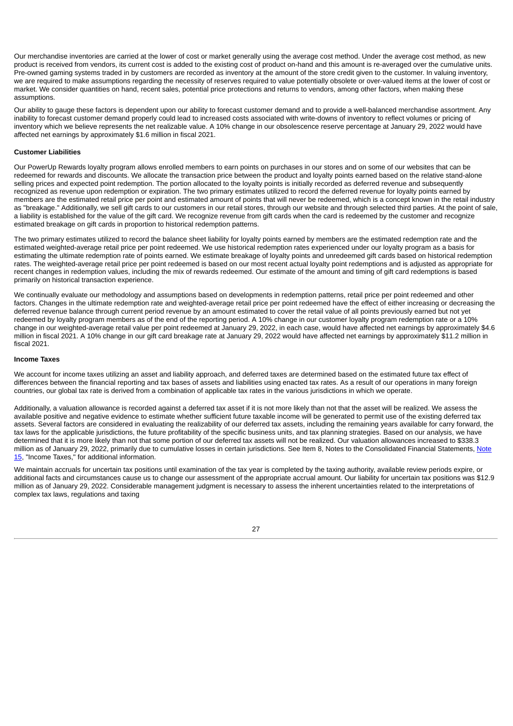Our merchandise inventories are carried at the lower of cost or market generally using the average cost method. Under the average cost method, as new product is received from vendors, its current cost is added to the existing cost of product on-hand and this amount is re-averaged over the cumulative units. Pre-owned gaming systems traded in by customers are recorded as inventory at the amount of the store credit given to the customer. In valuing inventory, we are required to make assumptions regarding the necessity of reserves required to value potentially obsolete or over-valued items at the lower of cost or market. We consider quantities on hand, recent sales, potential price protections and returns to vendors, among other factors, when making these assumptions.

Our ability to gauge these factors is dependent upon our ability to forecast customer demand and to provide a well-balanced merchandise assortment. Any inability to forecast customer demand properly could lead to increased costs associated with write-downs of inventory to reflect volumes or pricing of inventory which we believe represents the net realizable value. A 10% change in our obsolescence reserve percentage at January 29, 2022 would have affected net earnings by approximately \$1.6 million in fiscal 2021.

# **Customer Liabilities**

Our PowerUp Rewards loyalty program allows enrolled members to earn points on purchases in our stores and on some of our websites that can be redeemed for rewards and discounts. We allocate the transaction price between the product and loyalty points earned based on the relative stand-alone selling prices and expected point redemption. The portion allocated to the loyalty points is initially recorded as deferred revenue and subsequently recognized as revenue upon redemption or expiration. The two primary estimates utilized to record the deferred revenue for loyalty points earned by members are the estimated retail price per point and estimated amount of points that will never be redeemed, which is a concept known in the retail industry as "breakage." Additionally, we sell gift cards to our customers in our retail stores, through our website and through selected third parties. At the point of sale, a liability is established for the value of the gift card. We recognize revenue from gift cards when the card is redeemed by the customer and recognize estimated breakage on gift cards in proportion to historical redemption patterns.

The two primary estimates utilized to record the balance sheet liability for loyalty points earned by members are the estimated redemption rate and the estimated weighted-average retail price per point redeemed. We use historical redemption rates experienced under our loyalty program as a basis for estimating the ultimate redemption rate of points earned. We estimate breakage of loyalty points and unredeemed gift cards based on historical redemption rates. The weighted-average retail price per point redeemed is based on our most recent actual loyalty point redemptions and is adjusted as appropriate for recent changes in redemption values, including the mix of rewards redeemed. Our estimate of the amount and timing of gift card redemptions is based primarily on historical transaction experience.

We continually evaluate our methodology and assumptions based on developments in redemption patterns, retail price per point redeemed and other factors. Changes in the ultimate redemption rate and weighted-average retail price per point redeemed have the effect of either increasing or decreasing the deferred revenue balance through current period revenue by an amount estimated to cover the retail value of all points previously earned but not yet redeemed by loyalty program members as of the end of the reporting period. A 10% change in our customer loyalty program redemption rate or a 10% change in our weighted-average retail value per point redeemed at January 29, 2022, in each case, would have affected net earnings by approximately \$4.6 million in fiscal 2021. A 10% change in our gift card breakage rate at January 29, 2022 would have affected net earnings by approximately \$11.2 million in fiscal 2021.

#### **Income Taxes**

We account for income taxes utilizing an asset and liability approach, and deferred taxes are determined based on the estimated future tax effect of differences between the financial reporting and tax bases of assets and liabilities using enacted tax rates. As a result of our operations in many foreign countries, our global tax rate is derived from a combination of applicable tax rates in the various jurisdictions in which we operate.

Additionally, a valuation allowance is recorded against a deferred tax asset if it is not more likely than not that the asset will be realized. We assess the available positive and negative evidence to estimate whether sufficient future taxable income will be generated to permit use of the existing deferred tax assets. Several factors are considered in evaluating the realizability of our deferred tax assets, including the remaining years available for carry forward, the tax laws for the applicable jurisdictions, the future profitability of the specific business units, and tax planning strategies. Based on our analysis, we have determined that it is more likely than not that some portion of our deferred tax assets will not be realized. Our valuation allowances increased to \$338.3 [million as of January 29, 2022, primarily due to cumulative losses in certain jurisdictions. See Item 8, Notes to the Consolidated Financial Statements, Note](#page-54-0) 15, "Income Taxes," for additional information.

We maintain accruals for uncertain tax positions until examination of the tax year is completed by the taxing authority, available review periods expire, or additional facts and circumstances cause us to change our assessment of the appropriate accrual amount. Our liability for uncertain tax positions was \$12.9 million as of January 29, 2022. Considerable management judgment is necessary to assess the inherent uncertainties related to the interpretations of complex tax laws, regulations and taxing

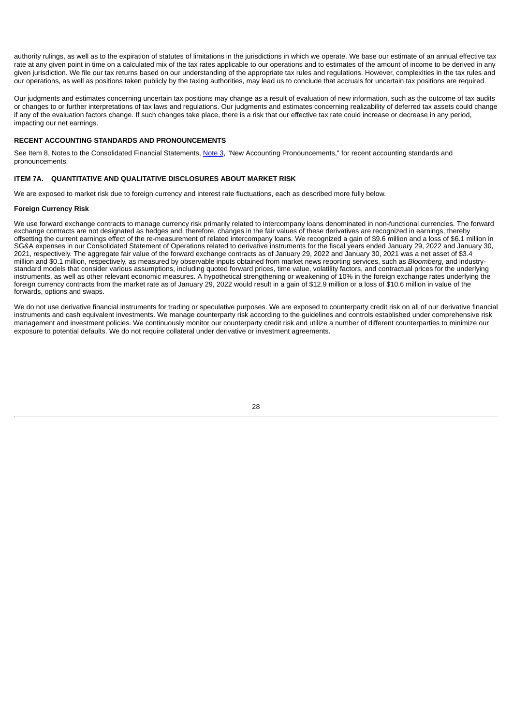authority rulings, as well as to the expiration of statutes of limitations in the jurisdictions in which we operate. We base our estimate of an annual effective tax rate at any given point in time on a calculated mix of the tax rates applicable to our operations and to estimates of the amount of income to be derived in any given jurisdiction. We file our tax returns based on our understanding of the appropriate tax rules and regulations. However, complexities in the tax rules and our operations, as well as positions taken publicly by the taxing authorities, may lead us to conclude that accruals for uncertain tax positions are required.

Our judgments and estimates concerning uncertain tax positions may change as a result of evaluation of new information, such as the outcome of tax audits or changes to or further interpretations of tax laws and regulations. Our judgments and estimates concerning realizability of deferred tax assets could change if any of the evaluation factors change. If such changes take place, there is a risk that our effective tax rate could increase or decrease in any period, impacting our net earnings.

#### **RECENT ACCOUNTING STANDARDS AND PRONOUNCEMENTS**

See Item 8, Notes to the Consolidated Financial Statements, [Note 3](#page-42-0), "New Accounting Pronouncements," for recent accounting standards and pronouncements.

#### <span id="page-29-0"></span>**ITEM 7A. QUANTITATIVE AND QUALITATIVE DISCLOSURES ABOUT MARKET RISK**

We are exposed to market risk due to foreign currency and interest rate fluctuations, each as described more fully below.

#### **Foreign Currency Risk**

We use forward exchange contracts to manage currency risk primarily related to intercompany loans denominated in non-functional currencies. The forward exchange contracts are not designated as hedges and, therefore, changes in the fair values of these derivatives are recognized in earnings, thereby offsetting the current earnings effect of the re-measurement of related intercompany loans. We recognized a gain of \$9.6 million and a loss of \$6.1 million in SG&A expenses in our Consolidated Statement of Operations related to derivative instruments for the fiscal years ended January 29, 2022 and January 30, 2021, respectively. The aggregate fair value of the forward exchange contracts as of January 29, 2022 and January 30, 2021 was a net asset of \$3.4 million and \$0.1 million, respectively, as measured by observable inputs obtained from market news reporting services, such as *Bloomberg*, and industrystandard models that consider various assumptions, including quoted forward prices, time value, volatility factors, and contractual prices for the underlying instruments, as well as other relevant economic measures. A hypothetical strengthening or weakening of 10% in the foreign exchange rates underlying the foreign currency contracts from the market rate as of January 29, 2022 would result in a gain of \$12.9 million or a loss of \$10.6 million in value of the forwards, options and swaps.

<span id="page-29-1"></span>We do not use derivative financial instruments for trading or speculative purposes. We are exposed to counterparty credit risk on all of our derivative financial instruments and cash equivalent investments. We manage counterparty risk according to the guidelines and controls established under comprehensive risk management and investment policies. We continuously monitor our counterparty credit risk and utilize a number of different counterparties to minimize our exposure to potential defaults. We do not require collateral under derivative or investment agreements.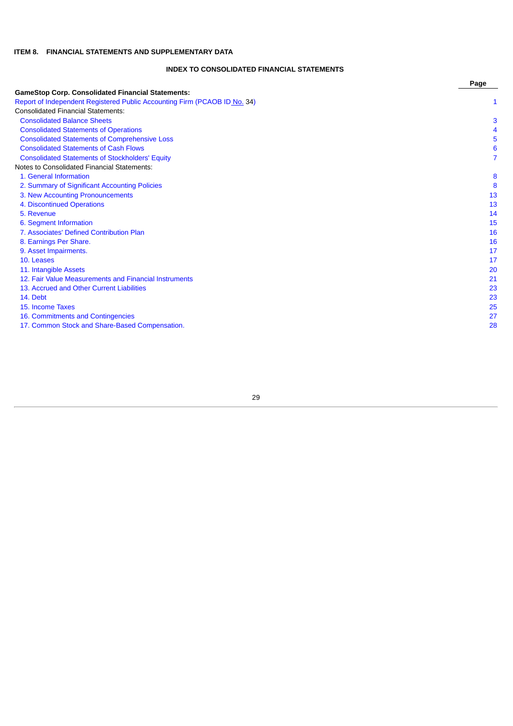# **ITEM 8. FINANCIAL STATEMENTS AND SUPPLEMENTARY DATA**

# **INDEX TO CONSOLIDATED FINANCIAL STATEMENTS**

|                                                                           | Page |
|---------------------------------------------------------------------------|------|
| <b>GameStop Corp. Consolidated Financial Statements:</b>                  |      |
| Report of Independent Registered Public Accounting Firm (PCAOB ID No. 34) |      |
| <b>Consolidated Financial Statements:</b>                                 |      |
| <b>Consolidated Balance Sheets</b>                                        | 3    |
| <b>Consolidated Statements of Operations</b>                              | 4    |
| <b>Consolidated Statements of Comprehensive Loss</b>                      | 5    |
| <b>Consolidated Statements of Cash Flows</b>                              | 6    |
| <b>Consolidated Statements of Stockholders' Equity</b>                    | 7    |
| Notes to Consolidated Financial Statements:                               |      |
| 1. General Information                                                    | 8    |
| 2. Summary of Significant Accounting Policies                             | 8    |
| 3. New Accounting Pronouncements                                          | 13   |
| 4. Discontinued Operations                                                | 13   |
| 5. Revenue                                                                | 14   |
| 6. Segment Information                                                    | 15   |
| 7. Associates' Defined Contribution Plan                                  | 16   |
| 8. Earnings Per Share.                                                    | 16   |
| 9. Asset Impairments.                                                     | 17   |
| 10. Leases                                                                | 17   |
| 11. Intangible Assets                                                     | 20   |
| 12. Fair Value Measurements and Financial Instruments                     | 21   |
| 13. Accrued and Other Current Liabilities                                 | 23   |
| 14. Debt                                                                  | 23   |
| 15. Income Taxes                                                          | 25   |
| 16. Commitments and Contingencies                                         | 27   |
| 17. Common Stock and Share-Based Compensation.                            | 28   |
|                                                                           |      |

# <span id="page-30-0"></span>29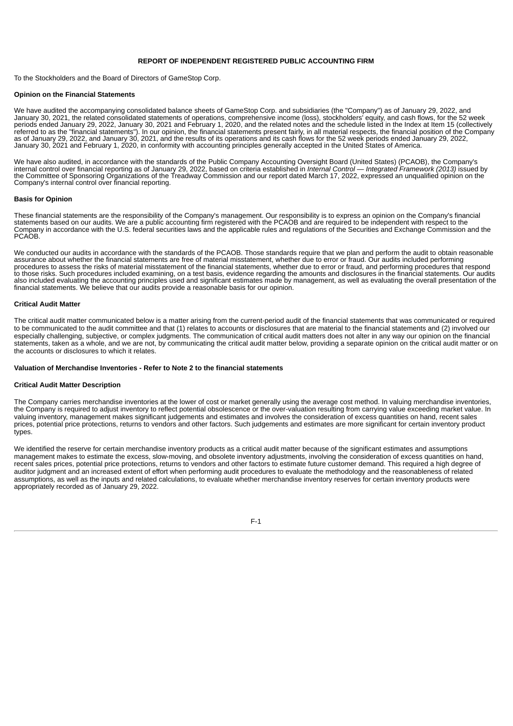#### **REPORT OF INDEPENDENT REGISTERED PUBLIC ACCOUNTING FIRM**

To the Stockholders and the Board of Directors of GameStop Corp.

#### **Opinion on the Financial Statements**

We have audited the accompanying consolidated balance sheets of GameStop Corp. and subsidiaries (the "Company") as of January 29, 2022, and January 30, 2021, the related consolidated statements of operations, comprehensive income (loss), stockholders' equity, and cash flows, for the 52 week periods ended January 29, 2022, January 30, 2021 and February 1, 2020, and the related notes and the schedule listed in the Index at Item 15 (collectively referred to as the "financial statements"). In our opinion, the financial statements present fairly, in all material respects, the financial position of the Company as of January 29, 2022, and January 30, 2021, and the results of its operations and its cash flows for the 52 week periods ended January 29, 2022, January 30, 2021 and February 1, 2020, in conformity with accounting principles generally accepted in the United States of America.

We have also audited, in accordance with the standards of the Public Company Accounting Oversight Board (United States) (PCAOB), the Company's internal control over financial reporting as of January 29, 2022, based on criteria established in *Internal Control — Integrated Framework (2013)* issued by the Committee of Sponsoring Organizations of the Treadway Commission and our report dated March 17, 2022, expressed an unqualified opinion on the Company's internal control over financial reporting.

#### **Basis for Opinion**

These financial statements are the responsibility of the Company's management. Our responsibility is to express an opinion on the Company's financial statements based on our audits. We are a public accounting firm registered with the PCAOB and are required to be independent with respect to the Company in accordance with the U.S. federal securities laws and the applicable rules and regulations of the Securities and Exchange Commission and the PCAOB.

We conducted our audits in accordance with the standards of the PCAOB. Those standards require that we plan and perform the audit to obtain reasonable assurance about whether the financial statements are free of material misstatement, whether due to error or fraud. Our audits included performing procedures to assess the risks of material misstatement of the financial statements, whether due to error or fraud, and performing procedures that respond to those risks. Such procedures included examining, on a test basis, evidence regarding the amounts and disclosures in the financial statements. Our audits also included evaluating the accounting principles used and significant estimates made by management, as well as evaluating the overall presentation of the financial statements. We believe that our audits provide a reasonable basis for our opinion.

#### **Critical Audit Matter**

The critical audit matter communicated below is a matter arising from the current-period audit of the financial statements that was communicated or required to be communicated to the audit committee and that (1) relates to accounts or disclosures that are material to the financial statements and (2) involved our especially challenging, subjective, or complex judgments. The communication of critical audit matters does not alter in any way our opinion on the financial statements, taken as a whole, and we are not, by communicating the critical audit matter below, providing a separate opinion on the critical audit matter or on the accounts or disclosures to which it relates.

#### **Valuation of Merchandise Inventories - Refer to Note 2 to the financial statements**

#### **Critical Audit Matter Description**

The Company carries merchandise inventories at the lower of cost or market generally using the average cost method. In valuing merchandise inventories, the Company is required to adjust inventory to reflect potential obsolescence or the over-valuation resulting from carrying value exceeding market value. In valuing inventory, management makes significant judgements and estimates and involves the consideration of excess quantities on hand, recent sales prices, potential price protections, returns to vendors and other factors. Such judgements and estimates are more significant for certain inventory product types.

We identified the reserve for certain merchandise inventory products as a critical audit matter because of the significant estimates and assumptions management makes to estimate the excess, slow-moving, and obsolete inventory adjustments, involving the consideration of excess quantities on hand, recent sales prices, potential price protections, returns to vendors and other factors to estimate future customer demand. This required a high degree of auditor judgment and an increased extent of effort when performing audit procedures to evaluate the methodology and the reasonableness of related assumptions, as well as the inputs and related calculations, to evaluate whether merchandise inventory reserves for certain inventory products were appropriately recorded as of January 29, 2022.

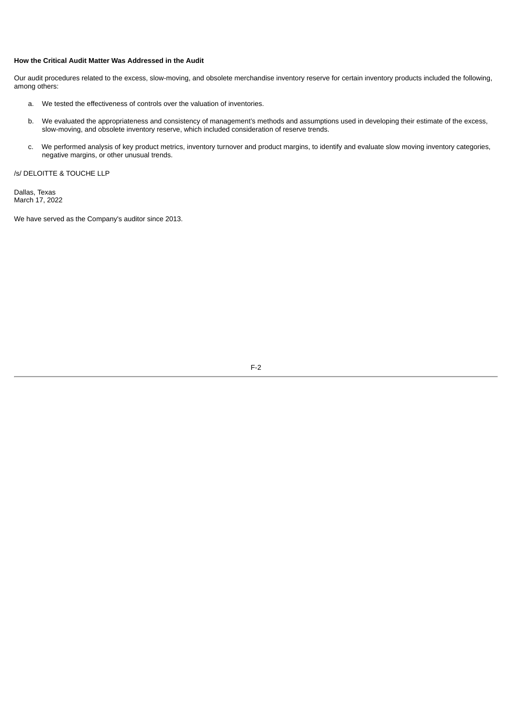# **How the Critical Audit Matter Was Addressed in the Audit**

Our audit procedures related to the excess, slow-moving, and obsolete merchandise inventory reserve for certain inventory products included the following, among others:

- a. We tested the effectiveness of controls over the valuation of inventories.
- b. We evaluated the appropriateness and consistency of management's methods and assumptions used in developing their estimate of the excess, slow-moving, and obsolete inventory reserve, which included consideration of reserve trends.
- c. We performed analysis of key product metrics, inventory turnover and product margins, to identify and evaluate slow moving inventory categories, negative margins, or other unusual trends.

/s/ DELOITTE & TOUCHE LLP

Dallas, Texas March 17, 2022

<span id="page-32-0"></span>We have served as the Company's auditor since 2013.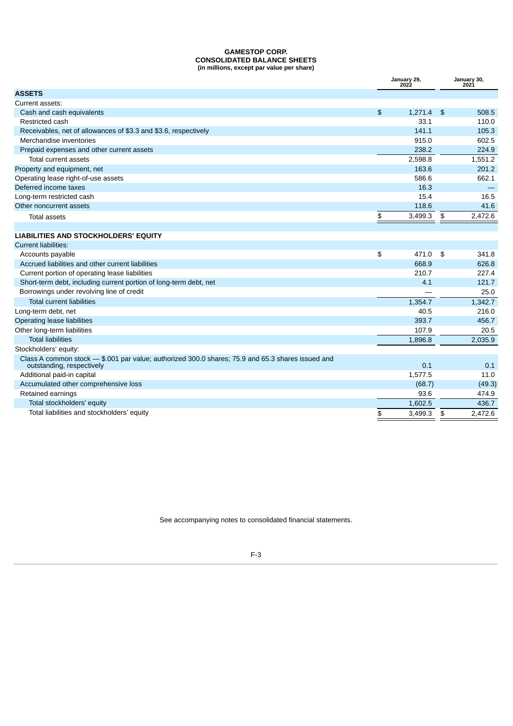#### **GAMESTOP CORP. CONSOLIDATED BALANCE SHEETS (in millions, except par value per share)**

|                                                                                                                                |    | January 29,<br>2022 |      | January 30,<br>2021 |  |
|--------------------------------------------------------------------------------------------------------------------------------|----|---------------------|------|---------------------|--|
| <b>ASSETS</b>                                                                                                                  |    |                     |      |                     |  |
| Current assets:                                                                                                                |    |                     |      |                     |  |
| Cash and cash equivalents                                                                                                      | \$ | 1.271.4             | - \$ | 508.5               |  |
| Restricted cash                                                                                                                |    | 33.1                |      | 110.0               |  |
| Receivables, net of allowances of \$3.3 and \$3.6, respectively                                                                |    | 141.1               |      | 105.3               |  |
| Merchandise inventories                                                                                                        |    | 915.0               |      | 602.5               |  |
| Prepaid expenses and other current assets                                                                                      |    | 238.2               |      | 224.9               |  |
| Total current assets                                                                                                           |    | 2,598.8             |      | 1,551.2             |  |
| Property and equipment, net                                                                                                    |    | 163.6               |      | 201.2               |  |
| Operating lease right-of-use assets                                                                                            |    | 586.6               |      | 662.1               |  |
| Deferred income taxes                                                                                                          |    | 16.3                |      |                     |  |
| Long-term restricted cash                                                                                                      |    | 15.4                |      | 16.5                |  |
| Other noncurrent assets                                                                                                        |    | 118.6               |      | 41.6                |  |
| <b>Total assets</b>                                                                                                            | \$ | 3,499.3             | \$   | 2,472.6             |  |
|                                                                                                                                |    |                     |      |                     |  |
| <b>LIABILITIES AND STOCKHOLDERS' EQUITY</b>                                                                                    |    |                     |      |                     |  |
| <b>Current liabilities:</b>                                                                                                    |    |                     |      |                     |  |
| Accounts payable                                                                                                               | \$ | 471.0               | \$   | 341.8               |  |
| Accrued liabilities and other current liabilities                                                                              |    | 668.9               |      | 626.8               |  |
| Current portion of operating lease liabilities                                                                                 |    | 210.7               |      | 227.4               |  |
| Short-term debt, including current portion of long-term debt, net                                                              |    | 4.1                 |      | 121.7               |  |
| Borrowings under revolving line of credit                                                                                      |    |                     |      | 25.0                |  |
| <b>Total current liabilities</b>                                                                                               |    | 1,354.7             |      | 1,342.7             |  |
| Long-term debt, net                                                                                                            |    | 40.5                |      | 216.0               |  |
| Operating lease liabilities                                                                                                    |    | 393.7               |      | 456.7               |  |
| Other long-term liabilities                                                                                                    |    | 107.9               |      | 20.5                |  |
| <b>Total liabilities</b>                                                                                                       |    | 1.896.8             |      | 2,035.9             |  |
| Stockholders' equity:                                                                                                          |    |                     |      |                     |  |
| Class A common stock - \$.001 par value; authorized 300.0 shares; 75.9 and 65.3 shares issued and<br>outstanding, respectively |    | 0.1                 |      | 0.1                 |  |
| Additional paid-in capital                                                                                                     |    | 1.577.5             |      | 11.0                |  |
| Accumulated other comprehensive loss                                                                                           |    | (68.7)              |      | (49.3)              |  |
| Retained earnings                                                                                                              |    | 93.6                |      | 474.9               |  |
| Total stockholders' equity                                                                                                     |    | 1.602.5             |      | 436.7               |  |
| Total liabilities and stockholders' equity                                                                                     | \$ | 3,499.3             | \$   | 2.472.6             |  |

<span id="page-33-0"></span>See accompanying notes to consolidated financial statements.

# F-3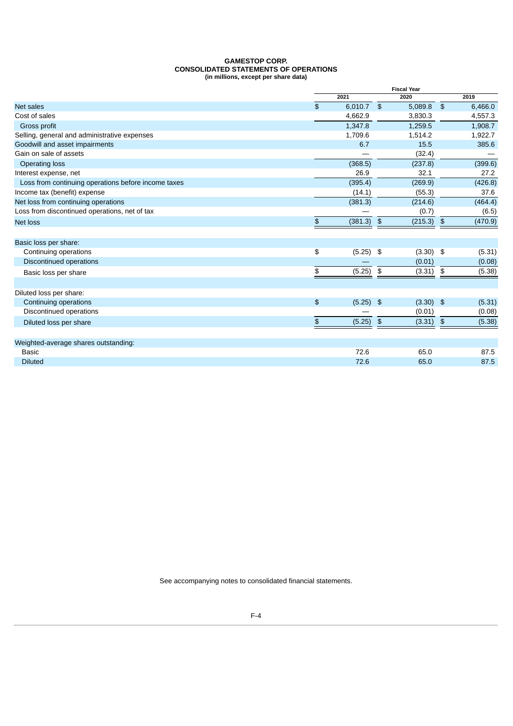#### **GAMESTOP CORP. CONSOLIDATED STATEMENTS OF OPERATIONS (in millions, except per share data)**

|                                                     |                | <b>Fiscal Year</b> |      |             |                |         |
|-----------------------------------------------------|----------------|--------------------|------|-------------|----------------|---------|
|                                                     |                | 2021               |      | 2020        |                | 2019    |
| Net sales                                           | $\mathfrak{L}$ | $6,010.7$ \$       |      | 5,089.8     | $\mathfrak{S}$ | 6,466.0 |
| Cost of sales                                       |                | 4,662.9            |      | 3,830.3     |                | 4,557.3 |
| Gross profit                                        |                | 1,347.8            |      | 1,259.5     |                | 1,908.7 |
| Selling, general and administrative expenses        |                | 1,709.6            |      | 1,514.2     |                | 1,922.7 |
| Goodwill and asset impairments                      |                | 6.7                |      | 15.5        |                | 385.6   |
| Gain on sale of assets                              |                |                    |      | (32.4)      |                |         |
| Operating loss                                      |                | (368.5)            |      | (237.8)     |                | (399.6) |
| Interest expense, net                               |                | 26.9               |      | 32.1        |                | 27.2    |
| Loss from continuing operations before income taxes |                | (395.4)            |      | (269.9)     |                | (426.8) |
| Income tax (benefit) expense                        |                | (14.1)             |      | (55.3)      |                | 37.6    |
| Net loss from continuing operations                 |                | (381.3)            |      | (214.6)     |                | (464.4) |
| Loss from discontinued operations, net of tax       |                |                    |      | (0.7)       |                | (6.5)   |
| <b>Net loss</b>                                     | \$             | (381.3)            | \$   | (215.3)     | $\frac{1}{2}$  | (470.9) |
|                                                     |                |                    |      |             |                |         |
| Basic loss per share:                               |                |                    |      |             |                |         |
| Continuing operations                               | \$             | (5.25)             | - \$ | $(3.30)$ \$ |                | (5.31)  |
| Discontinued operations                             |                |                    |      | (0.01)      |                | (0.08)  |
| Basic loss per share                                | \$             | (5.25)             | \$   | (3.31)      | \$             | (5.38)  |
|                                                     |                |                    |      |             |                |         |
| Diluted loss per share:                             |                |                    |      |             |                |         |
| Continuing operations                               | \$             | $(5.25)$ \$        |      | $(3.30)$ \$ |                | (5.31)  |
| Discontinued operations                             |                |                    |      | (0.01)      |                | (0.08)  |
| Diluted loss per share                              | \$             | (5.25)             | \$   | (3.31)      | $\frac{2}{3}$  | (5.38)  |
|                                                     |                |                    |      |             |                |         |
| Weighted-average shares outstanding:                |                |                    |      |             |                |         |
| <b>Basic</b>                                        |                | 72.6               |      | 65.0        |                | 87.5    |
| <b>Diluted</b>                                      |                | 72.6               |      | 65.0        |                | 87.5    |

<span id="page-34-0"></span>See accompanying notes to consolidated financial statements.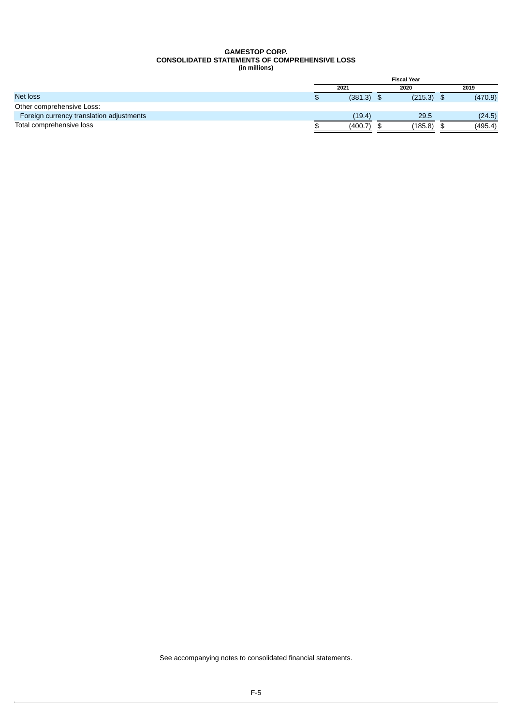#### **GAMESTOP CORP. CONSOLIDATED STATEMENTS OF COMPREHENSIVE LOSS (in millions)**

|                                          | <b>Fiscal Year</b> |  |              |  |         |
|------------------------------------------|--------------------|--|--------------|--|---------|
|                                          | 2021<br>2020       |  | 2019         |  |         |
| Net loss                                 | $(381.3)$ \$       |  | $(215.3)$ \$ |  | (470.9) |
| Other comprehensive Loss:                |                    |  |              |  |         |
| Foreign currency translation adjustments | (19.4)             |  | 29.5         |  | (24.5)  |
| Total comprehensive loss                 | (400.7)            |  | (185.8)      |  | (495.4) |

<span id="page-35-0"></span>See accompanying notes to consolidated financial statements.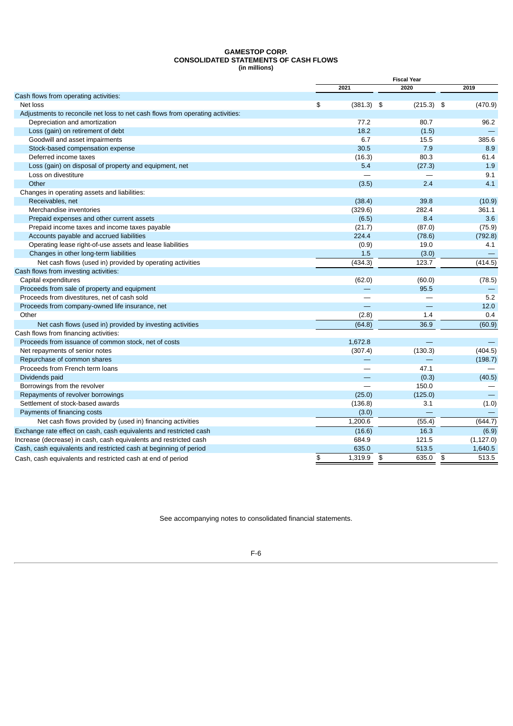### **GAMESTOP CORP. CONSOLIDATED STATEMENTS OF CASH FLOWS (in millions)**

|                                                                                                                                                                                                                                                                                                                                                                                                                                                                                                   | <b>Fiscal Year</b>                                            |                                                                        |  |                                                                                  |
|---------------------------------------------------------------------------------------------------------------------------------------------------------------------------------------------------------------------------------------------------------------------------------------------------------------------------------------------------------------------------------------------------------------------------------------------------------------------------------------------------|---------------------------------------------------------------|------------------------------------------------------------------------|--|----------------------------------------------------------------------------------|
|                                                                                                                                                                                                                                                                                                                                                                                                                                                                                                   | 2021                                                          | 2020                                                                   |  | 2019                                                                             |
| Cash flows from operating activities:                                                                                                                                                                                                                                                                                                                                                                                                                                                             |                                                               |                                                                        |  |                                                                                  |
| Net loss                                                                                                                                                                                                                                                                                                                                                                                                                                                                                          | \$<br>$(381.3)$ \$                                            | $(215.3)$ \$                                                           |  | (470.9)                                                                          |
| Adjustments to reconcile net loss to net cash flows from operating activities:                                                                                                                                                                                                                                                                                                                                                                                                                    |                                                               |                                                                        |  |                                                                                  |
| Depreciation and amortization                                                                                                                                                                                                                                                                                                                                                                                                                                                                     | 77.2                                                          | 80.7                                                                   |  | 96.2                                                                             |
| Loss (gain) on retirement of debt                                                                                                                                                                                                                                                                                                                                                                                                                                                                 | 18.2                                                          | (1.5)                                                                  |  | $\overline{\phantom{0}}$                                                         |
| Goodwill and asset impairments                                                                                                                                                                                                                                                                                                                                                                                                                                                                    | 6.7                                                           | 15.5                                                                   |  | 385.6                                                                            |
| Stock-based compensation expense                                                                                                                                                                                                                                                                                                                                                                                                                                                                  | 30.5                                                          | 7.9                                                                    |  | 8.9                                                                              |
| Deferred income taxes                                                                                                                                                                                                                                                                                                                                                                                                                                                                             | (16.3)                                                        | 80.3                                                                   |  | 61.4                                                                             |
| Loss (gain) on disposal of property and equipment, net                                                                                                                                                                                                                                                                                                                                                                                                                                            | 5.4                                                           | (27.3)                                                                 |  | 1.9                                                                              |
| Loss on divestiture                                                                                                                                                                                                                                                                                                                                                                                                                                                                               |                                                               |                                                                        |  | 9.1                                                                              |
| Other                                                                                                                                                                                                                                                                                                                                                                                                                                                                                             | (3.5)                                                         | 2.4                                                                    |  | 4.1                                                                              |
| Changes in operating assets and liabilities:                                                                                                                                                                                                                                                                                                                                                                                                                                                      |                                                               |                                                                        |  |                                                                                  |
| Receivables, net                                                                                                                                                                                                                                                                                                                                                                                                                                                                                  | (38.4)                                                        | 39.8                                                                   |  | (10.9)                                                                           |
| Merchandise inventories                                                                                                                                                                                                                                                                                                                                                                                                                                                                           | (329.6)                                                       | 282.4                                                                  |  | 361.1                                                                            |
| Prepaid expenses and other current assets                                                                                                                                                                                                                                                                                                                                                                                                                                                         | (6.5)                                                         | 8.4                                                                    |  | 3.6                                                                              |
| Prepaid income taxes and income taxes payable                                                                                                                                                                                                                                                                                                                                                                                                                                                     | (21.7)                                                        | (87.0)                                                                 |  | (75.9)                                                                           |
| Accounts payable and accrued liabilities                                                                                                                                                                                                                                                                                                                                                                                                                                                          | 224.4                                                         | (78.6)                                                                 |  | (792.8)                                                                          |
| Operating lease right-of-use assets and lease liabilities                                                                                                                                                                                                                                                                                                                                                                                                                                         | (0.9)                                                         | 19.0                                                                   |  | 4.1                                                                              |
| Changes in other long-term liabilities                                                                                                                                                                                                                                                                                                                                                                                                                                                            | 1.5                                                           | (3.0)                                                                  |  |                                                                                  |
| Net cash flows (used in) provided by operating activities                                                                                                                                                                                                                                                                                                                                                                                                                                         | (434.3)                                                       | 123.7                                                                  |  | (414.5)                                                                          |
| Cash flows from investing activities:                                                                                                                                                                                                                                                                                                                                                                                                                                                             |                                                               |                                                                        |  |                                                                                  |
| Capital expenditures                                                                                                                                                                                                                                                                                                                                                                                                                                                                              | (62.0)                                                        | (60.0)                                                                 |  | (78.5)                                                                           |
| Proceeds from sale of property and equipment                                                                                                                                                                                                                                                                                                                                                                                                                                                      | $\overline{\phantom{0}}$                                      | 95.5                                                                   |  |                                                                                  |
| Proceeds from divestitures, net of cash sold                                                                                                                                                                                                                                                                                                                                                                                                                                                      |                                                               |                                                                        |  | 5.2                                                                              |
| Proceeds from company-owned life insurance, net                                                                                                                                                                                                                                                                                                                                                                                                                                                   | –                                                             |                                                                        |  | 12.0                                                                             |
| Other                                                                                                                                                                                                                                                                                                                                                                                                                                                                                             | (2.8)                                                         | 1.4                                                                    |  | 0.4                                                                              |
| Net cash flows (used in) provided by investing activities                                                                                                                                                                                                                                                                                                                                                                                                                                         | (64.8)                                                        | 36.9                                                                   |  | (60.9)                                                                           |
| Cash flows from financing activities:                                                                                                                                                                                                                                                                                                                                                                                                                                                             |                                                               |                                                                        |  |                                                                                  |
| Proceeds from issuance of common stock, net of costs                                                                                                                                                                                                                                                                                                                                                                                                                                              | 1,672.8                                                       |                                                                        |  |                                                                                  |
| Net repayments of senior notes                                                                                                                                                                                                                                                                                                                                                                                                                                                                    | (307.4)                                                       | (130.3)                                                                |  | (404.5)                                                                          |
| Repurchase of common shares                                                                                                                                                                                                                                                                                                                                                                                                                                                                       |                                                               |                                                                        |  |                                                                                  |
|                                                                                                                                                                                                                                                                                                                                                                                                                                                                                                   |                                                               | 47.1                                                                   |  |                                                                                  |
|                                                                                                                                                                                                                                                                                                                                                                                                                                                                                                   |                                                               |                                                                        |  |                                                                                  |
|                                                                                                                                                                                                                                                                                                                                                                                                                                                                                                   | $\overline{\phantom{0}}$                                      | 150.0                                                                  |  |                                                                                  |
|                                                                                                                                                                                                                                                                                                                                                                                                                                                                                                   | (25.0)                                                        |                                                                        |  |                                                                                  |
| Settlement of stock-based awards                                                                                                                                                                                                                                                                                                                                                                                                                                                                  | (136.8)                                                       | 3.1                                                                    |  |                                                                                  |
|                                                                                                                                                                                                                                                                                                                                                                                                                                                                                                   |                                                               |                                                                        |  |                                                                                  |
|                                                                                                                                                                                                                                                                                                                                                                                                                                                                                                   |                                                               |                                                                        |  |                                                                                  |
|                                                                                                                                                                                                                                                                                                                                                                                                                                                                                                   |                                                               |                                                                        |  |                                                                                  |
|                                                                                                                                                                                                                                                                                                                                                                                                                                                                                                   |                                                               |                                                                        |  |                                                                                  |
|                                                                                                                                                                                                                                                                                                                                                                                                                                                                                                   |                                                               |                                                                        |  |                                                                                  |
|                                                                                                                                                                                                                                                                                                                                                                                                                                                                                                   |                                                               |                                                                        |  |                                                                                  |
| Proceeds from French term loans<br>Dividends paid<br>Borrowings from the revolver<br>Repayments of revolver borrowings<br>Payments of financing costs<br>Net cash flows provided by (used in) financing activities<br>Exchange rate effect on cash, cash equivalents and restricted cash<br>Increase (decrease) in cash, cash equivalents and restricted cash<br>Cash, cash equivalents and restricted cash at beginning of period<br>Cash, cash equivalents and restricted cash at end of period | \$<br>(3.0)<br>1,200.6<br>(16.6)<br>684.9<br>635.0<br>1,319.9 | (0.3)<br>(125.0)<br>(55.4)<br>16.3<br>121.5<br>513.5<br>635.0 \$<br>\$ |  | (198.7)<br>(40.5)<br>(1.0)<br>(644.7)<br>(6.9)<br>(1, 127.0)<br>1,640.5<br>513.5 |

See accompanying notes to consolidated financial statements.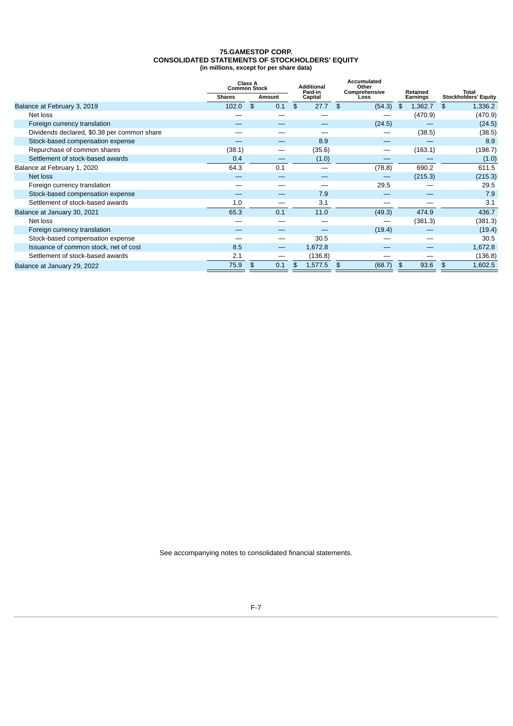#### **75.GAMESTOP CORP. CONSOLIDATED STATEMENTS OF STOCKHOLDERS' EQUITY (in millions, except for per share data)**

|                                             | <b>Common Stock</b> | <b>Class A</b> |                          | <b>Additional</b><br>Paid-in |         | Other<br><b>Comprehensive</b> |                 |     |         |               |  |  |          | <b>Accumulated</b>          |  |  |  |  | Retained | <b>Total</b> |
|---------------------------------------------|---------------------|----------------|--------------------------|------------------------------|---------|-------------------------------|-----------------|-----|---------|---------------|--|--|----------|-----------------------------|--|--|--|--|----------|--------------|
|                                             | <b>Shares</b>       |                | Amount                   |                              |         |                               | Capital<br>Loss |     |         |               |  |  | Earnings | <b>Stockholders' Equity</b> |  |  |  |  |          |              |
| Balance at February 3, 2019                 | 102.0               | \$             | 0.1                      | $\mathfrak{L}$               | 27.7    | \$                            | (54.3)          | -\$ | 1,362.7 | \$<br>1,336.2 |  |  |          |                             |  |  |  |  |          |              |
| Net loss                                    |                     |                |                          |                              |         |                               |                 |     | (470.9) | (470.9)       |  |  |          |                             |  |  |  |  |          |              |
| Foreign currency translation                |                     |                |                          |                              |         |                               | (24.5)          |     |         | (24.5)        |  |  |          |                             |  |  |  |  |          |              |
| Dividends declared, \$0.38 per common share |                     |                |                          |                              |         |                               |                 |     | (38.5)  | (38.5)        |  |  |          |                             |  |  |  |  |          |              |
| Stock-based compensation expense            |                     |                |                          |                              | 8.9     |                               |                 |     |         | 8.9           |  |  |          |                             |  |  |  |  |          |              |
| Repurchase of common shares                 | (38.1)              |                |                          |                              | (35.6)  |                               |                 |     | (163.1) | (198.7)       |  |  |          |                             |  |  |  |  |          |              |
| Settlement of stock-based awards            | 0.4                 |                |                          |                              | (1.0)   |                               |                 |     |         | (1.0)         |  |  |          |                             |  |  |  |  |          |              |
| Balance at February 1, 2020                 | 64.3                |                | 0.1                      |                              |         |                               | (78.8)          |     | 690.2   | 611.5         |  |  |          |                             |  |  |  |  |          |              |
| Net loss                                    |                     |                |                          |                              |         |                               |                 |     | (215.3) | (215.3)       |  |  |          |                             |  |  |  |  |          |              |
| Foreign currency translation                |                     |                |                          |                              |         |                               | 29.5            |     |         | 29.5          |  |  |          |                             |  |  |  |  |          |              |
| Stock-based compensation expense            |                     |                |                          |                              | 7.9     |                               |                 |     |         | 7.9           |  |  |          |                             |  |  |  |  |          |              |
| Settlement of stock-based awards            | 1.0                 |                |                          |                              | 3.1     |                               |                 |     |         | 3.1           |  |  |          |                             |  |  |  |  |          |              |
| Balance at January 30, 2021                 | 65.3                |                | 0.1                      |                              | 11.0    |                               | (49.3)          |     | 474.9   | 436.7         |  |  |          |                             |  |  |  |  |          |              |
| Net loss                                    |                     |                |                          |                              |         |                               |                 |     | (381.3) | (381.3)       |  |  |          |                             |  |  |  |  |          |              |
| Foreign currency translation                |                     |                |                          |                              |         |                               | (19.4)          |     |         | (19.4)        |  |  |          |                             |  |  |  |  |          |              |
| Stock-based compensation expense            |                     |                |                          |                              | 30.5    |                               |                 |     |         | 30.5          |  |  |          |                             |  |  |  |  |          |              |
| Issuance of common stock, net of cost       | 8.5                 |                | $\overline{\phantom{0}}$ |                              | 1,672.8 |                               |                 |     |         | 1,672.8       |  |  |          |                             |  |  |  |  |          |              |
| Settlement of stock-based awards            | 2.1                 |                |                          |                              | (136.8) |                               |                 |     |         | (136.8)       |  |  |          |                             |  |  |  |  |          |              |
| Balance at January 29, 2022                 | 75.9                | \$             | 0.1                      | \$                           | 1,577.5 | \$                            | (68.7)          | \$  | 93.6    | \$<br>1,602.5 |  |  |          |                             |  |  |  |  |          |              |

See accompanying notes to consolidated financial statements.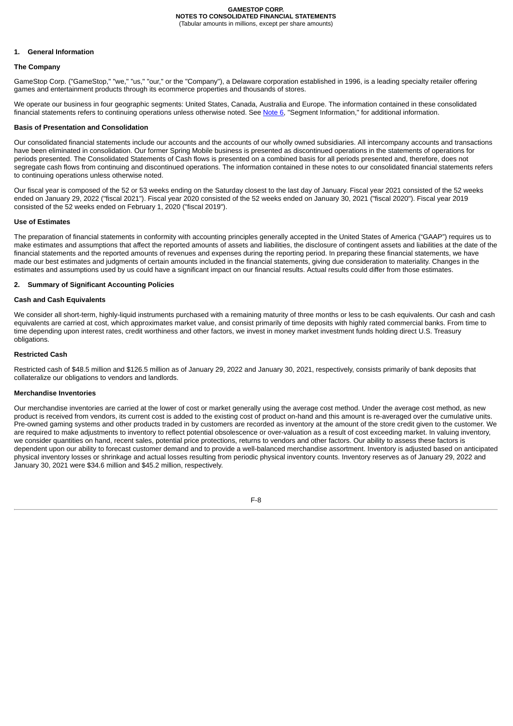# **1. General Information**

### **The Company**

GameStop Corp. ("GameStop," "we," "us," "our," or the "Company"), a Delaware corporation established in 1996, is a leading specialty retailer offering games and entertainment products through its ecommerce properties and thousands of stores.

We operate our business in four geographic segments: United States, Canada, Australia and Europe. The information contained in these consolidated financial statements refers to continuing operations unless otherwise noted. See [Note 6,](#page-45-0) "Segment Information," for additional information.

### **Basis of Presentation and Consolidation**

Our consolidated financial statements include our accounts and the accounts of our wholly owned subsidiaries. All intercompany accounts and transactions have been eliminated in consolidation. Our former Spring Mobile business is presented as discontinued operations in the statements of operations for periods presented. The Consolidated Statements of Cash flows is presented on a combined basis for all periods presented and, therefore, does not segregate cash flows from continuing and discontinued operations. The information contained in these notes to our consolidated financial statements refers to continuing operations unless otherwise noted.

Our fiscal year is composed of the 52 or 53 weeks ending on the Saturday closest to the last day of January. Fiscal year 2021 consisted of the 52 weeks ended on January 29, 2022 ("fiscal 2021"). Fiscal year 2020 consisted of the 52 weeks ended on January 30, 2021 ("fiscal 2020"). Fiscal year 2019 consisted of the 52 weeks ended on February 1, 2020 ("fiscal 2019").

### **Use of Estimates**

The preparation of financial statements in conformity with accounting principles generally accepted in the United States of America ("GAAP") requires us to make estimates and assumptions that affect the reported amounts of assets and liabilities, the disclosure of contingent assets and liabilities at the date of the financial statements and the reported amounts of revenues and expenses during the reporting period. In preparing these financial statements, we have made our best estimates and judgments of certain amounts included in the financial statements, giving due consideration to materiality. Changes in the estimates and assumptions used by us could have a significant impact on our financial results. Actual results could differ from those estimates.

### <span id="page-38-0"></span>**2. Summary of Significant Accounting Policies**

## **Cash and Cash Equivalents**

We consider all short-term, highly-liquid instruments purchased with a remaining maturity of three months or less to be cash equivalents. Our cash and cash equivalents are carried at cost, which approximates market value, and consist primarily of time deposits with highly rated commercial banks. From time to time depending upon interest rates, credit worthiness and other factors, we invest in money market investment funds holding direct U.S. Treasury obligations.

# **Restricted Cash**

Restricted cash of \$48.5 million and \$126.5 million as of January 29, 2022 and January 30, 2021, respectively, consists primarily of bank deposits that collateralize our obligations to vendors and landlords.

## **Merchandise Inventories**

Our merchandise inventories are carried at the lower of cost or market generally using the average cost method. Under the average cost method, as new product is received from vendors, its current cost is added to the existing cost of product on-hand and this amount is re-averaged over the cumulative units. Pre-owned gaming systems and other products traded in by customers are recorded as inventory at the amount of the store credit given to the customer. We are required to make adjustments to inventory to reflect potential obsolescence or over-valuation as a result of cost exceeding market. In valuing inventory, we consider quantities on hand, recent sales, potential price protections, returns to vendors and other factors. Our ability to assess these factors is dependent upon our ability to forecast customer demand and to provide a well-balanced merchandise assortment. Inventory is adjusted based on anticipated physical inventory losses or shrinkage and actual losses resulting from periodic physical inventory counts. Inventory reserves as of January 29, 2022 and January 30, 2021 were \$34.6 million and \$45.2 million, respectively.

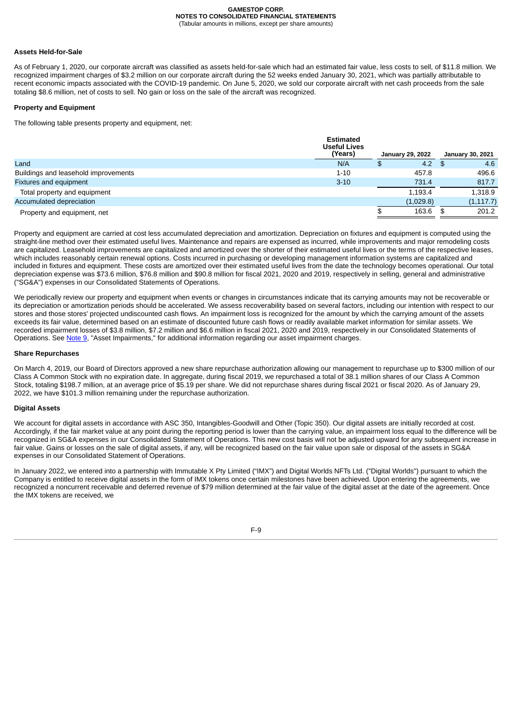### **Assets Held-for-Sale**

As of February 1, 2020, our corporate aircraft was classified as assets held-for-sale which had an estimated fair value, less costs to sell, of \$11.8 million. We recognized impairment charges of \$3.2 million on our corporate aircraft during the 52 weeks ended January 30, 2021, which was partially attributable to recent economic impacts associated with the COVID-19 pandemic. On June 5, 2020, we sold our corporate aircraft with net cash proceeds from the sale totaling \$8.6 million, net of costs to sell. No gain or loss on the sale of the aircraft was recognized.

### **Property and Equipment**

The following table presents property and equipment, net:

| <b>Useful Lives</b> |         |                  |                         |            |
|---------------------|---------|------------------|-------------------------|------------|
|                     |         |                  | <b>January 30, 2021</b> |            |
| N/A                 | \$      | 4.2              |                         | 4.6        |
| $1 - 10$            |         | 457.8            |                         | 496.6      |
| $3 - 10$            |         | 731.4            |                         | 817.7      |
|                     |         | 1.193.4          |                         | 1,318.9    |
|                     |         | (1,029.8)        |                         | (1, 117.7) |
|                     |         | 163.6            |                         | 201.2      |
|                     | (Years) | <b>Estimated</b> | <b>January 29, 2022</b> | - \$       |

Property and equipment are carried at cost less accumulated depreciation and amortization. Depreciation on fixtures and equipment is computed using the straight-line method over their estimated useful lives. Maintenance and repairs are expensed as incurred, while improvements and major remodeling costs are capitalized. Leasehold improvements are capitalized and amortized over the shorter of their estimated useful lives or the terms of the respective leases, which includes reasonably certain renewal options. Costs incurred in purchasing or developing management information systems are capitalized and included in fixtures and equipment. These costs are amortized over their estimated useful lives from the date the technology becomes operational. Our total depreciation expense was \$73.6 million, \$76.8 million and \$90.8 million for fiscal 2021, 2020 and 2019, respectively in selling, general and administrative ("SG&A") expenses in our Consolidated Statements of Operations.

We periodically review our property and equipment when events or changes in circumstances indicate that its carrying amounts may not be recoverable or its depreciation or amortization periods should be accelerated. We assess recoverability based on several factors, including our intention with respect to our stores and those stores' projected undiscounted cash flows. An impairment loss is recognized for the amount by which the carrying amount of the assets exceeds its fair value, determined based on an estimate of discounted future cash flows or readily available market information for similar assets. We recorded impairment losses of \$3.8 million, \$7.2 million and \$6.6 million in fiscal 2021, 2020 and 2019, respectively in our Consolidated Statements of Operations. See [Note 9](#page-47-0), "Asset Impairments," for additional information regarding our asset impairment charges.

## **Share Repurchases**

On March 4, 2019, our Board of Directors approved a new share repurchase authorization allowing our management to repurchase up to \$300 million of our Class A Common Stock with no expiration date. In aggregate, during fiscal 2019, we repurchased a total of 38.1 million shares of our Class A Common Stock, totaling \$198.7 million, at an average price of \$5.19 per share. We did not repurchase shares during fiscal 2021 or fiscal 2020. As of January 29, 2022, we have \$101.3 million remaining under the repurchase authorization.

#### **Digital Assets**

We account for digital assets in accordance with ASC 350, Intangibles-Goodwill and Other (Topic 350). Our digital assets are initially recorded at cost. Accordingly, if the fair market value at any point during the reporting period is lower than the carrying value, an impairment loss equal to the difference will be recognized in SG&A expenses in our Consolidated Statement of Operations. This new cost basis will not be adjusted upward for any subsequent increase in fair value. Gains or losses on the sale of digital assets, if any, will be recognized based on the fair value upon sale or disposal of the assets in SG&A expenses in our Consolidated Statement of Operations.

In January 2022, we entered into a partnership with Immutable X Pty Limited ("IMX") and Digital Worlds NFTs Ltd. ("Digital Worlds") pursuant to which the Company is entitled to receive digital assets in the form of IMX tokens once certain milestones have been achieved. Upon entering the agreements, we recognized a noncurrent receivable and deferred revenue of \$79 million determined at the fair value of the digital asset at the date of the agreement. Once the IMX tokens are received, we

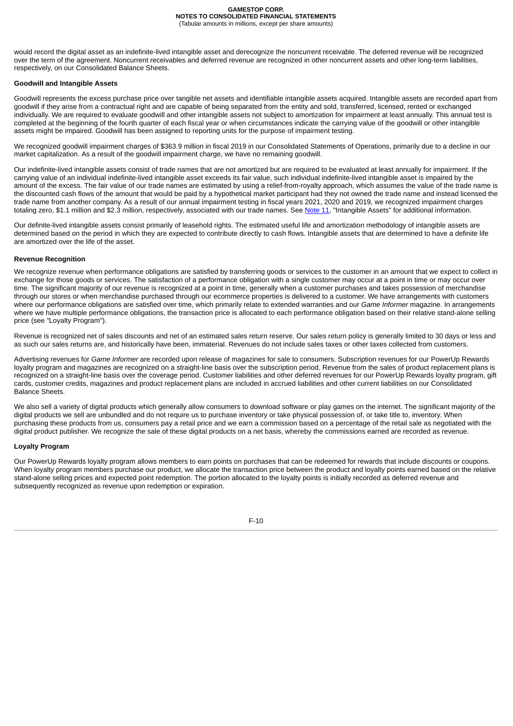would record the digital asset as an indefinite-lived intangible asset and derecognize the noncurrent receivable. The deferred revenue will be recognized over the term of the agreement. Noncurrent receivables and deferred revenue are recognized in other noncurrent assets and other long-term liabilities, respectively, on our Consolidated Balance Sheets.

### **Goodwill and Intangible Assets**

Goodwill represents the excess purchase price over tangible net assets and identifiable intangible assets acquired. Intangible assets are recorded apart from goodwill if they arise from a contractual right and are capable of being separated from the entity and sold, transferred, licensed, rented or exchanged individually. We are required to evaluate goodwill and other intangible assets not subject to amortization for impairment at least annually. This annual test is completed at the beginning of the fourth quarter of each fiscal year or when circumstances indicate the carrying value of the goodwill or other intangible assets might be impaired. Goodwill has been assigned to reporting units for the purpose of impairment testing.

We recognized goodwill impairment charges of \$363.9 million in fiscal 2019 in our Consolidated Statements of Operations, primarily due to a decline in our market capitalization. As a result of the goodwill impairment charge, we have no remaining goodwill.

Our indefinite-lived intangible assets consist of trade names that are not amortized but are required to be evaluated at least annually for impairment. If the carrying value of an individual indefinite-lived intangible asset exceeds its fair value, such individual indefinite-lived intangible asset is impaired by the amount of the excess. The fair value of our trade names are estimated by using a relief-from-royalty approach, which assumes the value of the trade name is the discounted cash flows of the amount that would be paid by a hypothetical market participant had they not owned the trade name and instead licensed the trade name from another company. As a result of our annual impairment testing in fiscal years 2021, 2020 and 2019, we recognized impairment charges totaling zero, \$1.1 million and \$2.3 million, respectively, associated with our trade names. See [Note 11](#page-49-0), "Intangible Assets" for additional information.

Our definite-lived intangible assets consist primarily of leasehold rights. The estimated useful life and amortization methodology of intangible assets are determined based on the period in which they are expected to contribute directly to cash flows. Intangible assets that are determined to have a definite life are amortized over the life of the asset.

## **Revenue Recognition**

We recognize revenue when performance obligations are satisfied by transferring goods or services to the customer in an amount that we expect to collect in exchange for those goods or services. The satisfaction of a performance obligation with a single customer may occur at a point in time or may occur over time. The significant majority of our revenue is recognized at a point in time, generally when a customer purchases and takes possession of merchandise through our stores or when merchandise purchased through our ecommerce properties is delivered to a customer. We have arrangements with customers where our performance obligations are satisfied over time, which primarily relate to extended warranties and our *Game Informer* magazine. In arrangements where we have multiple performance obligations, the transaction price is allocated to each performance obligation based on their relative stand-alone selling price (see "Loyalty Program").

Revenue is recognized net of sales discounts and net of an estimated sales return reserve. Our sales return policy is generally limited to 30 days or less and as such our sales returns are, and historically have been, immaterial. Revenues do not include sales taxes or other taxes collected from customers.

Advertising revenues for *Game Informer* are recorded upon release of magazines for sale to consumers. Subscription revenues for our PowerUp Rewards loyalty program and magazines are recognized on a straight-line basis over the subscription period. Revenue from the sales of product replacement plans is recognized on a straight-line basis over the coverage period. Customer liabilities and other deferred revenues for our PowerUp Rewards loyalty program, gift cards, customer credits, magazines and product replacement plans are included in accrued liabilities and other current liabilities on our Consolidated Balance Sheets.

We also sell a variety of digital products which generally allow consumers to download software or play games on the internet. The significant majority of the digital products we sell are unbundled and do not require us to purchase inventory or take physical possession of, or take title to, inventory. When purchasing these products from us, consumers pay a retail price and we earn a commission based on a percentage of the retail sale as negotiated with the digital product publisher. We recognize the sale of these digital products on a net basis, whereby the commissions earned are recorded as revenue.

### **Loyalty Program**

Our PowerUp Rewards loyalty program allows members to earn points on purchases that can be redeemed for rewards that include discounts or coupons. When loyalty program members purchase our product, we allocate the transaction price between the product and loyalty points earned based on the relative stand-alone selling prices and expected point redemption. The portion allocated to the loyalty points is initially recorded as deferred revenue and subsequently recognized as revenue upon redemption or expiration.

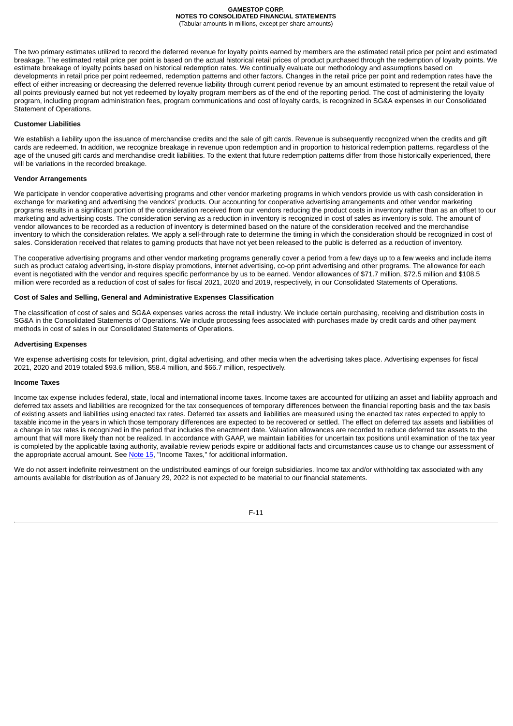The two primary estimates utilized to record the deferred revenue for loyalty points earned by members are the estimated retail price per point and estimated breakage. The estimated retail price per point is based on the actual historical retail prices of product purchased through the redemption of loyalty points. We estimate breakage of loyalty points based on historical redemption rates. We continually evaluate our methodology and assumptions based on developments in retail price per point redeemed, redemption patterns and other factors. Changes in the retail price per point and redemption rates have the effect of either increasing or decreasing the deferred revenue liability through current period revenue by an amount estimated to represent the retail value of all points previously earned but not yet redeemed by loyalty program members as of the end of the reporting period. The cost of administering the loyalty program, including program administration fees, program communications and cost of loyalty cards, is recognized in SG&A expenses in our Consolidated Statement of Operations.

### **Customer Liabilities**

We establish a liability upon the issuance of merchandise credits and the sale of gift cards. Revenue is subsequently recognized when the credits and gift cards are redeemed. In addition, we recognize breakage in revenue upon redemption and in proportion to historical redemption patterns, regardless of the age of the unused gift cards and merchandise credit liabilities. To the extent that future redemption patterns differ from those historically experienced, there will be variations in the recorded breakage.

### **Vendor Arrangements**

We participate in vendor cooperative advertising programs and other vendor marketing programs in which vendors provide us with cash consideration in exchange for marketing and advertising the vendors' products. Our accounting for cooperative advertising arrangements and other vendor marketing programs results in a significant portion of the consideration received from our vendors reducing the product costs in inventory rather than as an offset to our marketing and advertising costs. The consideration serving as a reduction in inventory is recognized in cost of sales as inventory is sold. The amount of vendor allowances to be recorded as a reduction of inventory is determined based on the nature of the consideration received and the merchandise inventory to which the consideration relates. We apply a sell-through rate to determine the timing in which the consideration should be recognized in cost of sales. Consideration received that relates to gaming products that have not yet been released to the public is deferred as a reduction of inventory.

The cooperative advertising programs and other vendor marketing programs generally cover a period from a few days up to a few weeks and include items such as product catalog advertising, in-store display promotions, internet advertising, co-op print advertising and other programs. The allowance for each event is negotiated with the vendor and requires specific performance by us to be earned. Vendor allowances of \$71.7 million, \$72.5 million and \$108.5 million were recorded as a reduction of cost of sales for fiscal 2021, 2020 and 2019, respectively, in our Consolidated Statements of Operations.

## **Cost of Sales and Selling, General and Administrative Expenses Classification**

The classification of cost of sales and SG&A expenses varies across the retail industry. We include certain purchasing, receiving and distribution costs in SG&A in the Consolidated Statements of Operations. We include processing fees associated with purchases made by credit cards and other payment methods in cost of sales in our Consolidated Statements of Operations.

## **Advertising Expenses**

We expense advertising costs for television, print, digital advertising, and other media when the advertising takes place. Advertising expenses for fiscal 2021, 2020 and 2019 totaled \$93.6 million, \$58.4 million, and \$66.7 million, respectively.

#### **Income Taxes**

Income tax expense includes federal, state, local and international income taxes. Income taxes are accounted for utilizing an asset and liability approach and deferred tax assets and liabilities are recognized for the tax consequences of temporary differences between the financial reporting basis and the tax basis of existing assets and liabilities using enacted tax rates. Deferred tax assets and liabilities are measured using the enacted tax rates expected to apply to taxable income in the years in which those temporary differences are expected to be recovered or settled. The effect on deferred tax assets and liabilities of a change in tax rates is recognized in the period that includes the enactment date. Valuation allowances are recorded to reduce deferred tax assets to the amount that will more likely than not be realized. In accordance with GAAP, we maintain liabilities for uncertain tax positions until examination of the tax year is completed by the applicable taxing authority, available review periods expire or additional facts and circumstances cause us to change our assessment of the appropriate accrual amount. See [Note 15](#page-54-0), "Income Taxes," for additional information.

We do not assert indefinite reinvestment on the undistributed earnings of our foreign subsidiaries. Income tax and/or withholding tax associated with any amounts available for distribution as of January 29, 2022 is not expected to be material to our financial statements.

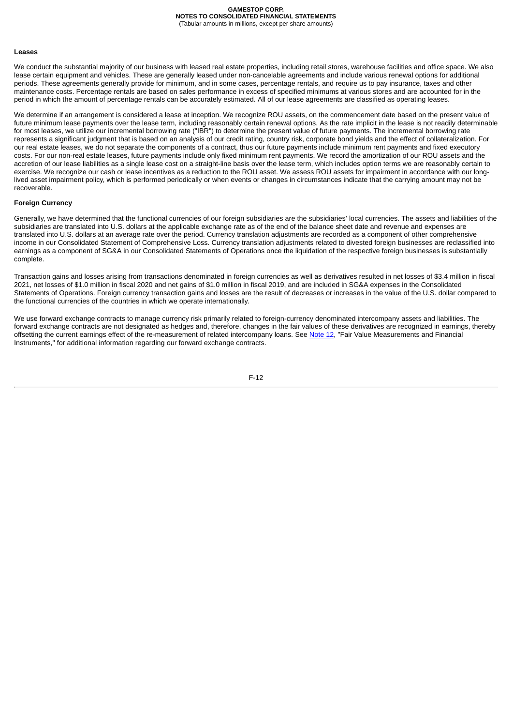#### **Leases**

We conduct the substantial majority of our business with leased real estate properties, including retail stores, warehouse facilities and office space. We also lease certain equipment and vehicles. These are generally leased under non-cancelable agreements and include various renewal options for additional periods. These agreements generally provide for minimum, and in some cases, percentage rentals, and require us to pay insurance, taxes and other maintenance costs. Percentage rentals are based on sales performance in excess of specified minimums at various stores and are accounted for in the period in which the amount of percentage rentals can be accurately estimated. All of our lease agreements are classified as operating leases.

We determine if an arrangement is considered a lease at inception. We recognize ROU assets, on the commencement date based on the present value of future minimum lease payments over the lease term, including reasonably certain renewal options. As the rate implicit in the lease is not readily determinable for most leases, we utilize our incremental borrowing rate ("IBR") to determine the present value of future payments. The incremental borrowing rate represents a significant judgment that is based on an analysis of our credit rating, country risk, corporate bond yields and the effect of collateralization. For our real estate leases, we do not separate the components of a contract, thus our future payments include minimum rent payments and fixed executory costs. For our non-real estate leases, future payments include only fixed minimum rent payments. We record the amortization of our ROU assets and the accretion of our lease liabilities as a single lease cost on a straight-line basis over the lease term, which includes option terms we are reasonably certain to exercise. We recognize our cash or lease incentives as a reduction to the ROU asset. We assess ROU assets for impairment in accordance with our longlived asset impairment policy, which is performed periodically or when events or changes in circumstances indicate that the carrying amount may not be recoverable.

### **Foreign Currency**

Generally, we have determined that the functional currencies of our foreign subsidiaries are the subsidiaries' local currencies. The assets and liabilities of the subsidiaries are translated into U.S. dollars at the applicable exchange rate as of the end of the balance sheet date and revenue and expenses are translated into U.S. dollars at an average rate over the period. Currency translation adjustments are recorded as a component of other comprehensive income in our Consolidated Statement of Comprehensive Loss. Currency translation adjustments related to divested foreign businesses are reclassified into earnings as a component of SG&A in our Consolidated Statements of Operations once the liquidation of the respective foreign businesses is substantially complete.

Transaction gains and losses arising from transactions denominated in foreign currencies as well as derivatives resulted in net losses of \$3.4 million in fiscal 2021, net losses of \$1.0 million in fiscal 2020 and net gains of \$1.0 million in fiscal 2019, and are included in SG&A expenses in the Consolidated Statements of Operations. Foreign currency transaction gains and losses are the result of decreases or increases in the value of the U.S. dollar compared to the functional currencies of the countries in which we operate internationally.

We use forward exchange contracts to manage currency risk primarily related to foreign-currency denominated intercompany assets and liabilities. The forward exchange contracts are not designated as hedges and, therefore, changes in the fair values of these derivatives are recognized in earnings, thereby offsetting the current earnings effect of the re-measurement of related intercompany loans. See [Note 12,](#page-51-0) "Fair Value Measurements and Financial Instruments," for additional information regarding our forward exchange contracts.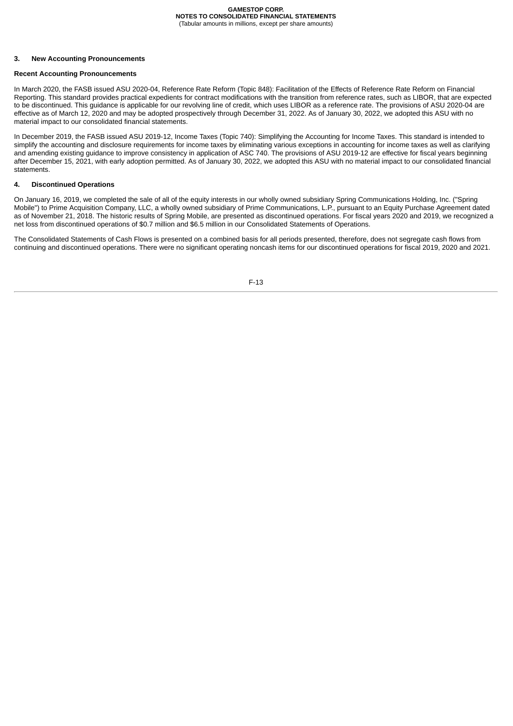### **3. New Accounting Pronouncements**

### **Recent Accounting Pronouncements**

In March 2020, the FASB issued ASU 2020-04, Reference Rate Reform (Topic 848): Facilitation of the Effects of Reference Rate Reform on Financial Reporting. This standard provides practical expedients for contract modifications with the transition from reference rates, such as LIBOR, that are expected to be discontinued. This guidance is applicable for our revolving line of credit, which uses LIBOR as a reference rate. The provisions of ASU 2020-04 are effective as of March 12, 2020 and may be adopted prospectively through December 31, 2022. As of January 30, 2022, we adopted this ASU with no material impact to our consolidated financial statements.

In December 2019, the FASB issued ASU 2019-12, Income Taxes (Topic 740): Simplifying the Accounting for Income Taxes. This standard is intended to simplify the accounting and disclosure requirements for income taxes by eliminating various exceptions in accounting for income taxes as well as clarifying and amending existing guidance to improve consistency in application of ASC 740. The provisions of ASU 2019-12 are effective for fiscal years beginning after December 15, 2021, with early adoption permitted. As of January 30, 2022, we adopted this ASU with no material impact to our consolidated financial statements.

## **4. Discontinued Operations**

On January 16, 2019, we completed the sale of all of the equity interests in our wholly owned subsidiary Spring Communications Holding, Inc. ("Spring Mobile") to Prime Acquisition Company, LLC, a wholly owned subsidiary of Prime Communications, L.P., pursuant to an Equity Purchase Agreement dated as of November 21, 2018. The historic results of Spring Mobile, are presented as discontinued operations. For fiscal years 2020 and 2019, we recognized a net loss from discontinued operations of \$0.7 million and \$6.5 million in our Consolidated Statements of Operations.

The Consolidated Statements of Cash Flows is presented on a combined basis for all periods presented, therefore, does not segregate cash flows from continuing and discontinued operations. There were no significant operating noncash items for our discontinued operations for fiscal 2019, 2020 and 2021.

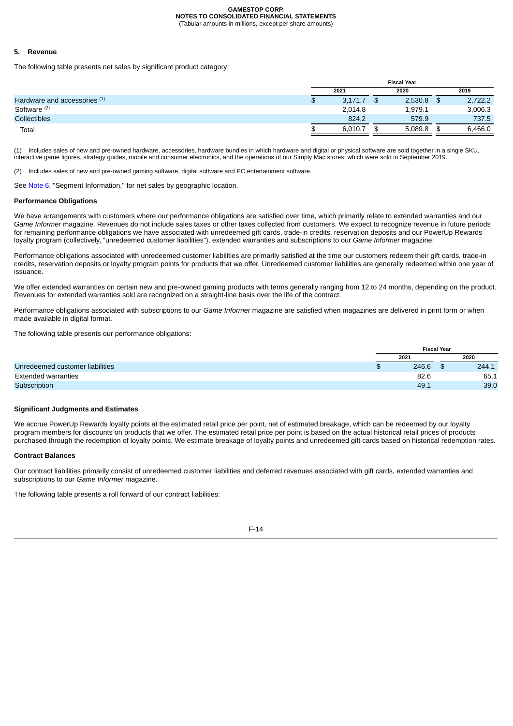### **5. Revenue**

The following table presents net sales by significant product category:

|                                         | <b>Fiscal Year</b> |         |  |         |      |         |  |  |
|-----------------------------------------|--------------------|---------|--|---------|------|---------|--|--|
|                                         |                    | 2021    |  | 2020    | 2019 |         |  |  |
| Hardware and accessories <sup>(1)</sup> | Ъ.                 | 3.171.7 |  | 2.530.8 |      | 2,722.2 |  |  |
| Software <sup>(2)</sup>                 |                    | 2,014.8 |  | 1,979.1 |      | 3,006.3 |  |  |
| <b>Collectibles</b>                     |                    | 824.2   |  | 579.9   |      | 737.5   |  |  |
| Total                                   | эъ                 | 6.010.7 |  | 5.089.8 | \$   | 6.466.0 |  |  |

(1) Includes sales of new and pre-owned hardware, accessories, hardware bundles in which hardware and digital or physical software are sold together in a single SKU, interactive game figures, strategy guides, mobile and consumer electronics, and the operations of our Simply Mac stores, which were sold in September 2019.

(2) Includes sales of new and pre-owned gaming software, digital software and PC entertainment software.

See [Note 6,](#page-45-0) "Segment Information," for net sales by geographic location.

### **Performance Obligations**

We have arrangements with customers where our performance obligations are satisfied over time, which primarily relate to extended warranties and our *Game Informer* magazine. Revenues do not include sales taxes or other taxes collected from customers. We expect to recognize revenue in future periods for remaining performance obligations we have associated with unredeemed gift cards, trade-in credits, reservation deposits and our PowerUp Rewards loyalty program (collectively, "unredeemed customer liabilities"), extended warranties and subscriptions to our *Game Informer* magazine.

Performance obligations associated with unredeemed customer liabilities are primarily satisfied at the time our customers redeem their gift cards, trade-in credits, reservation deposits or loyalty program points for products that we offer. Unredeemed customer liabilities are generally redeemed within one year of issuance.

We offer extended warranties on certain new and pre-owned gaming products with terms generally ranging from 12 to 24 months, depending on the product. Revenues for extended warranties sold are recognized on a straight-line basis over the life of the contract.

Performance obligations associated with subscriptions to our *Game Informer* magazine are satisfied when magazines are delivered in print form or when made available in digital format.

The following table presents our performance obligations:

|                                 |   |       | <b>Fiscal Year</b> |       |
|---------------------------------|---|-------|--------------------|-------|
|                                 |   | 2021  |                    | 2020  |
| Unredeemed customer liabilities | ъ | 246.6 |                    | 244.1 |
| Extended warranties             |   | 82.6  |                    | 65.1  |
| Subscription                    |   | 49.1  |                    | 39.0  |

### **Significant Judgments and Estimates**

We accrue PowerUp Rewards loyalty points at the estimated retail price per point, net of estimated breakage, which can be redeemed by our loyalty program members for discounts on products that we offer. The estimated retail price per point is based on the actual historical retail prices of products purchased through the redemption of loyalty points. We estimate breakage of loyalty points and unredeemed gift cards based on historical redemption rates.

### **Contract Balances**

Our contract liabilities primarily consist of unredeemed customer liabilities and deferred revenues associated with gift cards, extended warranties and subscriptions to our *Game Informer* magazine.

The following table presents a roll forward of our contract liabilities:

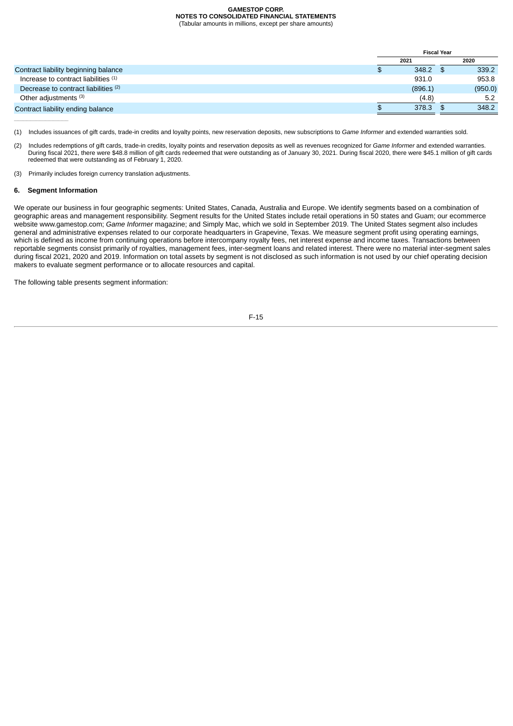|                                      |    | 2021       |  | 2020    |
|--------------------------------------|----|------------|--|---------|
| Contract liability beginning balance | \$ | $348.2$ \$ |  | 339.2   |
| Increase to contract liabilities (1) |    | 931.0      |  | 953.8   |
| Decrease to contract liabilities (2) |    | (896.1)    |  | (950.0) |
| Other adjustments (3)                |    | (4.8)      |  | 5.2     |
| Contract liability ending balance    | \$ | 378.3      |  | 348.2   |

(1) Includes issuances of gift cards, trade-in credits and loyalty points, new reservation deposits, new subscriptions to *Game Informer* and extended warranties sold.

- (2) Includes redemptions of gift cards, trade-in credits, loyalty points and reservation deposits as well as revenues recognized for *Game Informer* and extended warranties. During fiscal 2021, there were \$48.8 million of gift cards redeemed that were outstanding as of January 30, 2021. During fiscal 2020, there were \$45.1 million of gift cards redeemed that were outstanding as of February 1, 2020.
- <span id="page-45-0"></span>(3) Primarily includes foreign currency translation adjustments.

### **6. Segment Information**

We operate our business in four geographic segments: United States, Canada, Australia and Europe. We identify segments based on a combination of geographic areas and management responsibility. Segment results for the United States include retail operations in 50 states and Guam; our ecommerce website www.gamestop.com; *Game Informer* magazine; and Simply Mac, which we sold in September 2019. The United States segment also includes general and administrative expenses related to our corporate headquarters in Grapevine, Texas. We measure segment profit using operating earnings, which is defined as income from continuing operations before intercompany royalty fees, net interest expense and income taxes. Transactions between reportable segments consist primarily of royalties, management fees, inter-segment loans and related interest. There were no material inter-segment sales during fiscal 2021, 2020 and 2019. Information on total assets by segment is not disclosed as such information is not used by our chief operating decision makers to evaluate segment performance or to allocate resources and capital.

The following table presents segment information: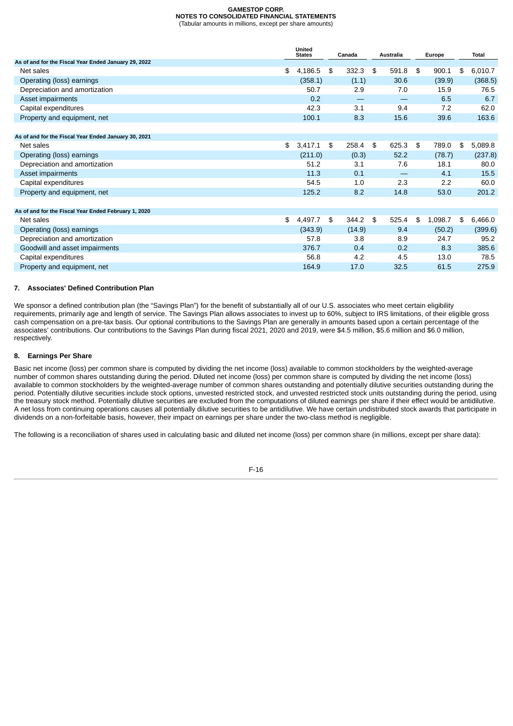|                                                      | <b>United</b><br><b>States</b> | Canada      |     | <b>Australia</b> | Europe        | <b>Total</b>  |
|------------------------------------------------------|--------------------------------|-------------|-----|------------------|---------------|---------------|
| As of and for the Fiscal Year Ended January 29, 2022 |                                |             |     |                  |               |               |
| Net sales                                            | \$<br>4,186.5                  | \$<br>332.3 | \$  | 591.8            | \$<br>900.1   | \$<br>6,010.7 |
| Operating (loss) earnings                            | (358.1)                        | (1.1)       |     | 30.6             | (39.9)        | (368.5)       |
| Depreciation and amortization                        | 50.7                           | 2.9         |     | 7.0              | 15.9          | 76.5          |
| Asset impairments                                    | 0.2                            |             |     |                  | 6.5           | 6.7           |
| Capital expenditures                                 | 42.3                           | 3.1         |     | 9.4              | 7.2           | 62.0          |
| Property and equipment, net                          | 100.1                          | 8.3         |     | 15.6             | 39.6          | 163.6         |
|                                                      |                                |             |     |                  |               |               |
| As of and for the Fiscal Year Ended January 30, 2021 |                                |             |     |                  |               |               |
| Net sales                                            | \$<br>3,417.1                  | \$<br>258.4 | -\$ | 625.3            | \$<br>789.0   | \$<br>5,089.8 |
| Operating (loss) earnings                            | (211.0)                        | (0.3)       |     | 52.2             | (78.7)        | (237.8)       |
| Depreciation and amortization                        | 51.2                           | 3.1         |     | 7.6              | 18.1          | 80.0          |
| Asset impairments                                    | 11.3                           | 0.1         |     |                  | 4.1           | 15.5          |
| Capital expenditures                                 | 54.5                           | 1.0         |     | 2.3              | 2.2           | 60.0          |
| Property and equipment, net                          | 125.2                          | 8.2         |     | 14.8             | 53.0          | 201.2         |
|                                                      |                                |             |     |                  |               |               |
| As of and for the Fiscal Year Ended February 1, 2020 |                                |             |     |                  |               |               |
| Net sales                                            | \$<br>4,497.7                  | \$<br>344.2 | \$  | 525.4            | \$<br>1,098.7 | \$<br>6,466.0 |
| Operating (loss) earnings                            | (343.9)                        | (14.9)      |     | 9.4              | (50.2)        | (399.6)       |
| Depreciation and amortization                        | 57.8                           | 3.8         |     | 8.9              | 24.7          | 95.2          |
| Goodwill and asset impairments                       | 376.7                          | 0.4         |     | 0.2              | 8.3           | 385.6         |
| Capital expenditures                                 | 56.8                           | 4.2         |     | 4.5              | 13.0          | 78.5          |
| Property and equipment, net                          | 164.9                          | 17.0        |     | 32.5             | 61.5          | 275.9         |
|                                                      |                                |             |     |                  |               |               |

# **7. Associates' Defined Contribution Plan**

We sponsor a defined contribution plan (the "Savings Plan") for the benefit of substantially all of our U.S. associates who meet certain eligibility requirements, primarily age and length of service. The Savings Plan allows associates to invest up to 60%, subject to IRS limitations, of their eligible gross cash compensation on a pre-tax basis. Our optional contributions to the Savings Plan are generally in amounts based upon a certain percentage of the associates' contributions. Our contributions to the Savings Plan during fiscal 2021, 2020 and 2019, were \$4.5 million, \$5.6 million and \$6.0 million, respectively.

### **8. Earnings Per Share**

Basic net income (loss) per common share is computed by dividing the net income (loss) available to common stockholders by the weighted-average number of common shares outstanding during the period. Diluted net income (loss) per common share is computed by dividing the net income (loss) available to common stockholders by the weighted-average number of common shares outstanding and potentially dilutive securities outstanding during the period. Potentially dilutive securities include stock options, unvested restricted stock, and unvested restricted stock units outstanding during the period, using the treasury stock method. Potentially dilutive securities are excluded from the computations of diluted earnings per share if their effect would be antidilutive. A net loss from continuing operations causes all potentially dilutive securities to be antidilutive. We have certain undistributed stock awards that participate in dividends on a non-forfeitable basis, however, their impact on earnings per share under the two-class method is negligible.

The following is a reconciliation of shares used in calculating basic and diluted net income (loss) per common share (in millions, except per share data):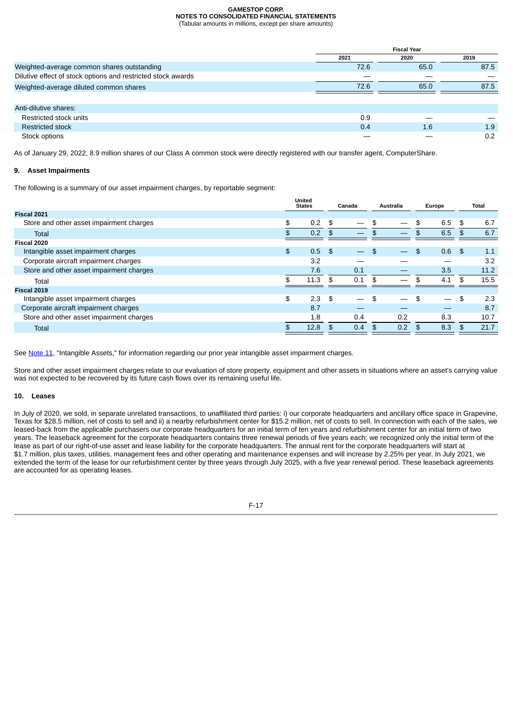|                                                              | <b>Fiscal Year</b> |      |      |  |  |
|--------------------------------------------------------------|--------------------|------|------|--|--|
|                                                              | 2021               | 2020 | 2019 |  |  |
| Weighted-average common shares outstanding                   | 72.6               | 65.0 | 87.5 |  |  |
| Dilutive effect of stock options and restricted stock awards |                    |      |      |  |  |
| Weighted-average diluted common shares                       | 72.6               | 65.0 | 87.5 |  |  |
|                                                              |                    |      |      |  |  |
| Anti-dilutive shares:                                        |                    |      |      |  |  |
| Restricted stock units                                       | 0.9                |      |      |  |  |
| <b>Restricted stock</b>                                      | 0.4                | 1.6  | 1.9  |  |  |
| Stock options                                                |                    |      | 0.2  |  |  |

<span id="page-47-0"></span>As of January 29, 2022, 8.9 million shares of our Class A common stock were directly registered with our transfer agent, ComputerShare.

## **9. Asset Impairments**

The following is a summary of our asset impairment charges, by reportable segment:

|                                          | United<br><b>States</b> |              | Canada |     | Australia                |     | Europe |     | Total |
|------------------------------------------|-------------------------|--------------|--------|-----|--------------------------|-----|--------|-----|-------|
| Fiscal 2021                              |                         |              |        |     |                          |     |        |     |       |
| Store and other asset impairment charges | \$<br>0.2               | \$           |        | \$  |                          | \$  | 6.5    | \$  | 6.7   |
| Total                                    | 0.2                     | \$           |        |     |                          | £.  | 6.5    | \$. | 6.7   |
| Fiscal 2020                              |                         |              |        |     |                          |     |        |     |       |
| Intangible asset impairment charges      | \$<br>0.5               | \$           |        | £.  | $\overline{\phantom{0}}$ | \$  | 0.6    | \$  | 1.1   |
| Corporate aircraft impairment charges    | 3.2                     |              |        |     |                          |     |        |     | 3.2   |
| Store and other asset impairment charges | 7.6                     |              | 0.1    |     |                          |     | 3.5    |     | 11.2  |
| Total                                    | 11.3                    | \$           | 0.1    | \$. |                          | \$. | 4.1    |     | 15.5  |
| Fiscal 2019                              |                         |              |        |     |                          |     |        |     |       |
| Intangible asset impairment charges      | \$<br>2.3               | \$           |        | \$  |                          | \$  |        | \$  | 2.3   |
| Corporate aircraft impairment charges    | 8.7                     |              |        |     |                          |     |        |     | 8.7   |
| Store and other asset impairment charges | 1.8                     |              | 0.4    |     | 0.2                      |     | 8.3    |     | 10.7  |
| <b>Total</b>                             | 12.8                    | $\mathbf{f}$ | 0.4    | \$. | 0.2                      | \$  | 8.3    |     | 21.7  |
|                                          |                         |              |        |     |                          |     |        |     |       |

See [Note 11,](#page-49-0) "Intangible Assets," for information regarding our prior year intangible asset impairment charges.

Store and other asset impairment charges relate to our evaluation of store property, equipment and other assets in situations where an asset's carrying value was not expected to be recovered by its future cash flows over its remaining useful life.

### <span id="page-47-1"></span>**10. Leases**

In July of 2020, we sold, in separate unrelated transactions, to unaffiliated third parties: i) our corporate headquarters and ancillary office space in Grapevine, Texas for \$28.5 million, net of costs to sell and ii) a nearby refurbishment center for \$15.2 million, net of costs to sell. In connection with each of the sales, we leased-back from the applicable purchasers our corporate headquarters for an initial term of ten years and refurbishment center for an initial term of two years. The leaseback agreement for the corporate headquarters contains three renewal periods of five years each; we recognized only the initial term of the lease as part of our right-of-use asset and lease liability for the corporate headquarters. The annual rent for the corporate headquarters will start at \$1.7 million, plus taxes, utilities, management fees and other operating and maintenance expenses and will increase by 2.25% per year. In July 2021, we extended the term of the lease for our refurbishment center by three years through July 2025, with a five year renewal period. These leaseback agreements are accounted for as operating leases.

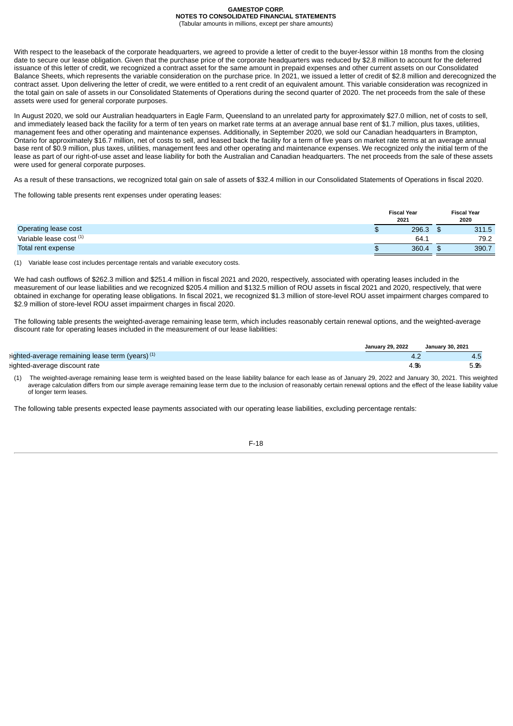# **GAMESTOP CORP. NOTES TO CONSOLIDATED FINANCIAL STATEMENTS**

(Tabular amounts in millions, except per share amounts)

With respect to the leaseback of the corporate headquarters, we agreed to provide a letter of credit to the buyer-lessor within 18 months from the closing date to secure our lease obligation. Given that the purchase price of the corporate headquarters was reduced by \$2.8 million to account for the deferred issuance of this letter of credit, we recognized a contract asset for the same amount in prepaid expenses and other current assets on our Consolidated Balance Sheets, which represents the variable consideration on the purchase price. In 2021, we issued a letter of credit of \$2.8 million and derecognized the contract asset. Upon delivering the letter of credit, we were entitled to a rent credit of an equivalent amount. This variable consideration was recognized in the total gain on sale of assets in our Consolidated Statements of Operations during the second quarter of 2020. The net proceeds from the sale of these assets were used for general corporate purposes.

In August 2020, we sold our Australian headquarters in Eagle Farm, Queensland to an unrelated party for approximately \$27.0 million, net of costs to sell, and immediately leased back the facility for a term of ten years on market rate terms at an average annual base rent of \$1.7 million, plus taxes, utilities, management fees and other operating and maintenance expenses. Additionally, in September 2020, we sold our Canadian headquarters in Brampton, Ontario for approximately \$16.7 million, net of costs to sell, and leased back the facility for a term of five years on market rate terms at an average annual base rent of \$0.9 million, plus taxes, utilities, management fees and other operating and maintenance expenses. We recognized only the initial term of the lease as part of our right-of-use asset and lease liability for both the Australian and Canadian headquarters. The net proceeds from the sale of these assets were used for general corporate purposes.

As a result of these transactions, we recognized total gain on sale of assets of \$32.4 million in our Consolidated Statements of Operations in fiscal 2020.

The following table presents rent expenses under operating leases:

|                                    | <b>Fiscal Year</b> |       | <b>Fiscal Year</b> |
|------------------------------------|--------------------|-------|--------------------|
|                                    | 2021               |       | 2020               |
| Operating lease cost               |                    | 296.3 | 311.5              |
| Variable lease cost <sup>(1)</sup> |                    | 64.1  | 79.2               |
| Total rent expense                 |                    | 360.4 | 390.7              |

(1) Variable lease cost includes percentage rentals and variable executory costs.

We had cash outflows of \$262.3 million and \$251.4 million in fiscal 2021 and 2020, respectively, associated with operating leases included in the measurement of our lease liabilities and we recognized \$205.4 million and \$132.5 million of ROU assets in fiscal 2021 and 2020, respectively, that were obtained in exchange for operating lease obligations. In fiscal 2021, we recognized \$1.3 million of store-level ROU asset impairment charges compared to \$2.9 million of store-level ROU asset impairment charges in fiscal 2020.

The following table presents the weighted-average remaining lease term, which includes reasonably certain renewal options, and the weighted-average discount rate for operating leases included in the measurement of our lease liabilities:

|                                                    | <b>January 29, 2022</b> | January 30, 2021 |
|----------------------------------------------------|-------------------------|------------------|
| eighted-average remaining lease term (years) $(1)$ |                         |                  |
| eighted-average discount rate                      |                         | 5.2%             |

(1) The weighted-average remaining lease term is weighted based on the lease liability balance for each lease as of January 29, 2022 and January 30, 2021. This weighted average calculation differs from our simple average remaining lease term due to the inclusion of reasonably certain renewal options and the effect of the lease liability value of longer term leases.

The following table presents expected lease payments associated with our operating lease liabilities, excluding percentage rentals: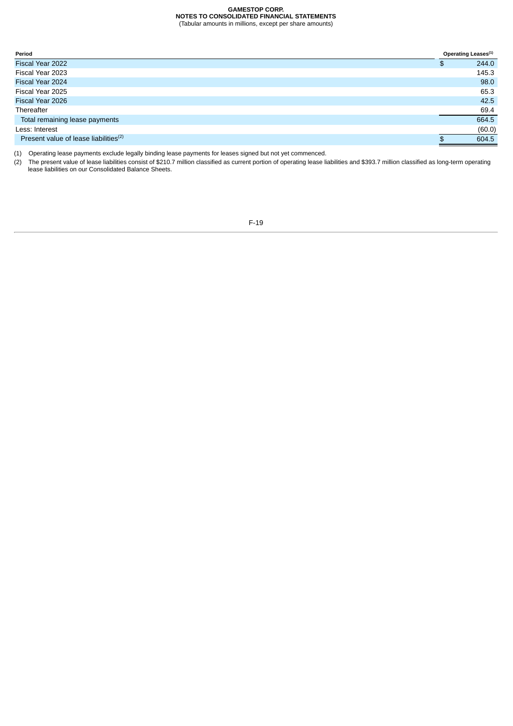# **GAMESTOP CORP. NOTES TO CONSOLIDATED FINANCIAL STATEMENTS**

(Tabular amounts in millions, except per share amounts)

| Period                                            | <b>Operating Leases<sup>(1)</sup></b> |
|---------------------------------------------------|---------------------------------------|
| Fiscal Year 2022                                  | \$<br>244.0                           |
| Fiscal Year 2023                                  | 145.3                                 |
| Fiscal Year 2024                                  | 98.0                                  |
| Fiscal Year 2025                                  | 65.3                                  |
| Fiscal Year 2026                                  | 42.5                                  |
| Thereafter                                        | 69.4                                  |
| Total remaining lease payments                    | 664.5                                 |
| Less: Interest                                    | (60.0)                                |
| Present value of lease liabilities <sup>(2)</sup> | 604.5                                 |

(1) Operating lease payments exclude legally binding lease payments for leases signed but not yet commenced.

<span id="page-49-0"></span>(2) The present value of lease liabilities consist of \$210.7 million classified as current portion of operating lease liabilities and \$393.7 million classified as long-term operating lease liabilities on our Consolidated Balance Sheets.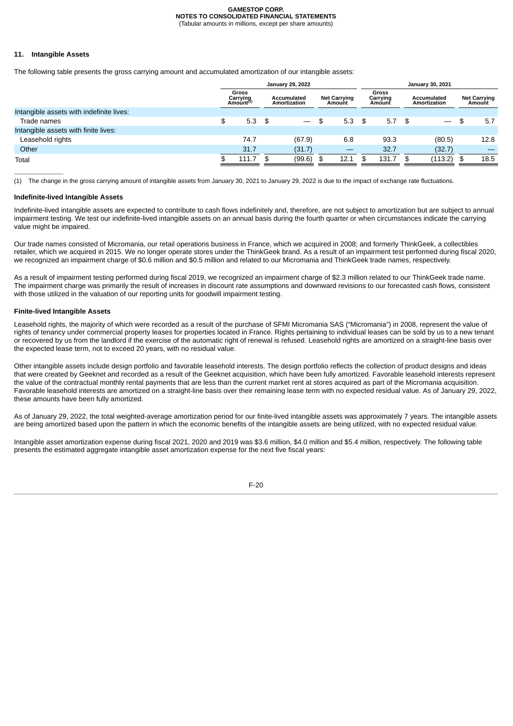# **11. Intangible Assets**

The following table presents the gross carrying amount and accumulated amortization of our intangible assets:

|    | <b>January 29, 2022</b>                    |  |                          |     |                             | <b>January 30, 2021</b> |          |          |                               |  |      |  |  |  |                 |                                    |  |                               |  |
|----|--------------------------------------------|--|--------------------------|-----|-----------------------------|-------------------------|----------|----------|-------------------------------|--|------|--|--|--|-----------------|------------------------------------|--|-------------------------------|--|
|    | Gross<br>Carrying<br>Amount <sup>(1)</sup> |  |                          |     | Accumulated<br>Amortization |                         |          |          | <b>Net Carrying</b><br>Amount |  |      |  |  |  | Gross<br>Amount | <b>Accumulated</b><br>Amortization |  | <b>Net Carrying</b><br>Amount |  |
|    |                                            |  |                          |     |                             |                         |          |          |                               |  |      |  |  |  |                 |                                    |  |                               |  |
| \$ |                                            |  | $\overline{\phantom{0}}$ | \$  |                             |                         |          |          |                               |  | 5.7  |  |  |  |                 |                                    |  |                               |  |
|    |                                            |  |                          |     |                             |                         |          |          |                               |  |      |  |  |  |                 |                                    |  |                               |  |
|    | 74.7                                       |  | (67.9)                   |     | 6.8                         |                         | 93.3     |          | (80.5)                        |  | 12.8 |  |  |  |                 |                                    |  |                               |  |
|    | 31.7                                       |  | (31.7)                   |     |                             |                         | 32.7     |          | (32.7)                        |  |      |  |  |  |                 |                                    |  |                               |  |
|    | 111.7                                      |  | (99.6)                   | \$. | 12.1                        | \$.                     | 131.7    |          | (113.2)                       |  | 18.5 |  |  |  |                 |                                    |  |                               |  |
|    |                                            |  | $5.3$ \$                 |     |                             |                         | $5.3$ \$ | Carrying | $5.7$ \$                      |  |      |  |  |  |                 |                                    |  |                               |  |

(1) The change in the gross carrying amount of intangible assets from January 30, 2021 to January 29, 2022 is due to the impact of exchange rate fluctuations.

#### **Indefinite-lived Intangible Assets**

Indefinite-lived intangible assets are expected to contribute to cash flows indefinitely and, therefore, are not subject to amortization but are subject to annual impairment testing. We test our indefinite-lived intangible assets on an annual basis during the fourth quarter or when circumstances indicate the carrying value might be impaired.

Our trade names consisted of Micromania, our retail operations business in France, which we acquired in 2008; and formerly ThinkGeek, a collectibles retailer, which we acquired in 2015. We no longer operate stores under the ThinkGeek brand. As a result of an impairment test performed during fiscal 2020, we recognized an impairment charge of \$0.6 million and \$0.5 million and related to our Micromania and ThinkGeek trade names, respectively.

As a result of impairment testing performed during fiscal 2019, we recognized an impairment charge of \$2.3 million related to our ThinkGeek trade name. The impairment charge was primarily the result of increases in discount rate assumptions and downward revisions to our forecasted cash flows, consistent with those utilized in the valuation of our reporting units for goodwill impairment testing.

### **Finite-lived Intangible Assets**

Leasehold rights, the majority of which were recorded as a result of the purchase of SFMI Micromania SAS ("Micromania") in 2008, represent the value of rights of tenancy under commercial property leases for properties located in France. Rights pertaining to individual leases can be sold by us to a new tenant or recovered by us from the landlord if the exercise of the automatic right of renewal is refused. Leasehold rights are amortized on a straight-line basis over the expected lease term, not to exceed 20 years, with no residual value.

Other intangible assets include design portfolio and favorable leasehold interests. The design portfolio reflects the collection of product designs and ideas that were created by Geeknet and recorded as a result of the Geeknet acquisition, which have been fully amortized. Favorable leasehold interests represent the value of the contractual monthly rental payments that are less than the current market rent at stores acquired as part of the Micromania acquisition. Favorable leasehold interests are amortized on a straight-line basis over their remaining lease term with no expected residual value. As of January 29, 2022, these amounts have been fully amortized.

As of January 29, 2022, the total weighted-average amortization period for our finite-lived intangible assets was approximately 7 years. The intangible assets are being amortized based upon the pattern in which the economic benefits of the intangible assets are being utilized, with no expected residual value.

Intangible asset amortization expense during fiscal 2021, 2020 and 2019 was \$3.6 million, \$4.0 million and \$5.4 million, respectively. The following table presents the estimated aggregate intangible asset amortization expense for the next five fiscal years: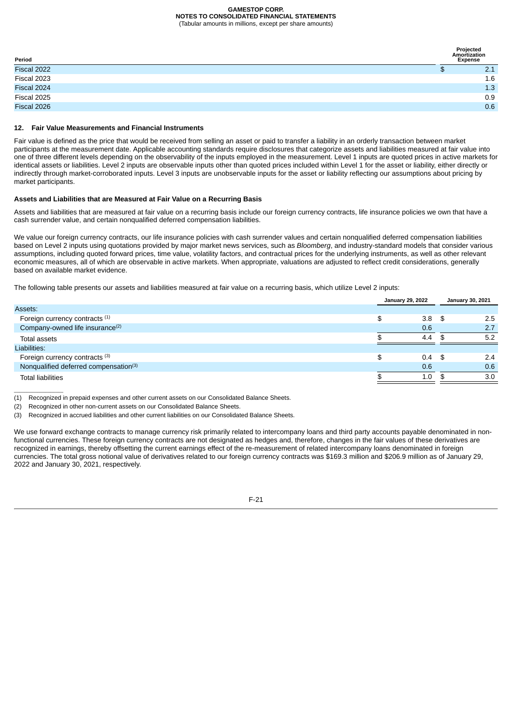| Period      | Projected<br>Amortization<br><b>Expense</b> |
|-------------|---------------------------------------------|
| Fiscal 2022 | 2.1                                         |
| Fiscal 2023 | 1.6                                         |
| Fiscal 2024 | 1.3                                         |
| Fiscal 2025 | 0.9                                         |
| Fiscal 2026 | 0.6                                         |
|             |                                             |

### <span id="page-51-0"></span>**12. Fair Value Measurements and Financial Instruments**

Fair value is defined as the price that would be received from selling an asset or paid to transfer a liability in an orderly transaction between market participants at the measurement date. Applicable accounting standards require disclosures that categorize assets and liabilities measured at fair value into one of three different levels depending on the observability of the inputs employed in the measurement. Level 1 inputs are quoted prices in active markets for identical assets or liabilities. Level 2 inputs are observable inputs other than quoted prices included within Level 1 for the asset or liability, either directly or indirectly through market-corroborated inputs. Level 3 inputs are unobservable inputs for the asset or liability reflecting our assumptions about pricing by market participants.

## **Assets and Liabilities that are Measured at Fair Value on a Recurring Basis**

Assets and liabilities that are measured at fair value on a recurring basis include our foreign currency contracts, life insurance policies we own that have a cash surrender value, and certain nonqualified deferred compensation liabilities.

We value our foreign currency contracts, our life insurance policies with cash surrender values and certain nonqualified deferred compensation liabilities based on Level 2 inputs using quotations provided by major market news services, such as *Bloomberg*, and industry-standard models that consider various assumptions, including quoted forward prices, time value, volatility factors, and contractual prices for the underlying instruments, as well as other relevant economic measures, all of which are observable in active markets. When appropriate, valuations are adjusted to reflect credit considerations, generally based on available market evidence.

The following table presents our assets and liabilities measured at fair value on a recurring basis, which utilize Level 2 inputs:

|                                                   | <b>January 29, 2022</b> |  | <b>January 30, 2021</b> |
|---------------------------------------------------|-------------------------|--|-------------------------|
| Assets:                                           |                         |  |                         |
| Foreign currency contracts (1)                    | \$<br>3.8 <sup>5</sup>  |  | 2.5                     |
| Company-owned life insurance <sup>(2)</sup>       | 0.6                     |  | 2.7                     |
| Total assets                                      | 4.4                     |  | 5.2                     |
| Liabilities:                                      |                         |  |                         |
| Foreign currency contracts <sup>(3)</sup>         | \$<br>0.4 <sup>5</sup>  |  | 2.4                     |
| Nonqualified deferred compensation <sup>(3)</sup> | 0.6                     |  | 0.6                     |
| <b>Total liabilities</b>                          | 1.0                     |  | 3.0                     |

(1) Recognized in prepaid expenses and other current assets on our Consolidated Balance Sheets.

(2) Recognized in other non-current assets on our Consolidated Balance Sheets.

 $\mathcal{L}_\text{max}$ 

(3) Recognized in accrued liabilities and other current liabilities on our Consolidated Balance Sheets.

We use forward exchange contracts to manage currency risk primarily related to intercompany loans and third party accounts payable denominated in nonfunctional currencies. These foreign currency contracts are not designated as hedges and, therefore, changes in the fair values of these derivatives are recognized in earnings, thereby offsetting the current earnings effect of the re-measurement of related intercompany loans denominated in foreign currencies. The total gross notional value of derivatives related to our foreign currency contracts was \$169.3 million and \$206.9 million as of January 29, 2022 and January 30, 2021, respectively.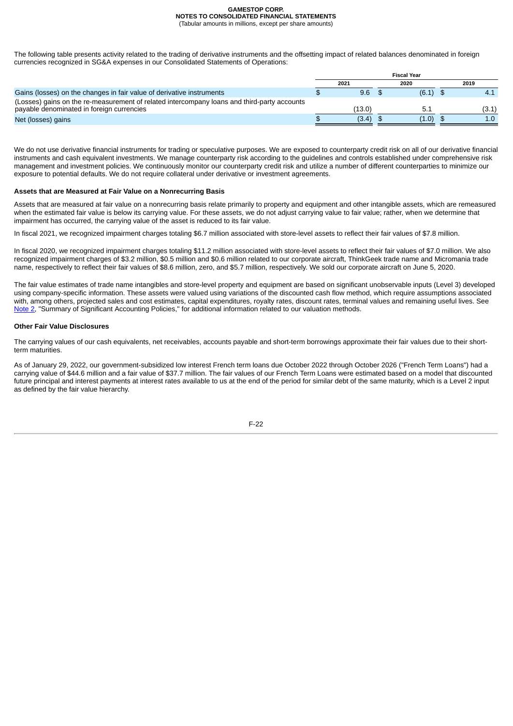The following table presents activity related to the trading of derivative instruments and the offsetting impact of related balances denominated in foreign currencies recognized in SG&A expenses in our Consolidated Statements of Operations:

|                                                                                                                                          | <b>Fiscal Year</b> |        |  |            |  |             |  |
|------------------------------------------------------------------------------------------------------------------------------------------|--------------------|--------|--|------------|--|-------------|--|
|                                                                                                                                          |                    | 2021   |  | 2020       |  | 2019        |  |
| Gains (losses) on the changes in fair value of derivative instruments                                                                    |                    | 9.6    |  | $(6.1)$ \$ |  | 4.1         |  |
| (Losses) gains on the re-measurement of related intercompany loans and third-party accounts<br>payable denominated in foreign currencies |                    | (13.0) |  |            |  | (3.1)       |  |
| Net (losses) gains                                                                                                                       |                    | (3.4)  |  | (1.0)      |  | $1.0 \cdot$ |  |

We do not use derivative financial instruments for trading or speculative purposes. We are exposed to counterparty credit risk on all of our derivative financial instruments and cash equivalent investments. We manage counterparty risk according to the guidelines and controls established under comprehensive risk management and investment policies. We continuously monitor our counterparty credit risk and utilize a number of different counterparties to minimize our exposure to potential defaults. We do not require collateral under derivative or investment agreements.

### **Assets that are Measured at Fair Value on a Nonrecurring Basis**

Assets that are measured at fair value on a nonrecurring basis relate primarily to property and equipment and other intangible assets, which are remeasured when the estimated fair value is below its carrying value. For these assets, we do not adjust carrying value to fair value; rather, when we determine that impairment has occurred, the carrying value of the asset is reduced to its fair value.

In fiscal 2021, we recognized impairment charges totaling \$6.7 million associated with store-level assets to reflect their fair values of \$7.8 million.

In fiscal 2020, we recognized impairment charges totaling \$11.2 million associated with store-level assets to reflect their fair values of \$7.0 million. We also recognized impairment charges of \$3.2 million, \$0.5 million and \$0.6 million related to our corporate aircraft, ThinkGeek trade name and Micromania trade name, respectively to reflect their fair values of \$8.6 million, zero, and \$5.7 million, respectively. We sold our corporate aircraft on June 5, 2020.

The fair value estimates of trade name intangibles and store-level property and equipment are based on significant unobservable inputs (Level 3) developed using company-specific information. These assets were valued using variations of the discounted cash flow method, which require assumptions associated with, among others, projected sales and cost estimates, capital expenditures, royalty rates, discount rates, terminal values and remaining useful lives. See [Note 2](#page-38-0), "Summary of Significant Accounting Policies," for additional information related to our valuation methods.

### **Other Fair Value Disclosures**

The carrying values of our cash equivalents, net receivables, accounts payable and short-term borrowings approximate their fair values due to their shortterm maturities.

As of January 29, 2022, our government-subsidized low interest French term loans due October 2022 through October 2026 ("French Term Loans") had a carrying value of \$44.6 million and a fair value of \$37.7 million. The fair values of our French Term Loans were estimated based on a model that discounted future principal and interest payments at interest rates available to us at the end of the period for similar debt of the same maturity, which is a Level 2 input as defined by the fair value hierarchy.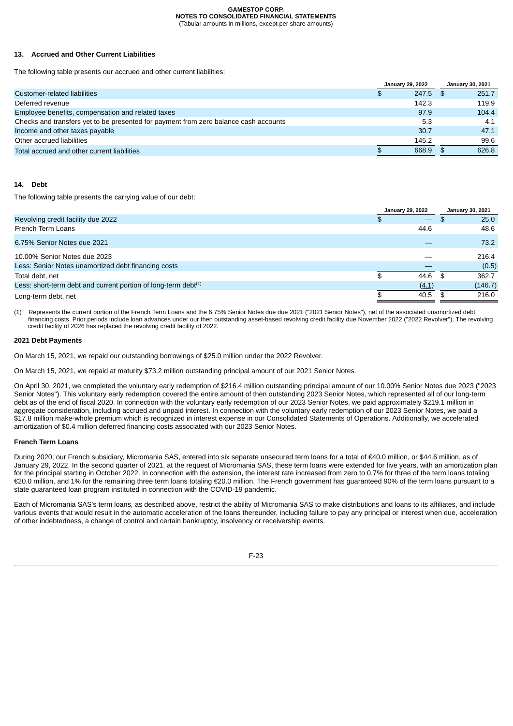## **13. Accrued and Other Current Liabilities**

The following table presents our accrued and other current liabilities:

|                                                                                      | <b>January 29, 2022</b> |  | <b>January 30, 2021</b> |
|--------------------------------------------------------------------------------------|-------------------------|--|-------------------------|
| Customer-related liabilities                                                         | \$<br>$247.5$ \$        |  | 251.7                   |
| Deferred revenue                                                                     | 142.3                   |  | 119.9                   |
| Employee benefits, compensation and related taxes                                    | 97.9                    |  | 104.4                   |
| Checks and transfers yet to be presented for payment from zero balance cash accounts | 5.3                     |  | 4.1                     |
| Income and other taxes payable                                                       | 30.7                    |  | 47.1                    |
| Other accrued liabilities                                                            | 145.2                   |  | 99.6                    |
| Total accrued and other current liabilities                                          | 668.9                   |  | 626.8                   |

## **14. Debt**

The following table presents the carrying value of our debt:

|                                                                   |    | <b>January 29, 2022</b>  |  | <b>January 30, 2021</b> |
|-------------------------------------------------------------------|----|--------------------------|--|-------------------------|
| Revolving credit facility due 2022                                | £. | $\overline{\phantom{a}}$ |  | 25.0                    |
| French Term Loans                                                 |    | 44.6                     |  | 48.6                    |
| 6.75% Senior Notes due 2021                                       |    |                          |  | 73.2                    |
| 10.00% Senior Notes due 2023                                      |    |                          |  | 216.4                   |
| Less: Senior Notes unamortized debt financing costs               |    |                          |  | (0.5)                   |
| Total debt, net                                                   | \$ | $44.6$ \$                |  | 362.7                   |
| Less: short-term debt and current portion of long-term debt $(1)$ |    | (4.1)                    |  | (146.7)                 |
| Long-term debt, net                                               |    | 40.5                     |  | 216.0                   |

(1) Represents the current portion of the French Term Loans and the 6.75% Senior Notes due due 2021 ("2021 Senior Notes"), net of the associated unamortized debt financing costs. Prior periods include loan advances under our then outstanding asset-based revolving credit facility due November 2022 ("2022 Revolver"). The revolving credit facility of 2026 has replaced the revolving credit facility of 2022.

### **2021 Debt Payments**

On March 15, 2021, we repaid our outstanding borrowings of \$25.0 million under the 2022 Revolver.

On March 15, 2021, we repaid at maturity \$73.2 million outstanding principal amount of our 2021 Senior Notes.

On April 30, 2021, we completed the voluntary early redemption of \$216.4 million outstanding principal amount of our 10.00% Senior Notes due 2023 ("2023 Senior Notes"). This voluntary early redemption covered the entire amount of then outstanding 2023 Senior Notes, which represented all of our long-term debt as of the end of fiscal 2020. In connection with the voluntary early redemption of our 2023 Senior Notes, we paid approximately \$219.1 million in aggregate consideration, including accrued and unpaid interest. In connection with the voluntary early redemption of our 2023 Senior Notes, we paid a \$17.8 million make-whole premium which is recognized in interest expense in our Consolidated Statements of Operations. Additionally, we accelerated amortization of \$0.4 million deferred financing costs associated with our 2023 Senior Notes.

### **French Term Loans**

During 2020, our French subsidiary, Micromania SAS, entered into six separate unsecured term loans for a total of €40.0 million, or \$44.6 million, as of January 29, 2022. In the second quarter of 2021, at the request of Micromania SAS, these term loans were extended for five years, with an amortization plan for the principal starting in October 2022. In connection with the extension, the interest rate increased from zero to 0.7% for three of the term loans totaling €20.0 million, and 1% for the remaining three term loans totaling €20.0 million. The French government has guaranteed 90% of the term loans pursuant to a state guaranteed loan program instituted in connection with the COVID-19 pandemic.

Each of Micromania SAS's term loans, as described above, restrict the ability of Micromania SAS to make distributions and loans to its affiliates, and include various events that would result in the automatic acceleration of the loans thereunder, including failure to pay any principal or interest when due, acceleration of other indebtedness, a change of control and certain bankruptcy, insolvency or receivership events.

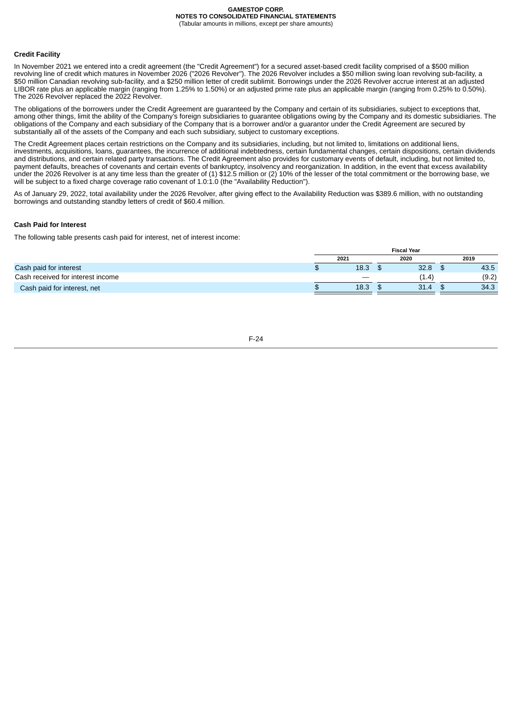#### **Credit Facility**

In November 2021 we entered into a credit agreement (the "Credit Agreement") for a secured asset-based credit facility comprised of a \$500 million revolving line of credit which matures in November 2026 ("2026 Revolver"). The 2026 Revolver includes a \$50 million swing loan revolving sub-facility, a \$50 million Canadian revolving sub-facility, and a \$250 million letter of credit sublimit. Borrowings under the 2026 Revolver accrue interest at an adjusted LIBOR rate plus an applicable margin (ranging from 1.25% to 1.50%) or an adjusted prime rate plus an applicable margin (ranging from 0.25% to 0.50%). The 2026 Revolver replaced the 2022 Revolver.

The obligations of the borrowers under the Credit Agreement are guaranteed by the Company and certain of its subsidiaries, subject to exceptions that, among other things, limit the ability of the Company's foreign subsidiaries to guarantee obligations owing by the Company and its domestic subsidiaries. The obligations of the Company and each subsidiary of the Company that is a borrower and/or a guarantor under the Credit Agreement are secured by substantially all of the assets of the Company and each such subsidiary, subject to customary exceptions.

The Credit Agreement places certain restrictions on the Company and its subsidiaries, including, but not limited to, limitations on additional liens, investments, acquisitions, loans, guarantees, the incurrence of additional indebtedness, certain fundamental changes, certain dispositions, certain dividends and distributions, and certain related party transactions. The Credit Agreement also provides for customary events of default, including, but not limited to, payment defaults, breaches of covenants and certain events of bankruptcy, insolvency and reorganization. In addition, in the event that excess availability under the 2026 Revolver is at any time less than the greater of (1) \$12.5 million or (2) 10% of the lesser of the total commitment or the borrowing base, we will be subject to a fixed charge coverage ratio covenant of 1.0:1.0 (the "Availability Reduction").

As of January 29, 2022, total availability under the 2026 Revolver, after giving effect to the Availability Reduction was \$389.6 million, with no outstanding borrowings and outstanding standby letters of credit of \$60.4 million.

# **Cash Paid for Interest**

The following table presents cash paid for interest, net of interest income:

<span id="page-54-0"></span>

|                                   | Fiscai fear |      |  |       |      |       |  |
|-----------------------------------|-------------|------|--|-------|------|-------|--|
|                                   | 2021        |      |  | 2020  | 2019 |       |  |
| Cash paid for interest            |             | 18.3 |  | 32.8  |      | 43.5  |  |
| Cash received for interest income |             | --   |  | (1.4) |      | (9.2) |  |
| Cash paid for interest, net       |             | 18.3 |  | 31.4  |      | 34.3  |  |
|                                   |             |      |  |       |      |       |  |

**Fiscal Year**

$$
F-24
$$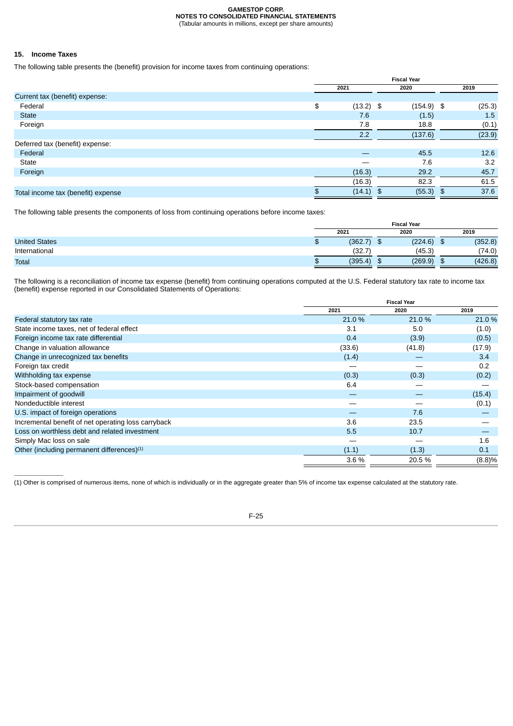## **15. Income Taxes**

The following table presents the (benefit) provision for income taxes from continuing operations:

|                                    | <b>Fiscal Year</b> |                     |  |        |  |
|------------------------------------|--------------------|---------------------|--|--------|--|
|                                    | 2021               | 2020                |  | 2019   |  |
| Current tax (benefit) expense:     |                    |                     |  |        |  |
| Federal                            | \$<br>$(13.2)$ \$  | $(154.9)$ \$        |  | (25.3) |  |
| <b>State</b>                       | 7.6                | (1.5)               |  | 1.5    |  |
| Foreign                            | 7.8                | 18.8                |  | (0.1)  |  |
|                                    | 2.2                | (137.6)             |  | (23.9) |  |
| Deferred tax (benefit) expense:    |                    |                     |  |        |  |
| Federal                            | –                  | 45.5                |  | 12.6   |  |
| <b>State</b>                       |                    | 7.6                 |  | 3.2    |  |
| Foreign                            | (16.3)             | 29.2                |  | 45.7   |  |
|                                    | (16.3)             | 82.3                |  | 61.5   |  |
| Total income tax (benefit) expense | (14.1)             | $(55.3)$ \$<br>- \$ |  | 37.6   |  |
|                                    |                    |                     |  |        |  |

The following table presents the components of loss from continuing operations before income taxes:

|                      | <b>Fiscal Year</b> |         |               |         |    |         |  |  |
|----------------------|--------------------|---------|---------------|---------|----|---------|--|--|
|                      |                    | 2021    |               | 2020    |    | 2019    |  |  |
| <b>United States</b> | ۰D                 | (362.7) | ∿D.           | (224.6) | \$ | (352.8) |  |  |
| International        |                    | (32.7   |               | (45.3)  |    | (74.0)  |  |  |
| <b>Total</b>         | ۰D                 | (395.4) | $\rightarrow$ | (269.9) | \$ | (426.8) |  |  |
|                      |                    |         |               |         |    |         |  |  |

The following is a reconciliation of income tax expense (benefit) from continuing operations computed at the U.S. Federal statutory tax rate to income tax (benefit) expense reported in our Consolidated Statements of Operations:

|                                                        |        | <b>Fiscal Year</b> |         |  |  |  |
|--------------------------------------------------------|--------|--------------------|---------|--|--|--|
|                                                        | 2021   | 2020               | 2019    |  |  |  |
| Federal statutory tax rate                             | 21.0 % | 21.0 %             | 21.0%   |  |  |  |
| State income taxes, net of federal effect              | 3.1    | 5.0                | (1.0)   |  |  |  |
| Foreign income tax rate differential                   | 0.4    | (3.9)              | (0.5)   |  |  |  |
| Change in valuation allowance                          | (33.6) | (41.8)             | (17.9)  |  |  |  |
| Change in unrecognized tax benefits                    | (1.4)  |                    | 3.4     |  |  |  |
| Foreign tax credit                                     |        |                    | 0.2     |  |  |  |
| Withholding tax expense                                | (0.3)  | (0.3)              | (0.2)   |  |  |  |
| Stock-based compensation                               | 6.4    |                    |         |  |  |  |
| Impairment of goodwill                                 |        |                    | (15.4)  |  |  |  |
| Nondeductible interest                                 |        |                    | (0.1)   |  |  |  |
| U.S. impact of foreign operations                      |        | 7.6                |         |  |  |  |
| Incremental benefit of net operating loss carryback    | 3.6    | 23.5               |         |  |  |  |
| Loss on worthless debt and related investment          | 5.5    | 10.7               |         |  |  |  |
| Simply Mac loss on sale                                |        | –                  | $1.6\,$ |  |  |  |
| Other (including permanent differences) <sup>(1)</sup> | (1.1)  | (1.3)              | 0.1     |  |  |  |
|                                                        | 3.6%   | 20.5 %             | (8.8)%  |  |  |  |

(1) Other is comprised of numerous items, none of which is individually or in the aggregate greater than 5% of income tax expense calculated at the statutory rate.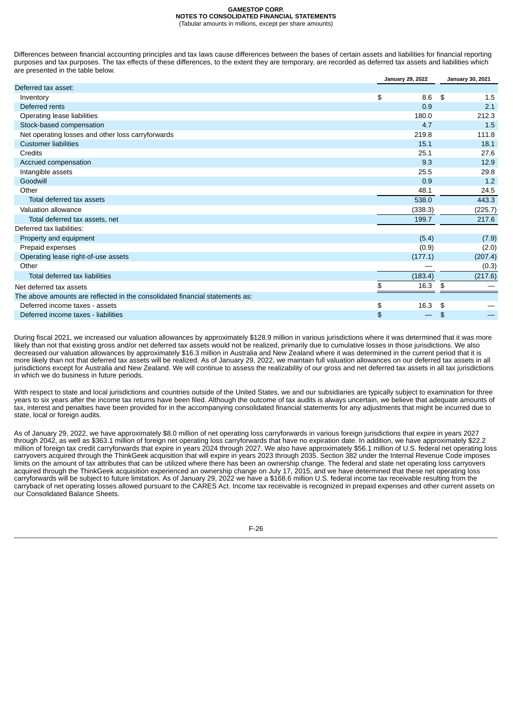Differences between financial accounting principles and tax laws cause differences between the bases of certain assets and liabilities for financial reporting purposes and tax purposes. The tax effects of these differences, to the extent they are temporary, are recorded as deferred tax assets and liabilities which are presented in the table below.

|                                                                              | <b>January 29, 2022</b> |    | <b>January 30, 2021</b> |
|------------------------------------------------------------------------------|-------------------------|----|-------------------------|
| Deferred tax asset:                                                          |                         |    |                         |
| Inventory                                                                    | \$<br>8.6               | \$ | 1.5                     |
| Deferred rents                                                               | 0.9                     |    | 2.1                     |
| Operating lease liabilities                                                  | 180.0                   |    | 212.3                   |
| Stock-based compensation                                                     | 4.7                     |    | 1.5                     |
| Net operating losses and other loss carryforwards                            | 219.8                   |    | 111.8                   |
| <b>Customer liabilities</b>                                                  | 15.1                    |    | 18.1                    |
| Credits                                                                      | 25.1                    |    | 27.6                    |
| Accrued compensation                                                         | 9.3                     |    | 12.9                    |
| Intangible assets                                                            | 25.5                    |    | 29.8                    |
| Goodwill                                                                     | 0.9                     |    | 1.2                     |
| Other                                                                        | 48.1                    |    | 24.5                    |
| Total deferred tax assets                                                    | 538.0                   |    | 443.3                   |
| Valuation allowance                                                          | (338.3)                 |    | (225.7)                 |
| Total deferred tax assets, net                                               | 199.7                   |    | 217.6                   |
| Deferred tax liabilities:                                                    |                         |    |                         |
| Property and equipment                                                       | (5.4)                   |    | (7.9)                   |
| Prepaid expenses                                                             | (0.9)                   |    | (2.0)                   |
| Operating lease right-of-use assets                                          | (177.1)                 |    | (207.4)                 |
| Other                                                                        |                         |    | (0.3)                   |
| Total deferred tax liabilities                                               | (183.4)                 |    | (217.6)                 |
| Net deferred tax assets                                                      | 16.3                    | \$ |                         |
| The above amounts are reflected in the consolidated financial statements as: |                         |    |                         |
| Deferred income taxes - assets                                               | \$<br>16.3              | \$ |                         |
| Deferred income taxes - liabilities                                          | \$                      | \$ |                         |

During fiscal 2021, we increased our valuation allowances by approximately \$128.9 million in various jurisdictions where it was determined that it was more likely than not that existing gross and/or net deferred tax assets would not be realized, primarily due to cumulative losses in those jurisdictions. We also decreased our valuation allowances by approximately \$16.3 million in Australia and New Zealand where it was determined in the current period that it is more likely than not that deferred tax assets will be realized. As of January 29, 2022, we maintain full valuation allowances on our deferred tax assets in all jurisdictions except for Australia and New Zealand. We will continue to assess the realizability of our gross and net deferred tax assets in all tax jurisdictions in which we do business in future periods.

With respect to state and local jurisdictions and countries outside of the United States, we and our subsidiaries are typically subject to examination for three years to six years after the income tax returns have been filed. Although the outcome of tax audits is always uncertain, we believe that adequate amounts of tax, interest and penalties have been provided for in the accompanying consolidated financial statements for any adjustments that might be incurred due to state, local or foreign audits.

As of January 29, 2022, we have approximately \$8.0 million of net operating loss carryforwards in various foreign jurisdictions that expire in years 2027 through 2042, as well as \$363.1 million of foreign net operating loss carryforwards that have no expiration date. In addition, we have approximately \$22.2 million of foreign tax credit carryforwards that expire in years 2024 through 2027. We also have approximately \$56.1 million of U.S. federal net operating loss carryovers acquired through the ThinkGeek acquisition that will expire in years 2023 through 2035. Section 382 under the Internal Revenue Code imposes limits on the amount of tax attributes that can be utilized where there has been an ownership change. The federal and state net operating loss carryovers acquired through the ThinkGeek acquisition experienced an ownership change on July 17, 2015, and we have determined that these net operating loss carryforwards will be subject to future limitation. As of January 29, 2022 we have a \$168.6 million U.S. federal income tax receivable resulting from the carryback of net operating losses allowed pursuant to the CARES Act. Income tax receivable is recognized in prepaid expenses and other current assets on our Consolidated Balance Sheets.

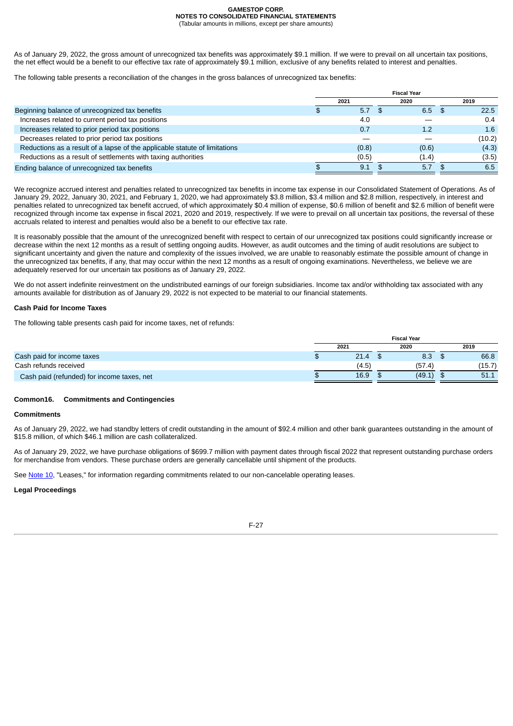## **GAMESTOP CORP. NOTES TO CONSOLIDATED FINANCIAL STATEMENTS**

(Tabular amounts in millions, except per share amounts)

As of January 29, 2022, the gross amount of unrecognized tax benefits was approximately \$9.1 million. If we were to prevail on all uncertain tax positions, the net effect would be a benefit to our effective tax rate of approximately \$9.1 million, exclusive of any benefits related to interest and penalties.

The following table presents a reconciliation of the changes in the gross balances of unrecognized tax benefits:

|                                                                            | <b>Fiscal Year</b> |       |      |       |  |        |
|----------------------------------------------------------------------------|--------------------|-------|------|-------|--|--------|
|                                                                            | 2021               |       | 2020 |       |  | 2019   |
| Beginning balance of unrecognized tax benefits                             |                    | 5.7   | - \$ | 6.5   |  | 22.5   |
| Increases related to current period tax positions                          |                    | 4.0   |      |       |  | 0.4    |
| Increases related to prior period tax positions                            |                    | 0.7   |      | 1.2   |  | 1.6    |
| Decreases related to prior period tax positions                            |                    |       |      |       |  | (10.2) |
| Reductions as a result of a lapse of the applicable statute of limitations |                    | (0.8) |      | (0.6) |  | (4.3)  |
| Reductions as a result of settlements with taxing authorities              |                    | (0.5) |      | (1.4) |  | (3.5)  |
| Ending balance of unrecognized tax benefits                                |                    | 9.1   |      | 5.7   |  | 6.5    |

We recognize accrued interest and penalties related to unrecognized tax benefits in income tax expense in our Consolidated Statement of Operations. As of January 29, 2022, January 30, 2021, and February 1, 2020, we had approximately \$3.8 million, \$3.4 million and \$2.8 million, respectively, in interest and penalties related to unrecognized tax benefit accrued, of which approximately \$0.4 million of expense, \$0.6 million of benefit and \$2.6 million of benefit were recognized through income tax expense in fiscal 2021, 2020 and 2019, respectively. If we were to prevail on all uncertain tax positions, the reversal of these accruals related to interest and penalties would also be a benefit to our effective tax rate.

It is reasonably possible that the amount of the unrecognized benefit with respect to certain of our unrecognized tax positions could significantly increase or decrease within the next 12 months as a result of settling ongoing audits. However, as audit outcomes and the timing of audit resolutions are subject to significant uncertainty and given the nature and complexity of the issues involved, we are unable to reasonably estimate the possible amount of change in the unrecognized tax benefits, if any, that may occur within the next 12 months as a result of ongoing examinations. Nevertheless, we believe we are adequately reserved for our uncertain tax positions as of January 29, 2022.

We do not assert indefinite reinvestment on the undistributed earnings of our foreign subsidiaries. Income tax and/or withholding tax associated with any amounts available for distribution as of January 29, 2022 is not expected to be material to our financial statements.

## **Cash Paid for Income Taxes**

The following table presents cash paid for income taxes, net of refunds:

|                                            | <b>Fiscal Year</b> |       |  |        |  |        |
|--------------------------------------------|--------------------|-------|--|--------|--|--------|
|                                            | 2021               |       |  | 2020   |  | 2019   |
| Cash paid for income taxes                 |                    | 21.4  |  | 8.3    |  | 66.8   |
| Cash refunds received                      |                    | (4.5) |  | (57.4) |  | (15.7) |
| Cash paid (refunded) for income taxes, net |                    | 16.9  |  | (49.1) |  | 51.1   |

### **Common16. Commitments and Contingencies**

## **Commitments**

As of January 29, 2022, we had standby letters of credit outstanding in the amount of \$92.4 million and other bank guarantees outstanding in the amount of \$15.8 million, of which \$46.1 million are cash collateralized.

As of January 29, 2022, we have purchase obligations of \$699.7 million with payment dates through fiscal 2022 that represent outstanding purchase orders for merchandise from vendors. These purchase orders are generally cancellable until shipment of the products.

See [Note 10,](#page-47-1) "Leases," for information regarding commitments related to our non-cancelable operating leases.

### **Legal Proceedings**

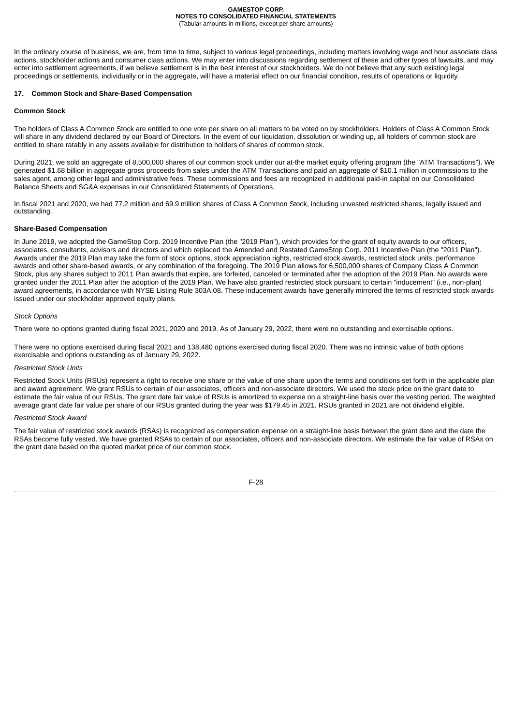In the ordinary course of business, we are, from time to time, subject to various legal proceedings, including matters involving wage and hour associate class actions, stockholder actions and consumer class actions. We may enter into discussions regarding settlement of these and other types of lawsuits, and may enter into settlement agreements, if we believe settlement is in the best interest of our stockholders. We do not believe that any such existing legal proceedings or settlements, individually or in the aggregate, will have a material effect on our financial condition, results of operations or liquidity.

### **17. Common Stock and Share-Based Compensation**

### **Common Stock**

The holders of Class A Common Stock are entitled to one vote per share on all matters to be voted on by stockholders. Holders of Class A Common Stock will share in any dividend declared by our Board of Directors. In the event of our liquidation, dissolution or winding up, all holders of common stock are entitled to share ratably in any assets available for distribution to holders of shares of common stock.

During 2021, we sold an aggregate of 8,500,000 shares of our common stock under our at-the market equity offering program (the "ATM Transactions"). We generated \$1.68 billion in aggregate gross proceeds from sales under the ATM Transactions and paid an aggregate of \$10.1 million in commissions to the sales agent, among other legal and administrative fees. These commissions and fees are recognized in additional paid-in capital on our Consolidated Balance Sheets and SG&A expenses in our Consolidated Statements of Operations.

In fiscal 2021 and 2020, we had 77.2 million and 69.9 million shares of Class A Common Stock, including unvested restricted shares, legally issued and outstanding.

### **Share-Based Compensation**

In June 2019, we adopted the GameStop Corp. 2019 Incentive Plan (the "2019 Plan"), which provides for the grant of equity awards to our officers, associates, consultants, advisors and directors and which replaced the Amended and Restated GameStop Corp. 2011 Incentive Plan (the "2011 Plan"). Awards under the 2019 Plan may take the form of stock options, stock appreciation rights, restricted stock awards, restricted stock units, performance awards and other share-based awards, or any combination of the foregoing. The 2019 Plan allows for 6,500,000 shares of Company Class A Common Stock, plus any shares subject to 2011 Plan awards that expire, are forfeited, canceled or terminated after the adoption of the 2019 Plan. No awards were granted under the 2011 Plan after the adoption of the 2019 Plan. We have also granted restricted stock pursuant to certain "inducement" (i.e., non-plan) award agreements, in accordance with NYSE Listing Rule 303A.08. These inducement awards have generally mirrored the terms of restricted stock awards issued under our stockholder approved equity plans.

### *Stock Options*

There were no options granted during fiscal 2021, 2020 and 2019. As of January 29, 2022, there were no outstanding and exercisable options.

There were no options exercised during fiscal 2021 and 138,480 options exercised during fiscal 2020. There was no intrinsic value of both options exercisable and options outstanding as of January 29, 2022.

#### *Restricted Stock Units*

Restricted Stock Units (RSUs) represent a right to receive one share or the value of one share upon the terms and conditions set forth in the applicable plan and award agreement. We grant RSUs to certain of our associates, officers and non-associate directors. We used the stock price on the grant date to estimate the fair value of our RSUs. The grant date fair value of RSUs is amortized to expense on a straight-line basis over the vesting period. The weighted average grant date fair value per share of our RSUs granted during the year was \$179.45 in 2021. RSUs granted in 2021 are not dividend eligible.

### *Restricted Stock Award*

The fair value of restricted stock awards (RSAs) is recognized as compensation expense on a straight-line basis between the grant date and the date the RSAs become fully vested. We have granted RSAs to certain of our associates, officers and non-associate directors. We estimate the fair value of RSAs on the grant date based on the quoted market price of our common stock.

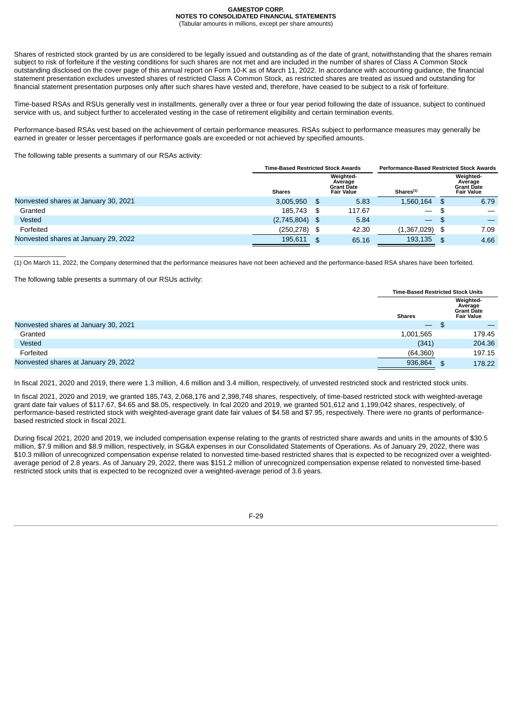### **GAMESTOP CORP. NOTES TO CONSOLIDATED FINANCIAL STATEMENTS**

(Tabular amounts in millions, except per share amounts)

Shares of restricted stock granted by us are considered to be legally issued and outstanding as of the date of grant, notwithstanding that the shares remain subject to risk of forfeiture if the vesting conditions for such shares are not met and are included in the number of shares of Class A Common Stock outstanding disclosed on the cover page of this annual report on Form 10-K as of March 11, 2022. In accordance with accounting guidance, the financial statement presentation excludes unvested shares of restricted Class A Common Stock, as restricted shares are treated as issued and outstanding for financial statement presentation purposes only after such shares have vested and, therefore, have ceased to be subject to a risk of forfeiture.

Time-based RSAs and RSUs generally vest in installments, generally over a three or four year period following the date of issuance, subject to continued service with us, and subject further to accelerated vesting in the case of retirement eligibility and certain termination events.

Performance-based RSAs vest based on the achievement of certain performance measures. RSAs subject to performance measures may generally be earned in greater or lesser percentages if performance goals are exceeded or not achieved by specified amounts.

The following table presents a summary of our RSAs activity:

|                                      |                  | <b>Time-Based Restricted Stock Awards</b> |                                                                |                          | <b>Performance-Based Restricted Stock Awards</b>               |  |
|--------------------------------------|------------------|-------------------------------------------|----------------------------------------------------------------|--------------------------|----------------------------------------------------------------|--|
|                                      | <b>Shares</b>    |                                           | Weighted-<br>Average<br><b>Grant Date</b><br><b>Fair Value</b> | Shares <sup>(1)</sup>    | Weighted-<br>Average<br><b>Grant Date</b><br><b>Fair Value</b> |  |
| Nonvested shares at January 30, 2021 | $3,005,950$ \$   |                                           | 5.83                                                           | 1.560.164                | \$<br>6.79                                                     |  |
| Granted                              | 185,743 \$       |                                           | 117.67                                                         |                          | \$                                                             |  |
| Vested                               | $(2,745,804)$ \$ |                                           | 5.84                                                           | $\overline{\phantom{0}}$ | \$                                                             |  |
| Forfeited                            | $(250, 278)$ \$  |                                           | 42.30                                                          | (1,367,029)              | \$<br>7.09                                                     |  |
| Nonvested shares at January 29, 2022 | 195,611          | \$.                                       | 65.16                                                          | 193,135                  | \$<br>4.66                                                     |  |

(1) On March 11, 2022, the Company determined that the performance measures have not been achieved and the performance-based RSA shares have been forfeited.

The following table presents a summary of our RSUs activity:

|                                      |                          | <b>Time-Based Restricted Stock Units</b>                       |
|--------------------------------------|--------------------------|----------------------------------------------------------------|
|                                      | <b>Shares</b>            | Weighted-<br>Average<br><b>Grant Date</b><br><b>Fair Value</b> |
| Nonvested shares at January 30, 2021 | $\overline{\phantom{m}}$ | \$                                                             |
| Granted                              | 1,001,565                | 179.45                                                         |
| Vested                               | (341)                    | 204.36                                                         |
| Forfeited                            | (64, 360)                | 197.15                                                         |
| Nonvested shares at January 29, 2022 | 936,864                  | 178.22<br>\$                                                   |

In fiscal 2021, 2020 and 2019, there were 1.3 million, 4.6 million and 3.4 million, respectively, of unvested restricted stock and restricted stock units.

In fiscal 2021, 2020 and 2019, we granted 185,743, 2,068,176 and 2,398,748 shares, respectively, of time-based restricted stock with weighted-average grant date fair values of \$117.67, \$4.65 and \$8.05, respectively. In fcal 2020 and 2019, we granted 501,612 and 1,199,042 shares, respectively, of performance-based restricted stock with weighted-average grant date fair values of \$4.58 and \$7.95, respectively. There were no grants of performancebased restricted stock in fiscal 2021.

During fiscal 2021, 2020 and 2019, we included compensation expense relating to the grants of restricted share awards and units in the amounts of \$30.5 million, \$7.9 million and \$8.9 million, respectively, in SG&A expenses in our Consolidated Statements of Operations. As of January 29, 2022, there was \$10.3 million of unrecognized compensation expense related to nonvested time-based restricted shares that is expected to be recognized over a weightedaverage period of 2.8 years. As of January 29, 2022, there was \$151.2 million of unrecognized compensation expense related to nonvested time-based restricted stock units that is expected to be recognized over a weighted-average period of 3.6 years.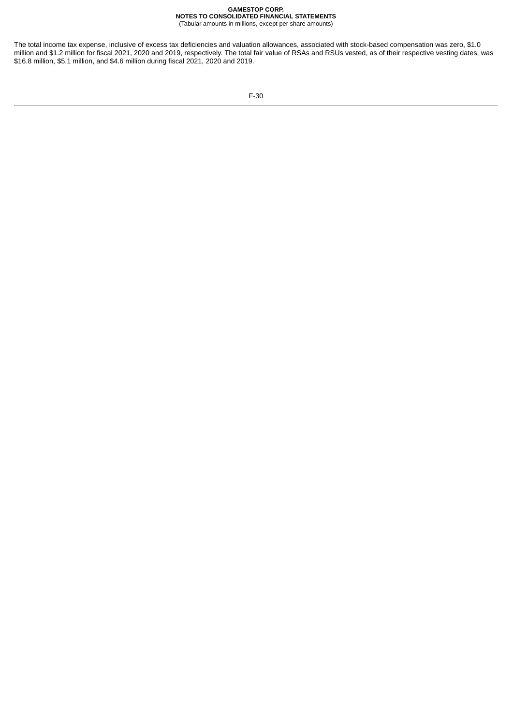# **GAMESTOP CORP. NOTES TO CONSOLIDATED FINANCIAL STATEMENTS**

(Tabular amounts in millions, except per share amounts)

The total income tax expense, inclusive of excess tax deficiencies and valuation allowances, associated with stock-based compensation was zero, \$1.0 million and \$1.2 million for fiscal 2021, 2020 and 2019, respectively. The total fair value of RSAs and RSUs vested, as of their respective vesting dates, was \$16.8 million, \$5.1 million, and \$4.6 million during fiscal 2021, 2020 and 2019.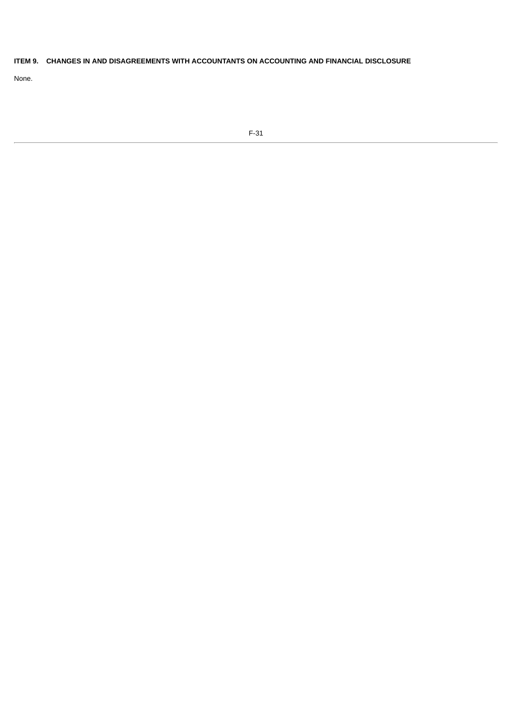# **ITEM 9. CHANGES IN AND DISAGREEMENTS WITH ACCOUNTANTS ON ACCOUNTING AND FINANCIAL DISCLOSURE**

None.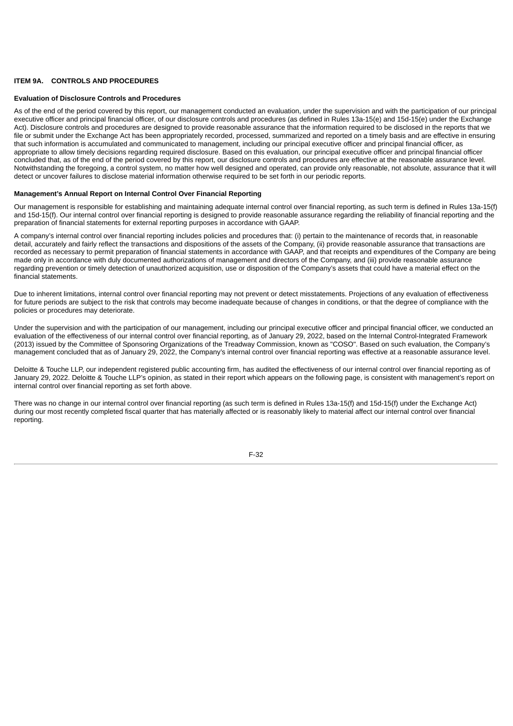# **ITEM 9A. CONTROLS AND PROCEDURES**

### **Evaluation of Disclosure Controls and Procedures**

As of the end of the period covered by this report, our management conducted an evaluation, under the supervision and with the participation of our principal executive officer and principal financial officer, of our disclosure controls and procedures (as defined in Rules 13a-15(e) and 15d-15(e) under the Exchange Act). Disclosure controls and procedures are designed to provide reasonable assurance that the information required to be disclosed in the reports that we file or submit under the Exchange Act has been appropriately recorded, processed, summarized and reported on a timely basis and are effective in ensuring that such information is accumulated and communicated to management, including our principal executive officer and principal financial officer, as appropriate to allow timely decisions regarding required disclosure. Based on this evaluation, our principal executive officer and principal financial officer concluded that, as of the end of the period covered by this report, our disclosure controls and procedures are effective at the reasonable assurance level. Notwithstanding the foregoing, a control system, no matter how well designed and operated, can provide only reasonable, not absolute, assurance that it will detect or uncover failures to disclose material information otherwise required to be set forth in our periodic reports.

### **Management's Annual Report on Internal Control Over Financial Reporting**

Our management is responsible for establishing and maintaining adequate internal control over financial reporting, as such term is defined in Rules 13a-15(f) and 15d-15(f). Our internal control over financial reporting is designed to provide reasonable assurance regarding the reliability of financial reporting and the preparation of financial statements for external reporting purposes in accordance with GAAP.

A company's internal control over financial reporting includes policies and procedures that: (i) pertain to the maintenance of records that, in reasonable detail, accurately and fairly reflect the transactions and dispositions of the assets of the Company, (ii) provide reasonable assurance that transactions are recorded as necessary to permit preparation of financial statements in accordance with GAAP, and that receipts and expenditures of the Company are being made only in accordance with duly documented authorizations of management and directors of the Company, and (iii) provide reasonable assurance regarding prevention or timely detection of unauthorized acquisition, use or disposition of the Company's assets that could have a material effect on the financial statements.

Due to inherent limitations, internal control over financial reporting may not prevent or detect misstatements. Projections of any evaluation of effectiveness for future periods are subject to the risk that controls may become inadequate because of changes in conditions, or that the degree of compliance with the policies or procedures may deteriorate.

Under the supervision and with the participation of our management, including our principal executive officer and principal financial officer, we conducted an evaluation of the effectiveness of our internal control over financial reporting, as of January 29, 2022, based on the Internal Control-Integrated Framework (2013) issued by the Committee of Sponsoring Organizations of the Treadway Commission, known as "COSO". Based on such evaluation, the Company's management concluded that as of January 29, 2022, the Company's internal control over financial reporting was effective at a reasonable assurance level.

Deloitte & Touche LLP, our independent registered public accounting firm, has audited the effectiveness of our internal control over financial reporting as of January 29, 2022. Deloitte & Touche LLP's opinion, as stated in their report which appears on the following page, is consistent with management's report on internal control over financial reporting as set forth above.

There was no change in our internal control over financial reporting (as such term is defined in Rules 13a-15(f) and 15d-15(f) under the Exchange Act) during our most recently completed fiscal quarter that has materially affected or is reasonably likely to material affect our internal control over financial reporting.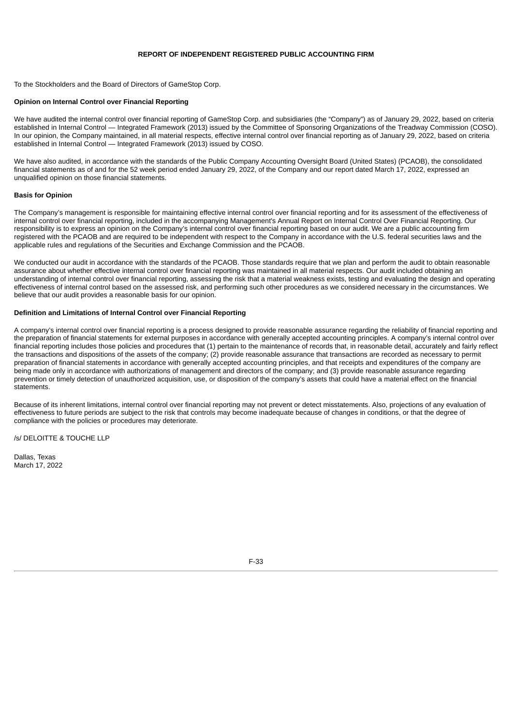## **REPORT OF INDEPENDENT REGISTERED PUBLIC ACCOUNTING FIRM**

To the Stockholders and the Board of Directors of GameStop Corp.

### **Opinion on Internal Control over Financial Reporting**

We have audited the internal control over financial reporting of GameStop Corp. and subsidiaries (the "Company") as of January 29, 2022, based on criteria established in Internal Control — Integrated Framework (2013) issued by the Committee of Sponsoring Organizations of the Treadway Commission (COSO). In our opinion, the Company maintained, in all material respects, effective internal control over financial reporting as of January 29, 2022, based on criteria established in Internal Control — Integrated Framework (2013) issued by COSO.

We have also audited, in accordance with the standards of the Public Company Accounting Oversight Board (United States) (PCAOB), the consolidated financial statements as of and for the 52 week period ended January 29, 2022, of the Company and our report dated March 17, 2022, expressed an unqualified opinion on those financial statements.

### **Basis for Opinion**

The Company's management is responsible for maintaining effective internal control over financial reporting and for its assessment of the effectiveness of internal control over financial reporting, included in the accompanying Management's Annual Report on Internal Control Over Financial Reporting. Our responsibility is to express an opinion on the Company's internal control over financial reporting based on our audit. We are a public accounting firm registered with the PCAOB and are required to be independent with respect to the Company in accordance with the U.S. federal securities laws and the applicable rules and regulations of the Securities and Exchange Commission and the PCAOB.

We conducted our audit in accordance with the standards of the PCAOB. Those standards require that we plan and perform the audit to obtain reasonable assurance about whether effective internal control over financial reporting was maintained in all material respects. Our audit included obtaining an understanding of internal control over financial reporting, assessing the risk that a material weakness exists, testing and evaluating the design and operating effectiveness of internal control based on the assessed risk, and performing such other procedures as we considered necessary in the circumstances. We believe that our audit provides a reasonable basis for our opinion.

## **Definition and Limitations of Internal Control over Financial Reporting**

A company's internal control over financial reporting is a process designed to provide reasonable assurance regarding the reliability of financial reporting and the preparation of financial statements for external purposes in accordance with generally accepted accounting principles. A company's internal control over financial reporting includes those policies and procedures that (1) pertain to the maintenance of records that, in reasonable detail, accurately and fairly reflect the transactions and dispositions of the assets of the company; (2) provide reasonable assurance that transactions are recorded as necessary to permit preparation of financial statements in accordance with generally accepted accounting principles, and that receipts and expenditures of the company are being made only in accordance with authorizations of management and directors of the company; and (3) provide reasonable assurance regarding prevention or timely detection of unauthorized acquisition, use, or disposition of the company's assets that could have a material effect on the financial statements.

Because of its inherent limitations, internal control over financial reporting may not prevent or detect misstatements. Also, projections of any evaluation of effectiveness to future periods are subject to the risk that controls may become inadequate because of changes in conditions, or that the degree of compliance with the policies or procedures may deteriorate.

/s/ DELOITTE & TOUCHE LLP

Dallas, Texas March 17, 2022

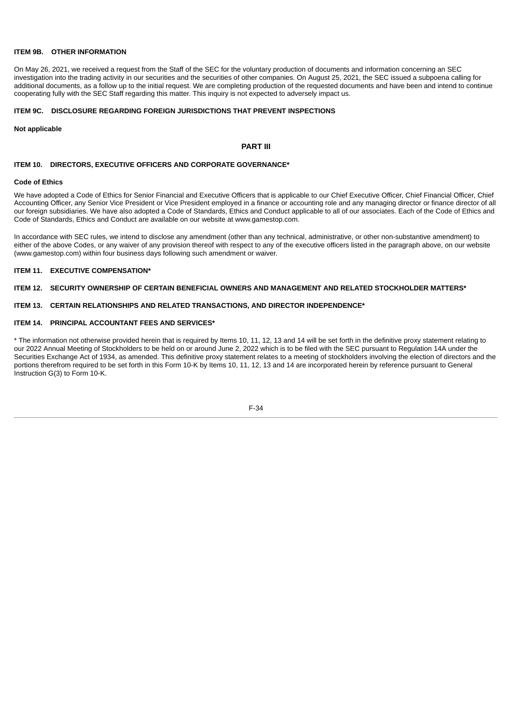## **ITEM 9B. OTHER INFORMATION**

On May 26, 2021, we received a request from the Staff of the SEC for the voluntary production of documents and information concerning an SEC investigation into the trading activity in our securities and the securities of other companies. On August 25, 2021, the SEC issued a subpoena calling for additional documents, as a follow up to the initial request. We are completing production of the requested documents and have been and intend to continue cooperating fully with the SEC Staff regarding this matter. This inquiry is not expected to adversely impact us.

### **ITEM 9C. DISCLOSURE REGARDING FOREIGN JURISDICTIONS THAT PREVENT INSPECTIONS**

**Not applicable**

### **PART III**

## **ITEM 10. DIRECTORS, EXECUTIVE OFFICERS AND CORPORATE GOVERNANCE\***

### **Code of Ethics**

We have adopted a Code of Ethics for Senior Financial and Executive Officers that is applicable to our Chief Executive Officer, Chief Financial Officer, Chief Accounting Officer, any Senior Vice President or Vice President employed in a finance or accounting role and any managing director or finance director of all our foreign subsidiaries. We have also adopted a Code of Standards, Ethics and Conduct applicable to all of our associates. Each of the Code of Ethics and Code of Standards, Ethics and Conduct are available on our website at www.gamestop.com.

In accordance with SEC rules, we intend to disclose any amendment (other than any technical, administrative, or other non-substantive amendment) to either of the above Codes, or any waiver of any provision thereof with respect to any of the executive officers listed in the paragraph above, on our website (www.gamestop.com) within four business days following such amendment or waiver.

### **ITEM 11. EXECUTIVE COMPENSATION\***

## **ITEM 12. SECURITY OWNERSHIP OF CERTAIN BENEFICIAL OWNERS AND MANAGEMENT AND RELATED STOCKHOLDER MATTERS\***

# **ITEM 13. CERTAIN RELATIONSHIPS AND RELATED TRANSACTIONS, AND DIRECTOR INDEPENDENCE\***

### **ITEM 14. PRINCIPAL ACCOUNTANT FEES AND SERVICES\***

\* The information not otherwise provided herein that is required by Items 10, 11, 12, 13 and 14 will be set forth in the definitive proxy statement relating to our 2022 Annual Meeting of Stockholders to be held on or around June 2, 2022 which is to be filed with the SEC pursuant to Regulation 14A under the Securities Exchange Act of 1934, as amended. This definitive proxy statement relates to a meeting of stockholders involving the election of directors and the portions therefrom required to be set forth in this Form 10-K by Items 10, 11, 12, 13 and 14 are incorporated herein by reference pursuant to General Instruction G(3) to Form 10-K.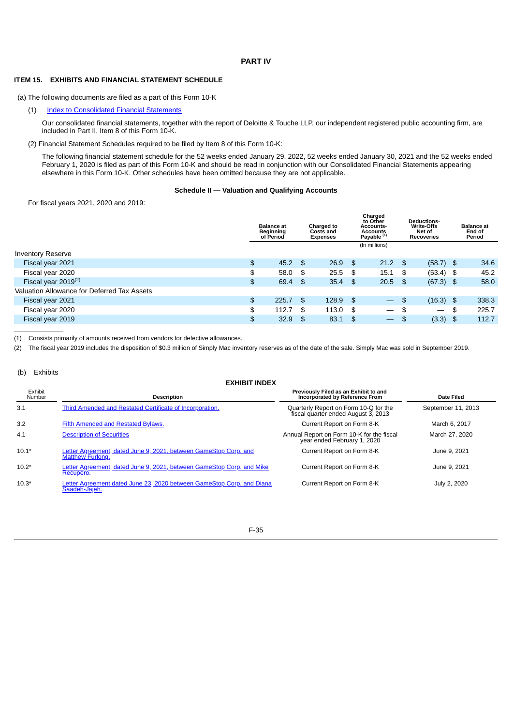# **PART IV**

# **ITEM 15. EXHIBITS AND FINANCIAL STATEMENT SCHEDULE**

(a) The following documents are filed as a part of this Form 10-K

# (1) [Index to Consolidated Financial Statements](#page-30-0)

Our consolidated financial statements, together with the report of Deloitte & Touche LLP, our independent registered public accounting firm, are included in Part II, Item 8 of this Form 10-K.

(2) Financial Statement Schedules required to be filed by Item 8 of this Form 10-K:

The following financial statement schedule for the 52 weeks ended January 29, 2022, 52 weeks ended January 30, 2021 and the 52 weeks ended February 1, 2020 is filed as part of this Form 10-K and should be read in conjunction with our Consolidated Financial Statements appearing elsewhere in this Form 10-K. Other schedules have been omitted because they are not applicable.

#### **Schedule II — Valuation and Qualifying Accounts**

For fiscal years 2021, 2020 and 2019:

|                                             | <b>Balance</b> at<br><b>Beginning</b><br>of Period |      | <b>Charged to</b><br>Costs and<br><b>Expenses</b> | Charged<br>to Other<br><b>Accounts-</b><br>Accounts<br>Payable <sup>(1)</sup> | Deductions-<br><b>Write-Offs</b><br>Net of<br><b>Recoveries</b> | <b>Balance</b> at<br>End of<br>Period |
|---------------------------------------------|----------------------------------------------------|------|---------------------------------------------------|-------------------------------------------------------------------------------|-----------------------------------------------------------------|---------------------------------------|
|                                             |                                                    |      |                                                   | (In millions)                                                                 |                                                                 |                                       |
| <b>Inventory Reserve</b>                    |                                                    |      |                                                   |                                                                               |                                                                 |                                       |
| Fiscal year 2021                            | \$<br>45.2                                         | - \$ | 26.9                                              | \$<br>$21.2$ \$                                                               | $(58.7)$ \$                                                     | 34.6                                  |
| Fiscal year 2020                            | \$<br>58.0                                         | \$   | 25.5                                              | \$<br>15.1                                                                    | \$<br>$(53.4)$ \$                                               | 45.2                                  |
| Fiscal year $2019^{(2)}$                    | \$<br>69.4                                         | \$   | 35.4                                              | \$<br>$20.5$ \$                                                               | $(67.3)$ \$                                                     | 58.0                                  |
| Valuation Allowance for Deferred Tax Assets |                                                    |      |                                                   |                                                                               |                                                                 |                                       |
| Fiscal year 2021                            | \$<br>225.7                                        | \$   | 128.9                                             | \$<br>$\qquad \qquad -$                                                       | \$<br>$(16.3)$ \$                                               | 338.3                                 |
| Fiscal year 2020                            | \$<br>112.7                                        | \$   | 113.0                                             | \$<br>$\overline{\phantom{0}}$                                                | \$                                                              | \$<br>225.7                           |
| Fiscal year 2019                            | \$<br>32.9                                         | \$   | 83.1                                              | \$<br>$\overline{\phantom{0}}$                                                | \$<br>$(3.3)$ \$                                                | 112.7                                 |
|                                             |                                                    |      |                                                   |                                                                               |                                                                 |                                       |

(1) Consists primarily of amounts received from vendors for defective allowances.

(2) The fiscal year 2019 includes the disposition of \$0.3 million of Simply Mac inventory reserves as of the date of the sale. Simply Mac was sold in September 2019.

### (b) Exhibits

|                   | <b>EXHIBIT INDEX</b>                                                                        |                                                                              |                    |  |  |
|-------------------|---------------------------------------------------------------------------------------------|------------------------------------------------------------------------------|--------------------|--|--|
| Exhibit<br>Number | <b>Description</b>                                                                          | Previously Filed as an Exhibit to and<br>Incorporated by Reference From      | <b>Date Filed</b>  |  |  |
| 3.1               | Third Amended and Restated Certificate of Incorporation.                                    | Quarterly Report on Form 10-Q for the<br>fiscal quarter ended August 3, 2013 | September 11, 2013 |  |  |
| 3.2               | Fifth Amended and Restated Bylaws.                                                          | Current Report on Form 8-K                                                   | March 6, 2017      |  |  |
| 4.1               | <b>Description of Securities</b>                                                            | Annual Report on Form 10-K for the fiscal<br>year ended February 1, 2020     | March 27, 2020     |  |  |
| $10.1*$           | Letter Agreement, dated June 9, 2021, between GameStop Corp. and<br><b>Matthew Furlong.</b> | Current Report on Form 8-K                                                   | June 9, 2021       |  |  |
| $10.2*$           | Letter Agreement, dated June 9, 2021, between GameStop Corp. and Mike<br>Recupero.          | Current Report on Form 8-K                                                   | June 9, 2021       |  |  |
| $10.3*$           | Letter Agreement dated June 23, 2020 between GameStop Corp. and Diana<br>Saadeh-Jajeh.      | Current Report on Form 8-K                                                   | July 2, 2020       |  |  |

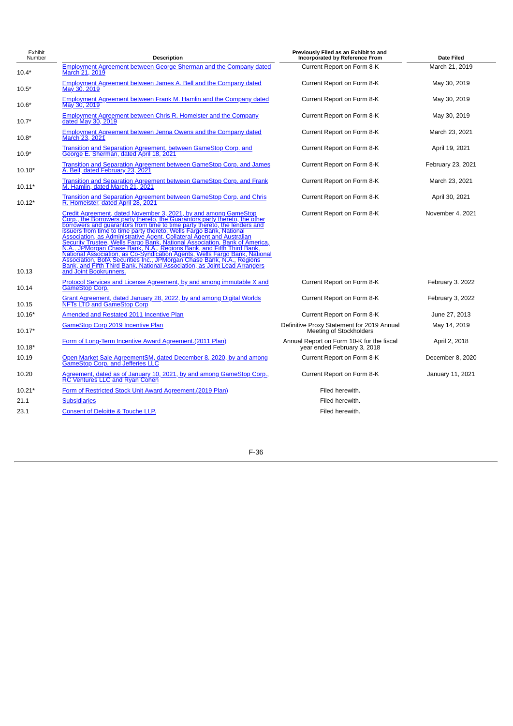| Exhibit<br>Number | <b>Description</b>                                                                                                                                                                                                                                                                                                                                                                                                                                                                                                                                                                                                                                                                                                                                                                             | Previously Filed as an Exhibit to and<br>Incorporated by Reference From  | <b>Date Filed</b> |
|-------------------|------------------------------------------------------------------------------------------------------------------------------------------------------------------------------------------------------------------------------------------------------------------------------------------------------------------------------------------------------------------------------------------------------------------------------------------------------------------------------------------------------------------------------------------------------------------------------------------------------------------------------------------------------------------------------------------------------------------------------------------------------------------------------------------------|--------------------------------------------------------------------------|-------------------|
| $10.4*$           | <b>Employment Agreement between George Sherman and the Company dated</b><br>March 21, 2019                                                                                                                                                                                                                                                                                                                                                                                                                                                                                                                                                                                                                                                                                                     | Current Report on Form 8-K                                               | March 21, 2019    |
| $10.5*$           | Employment Agreement between James A. Bell and the Company dated<br>May 30, 2019                                                                                                                                                                                                                                                                                                                                                                                                                                                                                                                                                                                                                                                                                                               | Current Report on Form 8-K                                               | May 30, 2019      |
| $10.6*$           | Employment Agreement between Frank M. Hamlin and the Company dated<br>May 30, 2019                                                                                                                                                                                                                                                                                                                                                                                                                                                                                                                                                                                                                                                                                                             | Current Report on Form 8-K                                               | May 30, 2019      |
| $10.7*$           | <b>Employment Agreement between Chris R. Homeister and the Company</b><br>dated May 30, 2019                                                                                                                                                                                                                                                                                                                                                                                                                                                                                                                                                                                                                                                                                                   | Current Report on Form 8-K                                               | May 30, 2019      |
| $10.8*$           | <b>Employment Agreement between Jenna Owens and the Company dated</b><br>March 23, 2021                                                                                                                                                                                                                                                                                                                                                                                                                                                                                                                                                                                                                                                                                                        | Current Report on Form 8-K                                               | March 23, 2021    |
| $10.9*$           | Transition and Separation Agreement, between GameStop Corp. and<br>George E. Sherman, dated April 18, 2021                                                                                                                                                                                                                                                                                                                                                                                                                                                                                                                                                                                                                                                                                     | Current Report on Form 8-K                                               | April 19, 2021    |
| $10.10*$          | Transition and Separation Agreement between GameStop Corp. and James<br>A. Bell. dated February 23, 2021                                                                                                                                                                                                                                                                                                                                                                                                                                                                                                                                                                                                                                                                                       | Current Report on Form 8-K                                               | February 23, 2021 |
| $10.11*$          | Transition and Separation Agreement between GameStop Corp. and Frank<br>M. Hamlin, dated March 21, 2021                                                                                                                                                                                                                                                                                                                                                                                                                                                                                                                                                                                                                                                                                        | Current Report on Form 8-K                                               | March 23, 2021    |
| $10.12*$          | Transition and Separation Agreement between GameStop Corp. and Chris<br>R. Homeister, dated April 28, 2021                                                                                                                                                                                                                                                                                                                                                                                                                                                                                                                                                                                                                                                                                     | Current Report on Form 8-K                                               | April 30, 2021    |
| 10.13             | Credit Agreement, dated November 3, 2021, by and among GameStop<br>Corp., the Borrowers party thereto, the Guarantors party thereto, the other<br>borrowers and quarantors from time to time party thereto, the lenders and<br>issuers from time to time party thereto, Wells Fargo Bank, National<br>Association, as Administrative Agent, Collateral Agent and Australian<br>Security Trustee, Wells Fargo Bank, National Association, Bank of America,<br>N.A., JPMorgan Chase Bank, N.A., Regions Bank, and Fifth Third Bank<br>National Association, as Co-Syndication Agents, Wells Fargo Bank, National<br>Association, BofA Securities Inc., JPMorgan Chase Bank, N.A., Regions<br>Bank, and Fifth Third Bank, National Association, as Joint Lead Arrangers<br>and Joint Bookrunners. | Current Report on Form 8-K                                               | November 4, 2021  |
| 10.14             | Protocol Services and License Agreement, by and among immutable X and<br>GameStop Corp.                                                                                                                                                                                                                                                                                                                                                                                                                                                                                                                                                                                                                                                                                                        | Current Report on Form 8-K                                               | February 3. 2022  |
| 10.15             | Grant Agreement, dated January 28, 2022, by and among Digital Worlds<br><b>NFTs LTD and GameStop Corp</b>                                                                                                                                                                                                                                                                                                                                                                                                                                                                                                                                                                                                                                                                                      | Current Report on Form 8-K                                               | February 3, 2022  |
| $10.16*$          | Amended and Restated 2011 Incentive Plan                                                                                                                                                                                                                                                                                                                                                                                                                                                                                                                                                                                                                                                                                                                                                       | Current Report on Form 8-K                                               | June 27, 2013     |
| $10.17*$          | <b>GameStop Corp 2019 Incentive Plan</b>                                                                                                                                                                                                                                                                                                                                                                                                                                                                                                                                                                                                                                                                                                                                                       | Definitive Proxy Statement for 2019 Annual<br>Meeting of Stockholders    | May 14, 2019      |
| $10.18*$          | Form of Long-Term Incentive Award Agreement. (2011 Plan)                                                                                                                                                                                                                                                                                                                                                                                                                                                                                                                                                                                                                                                                                                                                       | Annual Report on Form 10-K for the fiscal<br>year ended February 3, 2018 | April 2, 2018     |
| 10.19             | Open Market Sale AgreementSM, dated December 8, 2020, by and among<br>GameStop Corp. and Jefferies LLC                                                                                                                                                                                                                                                                                                                                                                                                                                                                                                                                                                                                                                                                                         | Current Report on Form 8-K                                               | December 8, 2020  |
| 10.20             | Agreement, dated as of January 10, 2021, by and among GameStop Corp.,<br><b>RC Ventures LLC and Ryan Cohen</b>                                                                                                                                                                                                                                                                                                                                                                                                                                                                                                                                                                                                                                                                                 | Current Report on Form 8-K                                               | January 11, 2021  |
| $10.21*$          | Form of Restricted Stock Unit Award Agreement. (2019 Plan)                                                                                                                                                                                                                                                                                                                                                                                                                                                                                                                                                                                                                                                                                                                                     | Filed herewith.                                                          |                   |
| 21.1              | <b>Subsidiaries</b>                                                                                                                                                                                                                                                                                                                                                                                                                                                                                                                                                                                                                                                                                                                                                                            | Filed herewith.                                                          |                   |
| 23.1              | Consent of Deloitte & Touche LLP.                                                                                                                                                                                                                                                                                                                                                                                                                                                                                                                                                                                                                                                                                                                                                              | Filed herewith.                                                          |                   |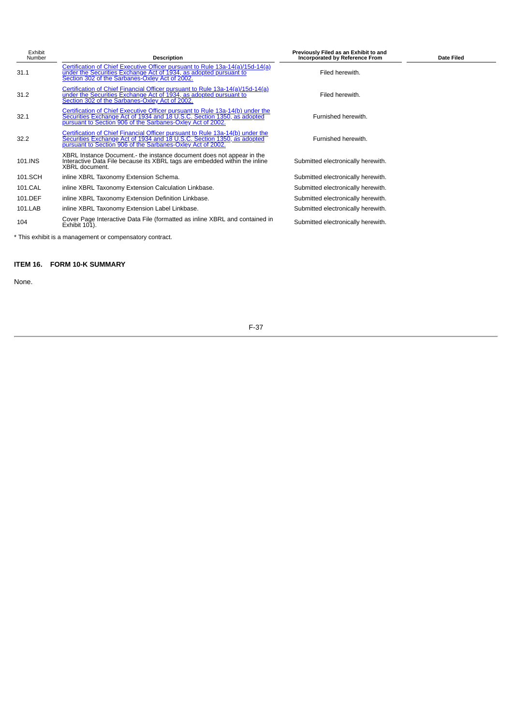| Exhibit<br>Number | <b>Description</b>                                                                                                                                                                                                    | Previously Filed as an Exhibit to and<br>Incorporated by Reference From | <b>Date Filed</b> |
|-------------------|-----------------------------------------------------------------------------------------------------------------------------------------------------------------------------------------------------------------------|-------------------------------------------------------------------------|-------------------|
| 31.1              | Certification of Chief Executive Officer pursuant to Rule 13a-14(a)/15d-14(a)<br>under the Securities Exchange Act of 1934, as adopted pursuant to<br>Section 302 of the Sarbanes-Oxley Act of 2002.                  | Filed herewith.                                                         |                   |
| 31.2              | Certification of Chief Financial Officer pursuant to Rule 13a-14(a)/15d-14(a)<br>under the Securities Exchange Act of 1934, as adopted pursuant to<br>Section 302 of the Sarbanes-Oxley Act of 2002.                  | Filed herewith.                                                         |                   |
| 32.1              | Certification of Chief Executive Officer pursuant to Rule 13a-14(b) under the<br>Securities Exchange Act of 1934 and 18 U.S.C. Section 1350, as adopted<br>pursuant to Section 906 of the Sarbanes-Oxley Act of 2002. | Furnished herewith.                                                     |                   |
| 32.2              | Certification of Chief Financial Officer pursuant to Rule 13a-14(b) under the<br>Securities Exchange Act of 1934 and 18 U.S.C. Section 1350, as adopted<br>pursuant to Section 906 of the Sarbanes-Oxley Act of 2002. | Furnished herewith.                                                     |                   |
| 101.INS           | XBRL Instance Document.- the instance document does not appear in the<br>Interactive Data File because its XBRL tags are embedded within the inline<br>XBRL document.                                                 | Submitted electronically herewith.                                      |                   |
| 101.SCH           | inline XBRL Taxonomy Extension Schema.                                                                                                                                                                                | Submitted electronically herewith.                                      |                   |
| 101.CAL           | inline XBRL Taxonomy Extension Calculation Linkbase.                                                                                                                                                                  | Submitted electronically herewith.                                      |                   |
| 101.DEF           | inline XBRL Taxonomy Extension Definition Linkbase.                                                                                                                                                                   | Submitted electronically herewith.                                      |                   |
| 101.LAB           | inline XBRL Taxonomy Extension Label Linkbase.                                                                                                                                                                        | Submitted electronically herewith.                                      |                   |
| 104               | Cover Page Interactive Data File (formatted as inline XBRL and contained in<br>Exhibit 101).                                                                                                                          | Submitted electronically herewith.                                      |                   |
|                   | * This exhibit is a management or compensatory contract.                                                                                                                                                              |                                                                         |                   |

# **ITEM 16. FORM 10-K SUMMARY**

None.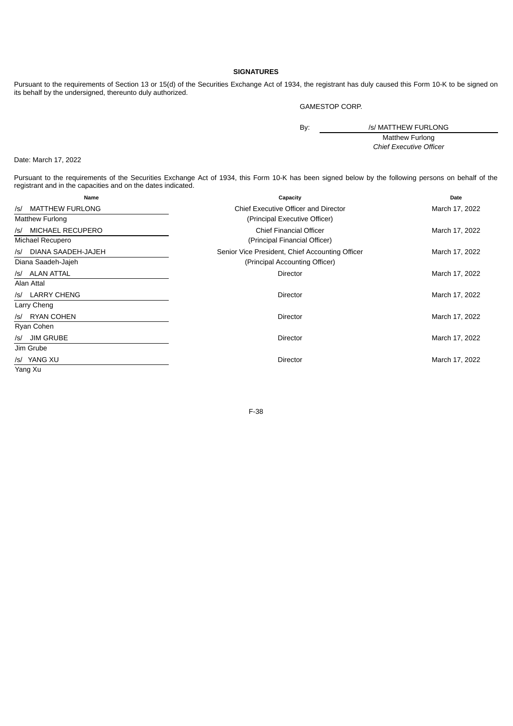# **SIGNATURES**

Pursuant to the requirements of Section 13 or 15(d) of the Securities Exchange Act of 1934, the registrant has duly caused this Form 10-K to be signed on its behalf by the undersigned, thereunto duly authorized.

GAMESTOP CORP.

By: /s/ MATTHEW FURLONG

Matthew Furlong

*Chief Executive Officer*

Date: March 17, 2022

Pursuant to the requirements of the Securities Exchange Act of 1934, this Form 10-K has been signed below by the following persons on behalf of the registrant and in the capacities and on the dates indicated.

| Name                           | Capacity                                        | Date           |
|--------------------------------|-------------------------------------------------|----------------|
| <b>MATTHEW FURLONG</b><br>/s/  | <b>Chief Executive Officer and Director</b>     | March 17, 2022 |
| <b>Matthew Furlong</b>         | (Principal Executive Officer)                   |                |
| <b>MICHAEL RECUPERO</b><br>/s/ | <b>Chief Financial Officer</b>                  | March 17, 2022 |
| Michael Recupero               | (Principal Financial Officer)                   |                |
| DIANA SAADEH-JAJEH<br>/s/      | Senior Vice President, Chief Accounting Officer | March 17, 2022 |
| Diana Saadeh-Jajeh             | (Principal Accounting Officer)                  |                |
| /s/ ALAN ATTAL                 | Director                                        | March 17, 2022 |
| Alan Attal                     |                                                 |                |
| <b>LARRY CHENG</b><br>/s/      | Director                                        | March 17, 2022 |
| Larry Cheng                    |                                                 |                |
| <b>RYAN COHEN</b><br>/s/       | <b>Director</b>                                 | March 17, 2022 |
| Ryan Cohen                     |                                                 |                |
| <b>JIM GRUBE</b><br>/s/        | Director                                        | March 17, 2022 |
| Jim Grube                      |                                                 |                |
| /s/ YANG XU                    | Director                                        | March 17, 2022 |
| Yang Xu                        |                                                 |                |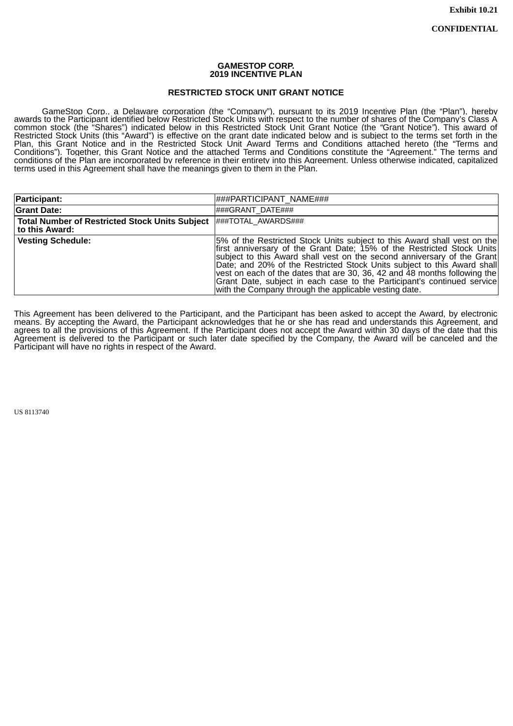## **GAMESTOP CORP. 2019 INCENTIVE PLAN**

## **RESTRICTED STOCK UNIT GRANT NOTICE**

<span id="page-69-0"></span>GameStop Corp., a Delaware corporation (the "Company"), pursuant to its 2019 Incentive Plan (the "Plan"), hereby awards to the Participant identified below Restricted Stock Units with respect to the number of shares of the Company's Class A common stock (the "Shares") indicated below in this Restricted Stock Unit Grant Notice (the *"*Grant Notice*"*). This award of Restricted Stock Units (this "Award") is effective on the grant date indicated below and is subject to the terms set forth in the Plan, this Grant Notice and in the Restricted Stock Unit Award Terms and Conditions attached hereto (the "Terms and Conditions"). Together, this Grant Notice and the attached Terms and Conditions constitute the "Agreement." The terms and conditions of the Plan are incorporated by reference in their entirety into this Agreement. Unless otherwise indicated, capitalized terms used in this Agreement shall have the meanings given to them in the Plan.

| Participant:                                                            | ###PARTICIPANT NAME###                                                                                                                                                                                                                                                                                                                                                                                                                                                                                                    |
|-------------------------------------------------------------------------|---------------------------------------------------------------------------------------------------------------------------------------------------------------------------------------------------------------------------------------------------------------------------------------------------------------------------------------------------------------------------------------------------------------------------------------------------------------------------------------------------------------------------|
| <b>Grant Date:</b>                                                      | ###GRANT DATE###                                                                                                                                                                                                                                                                                                                                                                                                                                                                                                          |
| <b>Total Number of Restricted Stock Units Subject</b><br>to this Award: | ###TOTAL AWARDS###                                                                                                                                                                                                                                                                                                                                                                                                                                                                                                        |
| <b>Vesting Schedule:</b>                                                | 5% of the Restricted Stock Units subject to this Award shall vest on the<br>first anniversary of the Grant Date; 15% of the Restricted Stock Units<br>subject to this Award shall vest on the second anniversary of the Grant<br>Date; and 20% of the Restricted Stock Units subject to this Award shall<br>vest on each of the dates that are 30, 36, 42 and 48 months following the<br>Grant Date, subject in each case to the Participant's continued service<br>with the Company through the applicable vesting date. |

This Agreement has been delivered to the Participant, and the Participant has been asked to accept the Award, by electronic means. By accepting the Award, the Participant acknowledges that he or she has read and understands this Agreement, and agrees to all the provisions of this Agreement. If the Participant does not accept the Award within 30 days of the date that this Agreement is delivered to the Participant or such later date specified by the Company, the Award will be canceled and the Participant will have no rights in respect of the Award.

US 8113740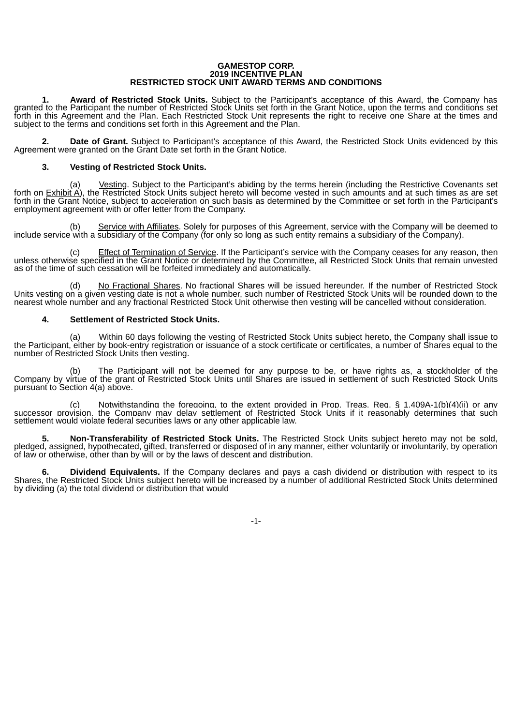### **GAMESTOP CORP. 2019 INCENTIVE PLAN RESTRICTED STOCK UNIT AWARD TERMS AND CONDITIONS**

**1. Award of Restricted Stock Units.** Subject to the Participant's acceptance of this Award, the Company has granted to the Participant the number of Restricted Stock Units set forth in the Grant Notice, upon the terms and conditions set forth in this Agreement and the Plan. Each Restricted Stock Unit represents the right to receive one Share at the times and subject to the terms and conditions set forth in this Agreement and the Plan.

**2. Date of Grant.** Subject to Participant's acceptance of this Award, the Restricted Stock Units evidenced by this Agreement were granted on the Grant Date set forth in the Grant Notice.

# **3. Vesting of Restricted Stock Units.**

(a) <u>Vesting</u>. Subject to the Participant's abiding by the terms herein (including the Restrictive Covenants set forth on <u>Exhibit A),</u> the Restricted Stock Units subject hereto will become vested in such amounts and at such times as are set forth in the Grant Notice, subject to acceleration on such basis as determined by the Committee or set forth in the Participant's employment agreement with or offer letter from the Company.

(b) Service with Affiliates. Solely for purposes of this Agreement, service with the Company will be deemed to include service with a subsidiary of the Company (for only so long as such entity remains a subsidiary of the Company).

(c) Effect of Termination of Service. If the Participant's service with the Company ceases for any reason, then unless otherwise specified in the Grant Notice or determined by the Committee, all Restricted Stock Units that remain unvested as of the time of such cessation will be forfeited immediately and automatically.

No Fractional Shares. No fractional Shares will be issued hereunder. If the number of Restricted Stock Units vesting on a given vesting date is not a whole number, such number of Restricted Stock Units will be rounded down to the nearest whole number and any fractional Restricted Stock Unit otherwise then vesting will be cancelled without consideration.

# **4. Settlement of Restricted Stock Units.**

(a) Within 60 days following the vesting of Restricted Stock Units subject hereto, the Company shall issue to the Participant, either by book-entry registration or issuance of a stock certificate or certificates, a number of Shares equal to the number of Restricted Stock Units then vesting.

(b) The Participant will not be deemed for any purpose to be, or have rights as, a stockholder of the Company by virtue of the grant of Restricted Stock Units until Shares are issued in settlement of such Restricted Stock Units pursuant to Section 4(a) above.

(c) Notwithstanding the foregoing, to the extent provided in Prop. Treas. Reg. § 1.409A-1(b)(4)(ii) or any successor provision, the Company may delay settlement of Restricted Stock Units if it reasonably determines that such settlement would violate federal securities laws or any other applicable law.

**5. Non-Transferability of Restricted Stock Units.** The Restricted Stock Units subject hereto may not be sold, pledged, assigned, hypothecated, gifted, transferred or disposed of in any manner, either voluntarily or involuntarily, by operation of law or otherwise, other than by will or by the laws of descent and distribution.

**6. Dividend Equivalents.** If the Company declares and pays a cash dividend or distribution with respect to its Shares, the Restricted Stock Units subject hereto will be increased by a number of additional Restricted Stock Units determined by dividing (a) the total dividend or distribution that would

-1-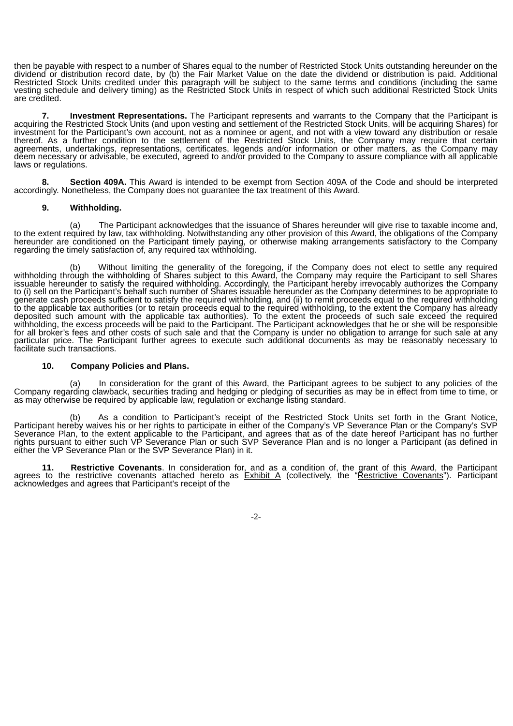then be payable with respect to a number of Shares equal to the number of Restricted Stock Units outstanding hereunder on the dividend or distribution record date, by (b) the Fair Market Value on the date the dividend or distribution is paid. Additional Restricted Stock Units credited under this paragraph will be subject to the same terms and conditions (including the same vesting schedule and delivery timing) as the Restricted Stock Units in respect of which such additional Restricted Stock Units are credited.

**7. Investment Representations.** The Participant represents and warrants to the Company that the Participant is acquiring the Restricted Stock Units (and upon vesting and settlement of the Restricted Stock Units, will be acquiring Shares) for investment for the Participant's own account, not as a nominee or agent, and not with a view toward any distribution or resale thereof. As a further condition to the settlement of the Restricted Stock Units, the Company may require that certain agreements, undertakings, representations, certificates, legends and/or information or other matters, as the Company may deem necessary or advisable, be executed, agreed to and/or provided to the Company to assure compliance with all applicable laws or regulations.

**8. Section 409A.** This Award is intended to be exempt from Section 409A of the Code and should be interpreted accordingly. Nonetheless, the Company does not guarantee the tax treatment of this Award.

## **9. Withholding.**

(a) The Participant acknowledges that the issuance of Shares hereunder will give rise to taxable income and, to the extent required by law, tax withholding. Notwithstanding any other provision of this Award, the obligations of the Company hereunder are conditioned on the Participant timely paying, or otherwise making arrangements satisfactory to the Company regarding the timely satisfaction of, any required tax withholding.

Without limiting the generality of the foregoing, if the Company does not elect to settle any required withholding through the withholding of Shares subject to this Award, the Company may require the Participant to sell Shares issuable hereunder to satisfy the required withholding. Accordingly, the Participant hereby irrevocably authorizes the Company to (i) sell on the Participant's behalf such number of Shares issuable hereunder as the Company determines to be appropriate to generate cash proceeds sufficient to satisfy the required withholding, and (ii) to remit proceeds equal to the required withholding to the applicable tax authorities (or to retain proceeds equal to the required withholding, to the extent the Company has already deposited such amount with the applicable tax authorities). To the extent the proceeds of such sale exceed the required withholding, the excess proceeds will be paid to the Participant. The Participant acknowledges that he or she will be responsible for all broker's fees and other costs of such sale and that the Company is under no obligation to arrange for such sale at any particular price. The Participant further agrees to execute such additional documents as may be reasonably necessary to facilitate such transactions.

# **10. Company Policies and Plans.**

In consideration for the grant of this Award, the Participant agrees to be subject to any policies of the Company regarding clawback, securities trading and hedging or pledging of securities as may be in effect from time to time, or as may otherwise be required by applicable law, regulation or exchange listing standard.

As a condition to Participant's receipt of the Restricted Stock Units set forth in the Grant Notice, Participant hereby waives his or her rights to participate in either of the Company's VP Severance Plan or the Company's SVP Severance Plan, to the extent applicable to the Participant, and agrees that as of the date hereof Participant has no further rights pursuant to either such VP Severance Plan or such SVP Severance Plan and is no longer a Participant (as defined in either the VP Severance Plan or the SVP Severance Plan) in it.

**11. Restrictive Covenants**. In consideration for, and as a condition of, the grant of this Award, the Participant agrees to the restrictive covenants attached hereto as Exhibit A (collectively, the "<u>Řestrictive Covenants</u>"). Participant acknowledges and agrees that Participant's receipt of the

-2-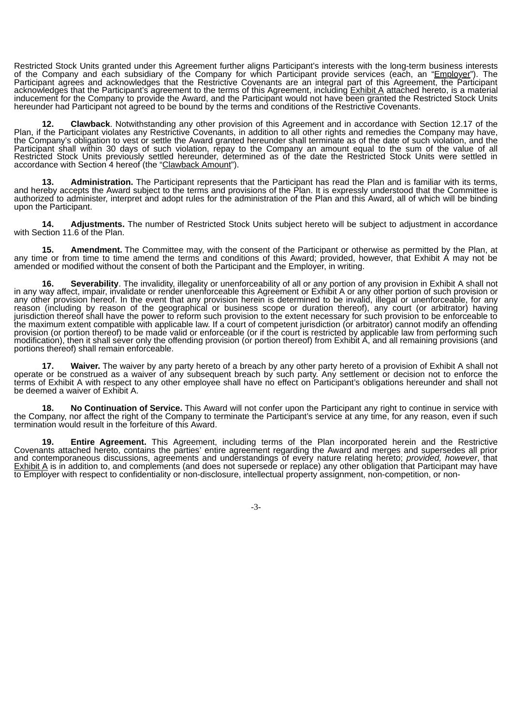Restricted Stock Units granted under this Agreement further aligns Participant's interests with the long-term business interests of the Company and each subsidiary of the Company for which Participant provide services (each, an "<u>Employer</u>"). The Participant agrees and acknowledges that the Restrictive Covenants are an integral part of this Agreement, the Participant acknowledges that the Participant's agreement to the terms of this Agreement, including Exhibit A attached hereto, is a material inducement for the Company to provide the Award, and the Participant would not have been granted the Restricted Stock Units hereunder had Participant not agreed to be bound by the terms and conditions of the Restrictive Covenants.

**12. Clawback**. Notwithstanding any other provision of this Agreement and in accordance with Section 12.17 of the Plan, if the Participant violates any Restrictive Covenants, in addition to all other rights and remedies the Company may have, the Company's obligation to vest or settle the Award granted hereunder shall terminate as of the date of such violation, and the Participant shall within 30 days of such violation, repay to the Company an amount equal to the sum of the value of all Restricted Stock Units previously settled hereunder, determined as of the date the Restricted Stock Units were settled in accordance with Section 4 hereof (the "Clawback Amount").

**13. Administration.** The Participant represents that the Participant has read the Plan and is familiar with its terms, and hereby accepts the Award subject to the terms and provisions of the Plan. It is expressly understood that the Committee is authorized to administer, interpret and adopt rules for the administration of the Plan and this Award, all of which will be binding upon the Participant.

**14. Adjustments.** The number of Restricted Stock Units subject hereto will be subject to adjustment in accordance with Section 11.6 of the Plan.

**15. Amendment.** The Committee may, with the consent of the Participant or otherwise as permitted by the Plan, at any time or from time to time amend the terms and conditions of this Award; provided, however, that Exhibit A may not be amended or modified without the consent of both the Participant and the Employer, in writing.

**16. Severability**. The invalidity, illegality or unenforceability of all or any portion of any provision in Exhibit A shall not in any way affect, impair, invalidate or render unenforceable this Agreement or Exhibit A or any other portion of such provision or any other provision hereof. In the event that any provision herein is determined to be invalid, illegal or unenforceable, for any reason (including by reason of the geographical or business scope or duration thereof), any court (or arbitrator) having jurisdiction thereof shall have the power to reform such provision to the extent necessary for such provision to be enforceable to the maximum extent compatible with applicable law. If a court of competent jurisdiction (or arbitrator) cannot modify an offending provision (or portion thereof) to be made valid or enforceable (or if the court is restricted by applicable law from performing such modification), then it shall sever only the offending provision (or portion thereof) from Exhibit A, and all remaining provisions (and portions thereof) shall remain enforceable.

**17. Waiver.** The waiver by any party hereto of a breach by any other party hereto of a provision of Exhibit A shall not operate or be construed as a waiver of any subsequent breach by such party. Any settlement or decision not to enforce the terms of Exhibit A with respect to any other employee shall have no effect on Participant's obligations hereunder and shall not be deemed a waiver of Exhibit A.

**18. No Continuation of Service.** This Award will not confer upon the Participant any right to continue in service with the Company, nor affect the right of the Company to terminate the Participant's service at any time, for any reason, even if such termination would result in the forfeiture of this Award.

**19. Entire Agreement.** This Agreement, including terms of the Plan incorporated herein and the Restrictive Covenants attached hereto, contains the parties' entire agreement regarding the Award and merges and supersedes all prior and contemporaneous discussions, agreements and understandings of every nature relating hereto; *provided, however*, that Exhibit A is in addition to, and complements (and does not supersede or replace) any other obligation that Participant may have to Employer with respect to confidentiality or non-disclosure, intellectual property assignment, non-competition, or non-

-3-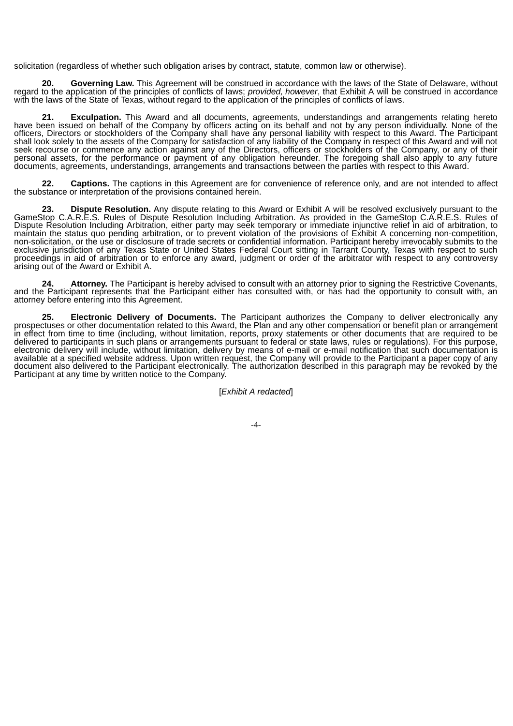solicitation (regardless of whether such obligation arises by contract, statute, common law or otherwise).

**20. Governing Law.** This Agreement will be construed in accordance with the laws of the State of Delaware, without regard to the application of the principles of conflicts of laws; *provided, however*, that Exhibit A will be construed in accordance with the laws of the State of Texas, without regard to the application of the principles of conflicts of laws.

**21. Exculpation.** This Award and all documents, agreements, understandings and arrangements relating hereto have been issued on behalf of the Company by officers acting on its behalf and not by any person individually. None of the officers, Directors or stockholders of the Company shall have any personal liability with respect to this Award. The Participant shall look solely to the assets of the Company for satisfaction of any liability of the Company in respect of this Award and will not seek recourse or commence any action against any of the Directors, officers or stockholders of the Company, or any of their personal assets, for the performance or payment of any obligation hereunder. The foregoing shall also apply to any future documents, agreements, understandings, arrangements and transactions between the parties with respect to this Award.

**22. Captions.** The captions in this Agreement are for convenience of reference only, and are not intended to affect the substance or interpretation of the provisions contained herein.

**23. Dispute Resolution.** Any dispute relating to this Award or Exhibit A will be resolved exclusively pursuant to the GameStop C.A.R.E.S. Rules of Dispute Resolution Including Arbitration. As provided in the GameStop C.A.R.E.S. Rules of Dispute Resolution Including Arbitration, either party may seek temporary or immediate injunctive relief in aid of arbitration, to maintain the status quo pending arbitration, or to prevent violation of the provisions of Exhibit A concerning non-competition, non-solicitation, or the use or disclosure of trade secrets or confidential information. Participant hereby irrevocably submits to the exclusive jurisdiction of any Texas State or United States Federal Court sitting in Tarrant County, Texas with respect to such proceedings in aid of arbitration or to enforce any award, judgment or order of the arbitrator with respect to any controversy arising out of the Award or Exhibit A.

**24. Attorney.** The Participant is hereby advised to consult with an attorney prior to signing the Restrictive Covenants, and the Participant represents that the Participant either has consulted with, or has had the opportunity to consult with, an attorney before entering into this Agreement.

**25. Electronic Delivery of Documents.** The Participant authorizes the Company to deliver electronically any prospectuses or other documentation related to this Award, the Plan and any other compensation or benefit plan or arrangement in effect from time to time (including, without limitation, reports, proxy statements or other documents that are required to be delivered to participants in such plans or arrangements pursuant to federal or state laws, rules or regulations). For this purpose, electronic delivery will include, without limitation, delivery by means of e-mail or e-mail notification that such documentation is available at a specified website address. Upon written request, the Company will provide to the Participant a paper copy of any document also delivered to the Participant electronically. The authorization described in this paragraph may be revoked by the Participant at any time by written notice to the Company.

[*Exhibit A redacted*]

-4-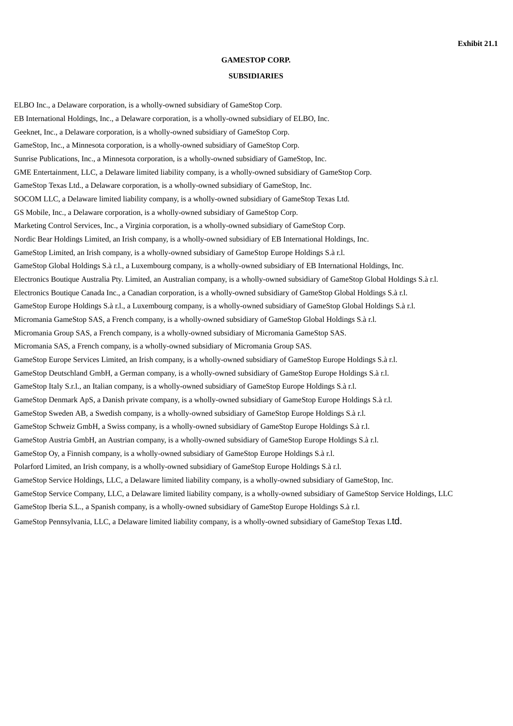#### **GAMESTOP CORP.**

#### **SUBSIDIARIES**

ELBO Inc., a Delaware corporation, is a wholly-owned subsidiary of GameStop Corp. EB International Holdings, Inc., a Delaware corporation, is a wholly-owned subsidiary of ELBO, Inc. Geeknet, Inc., a Delaware corporation, is a wholly-owned subsidiary of GameStop Corp. GameStop, Inc., a Minnesota corporation, is a wholly-owned subsidiary of GameStop Corp. Sunrise Publications, Inc., a Minnesota corporation, is a wholly-owned subsidiary of GameStop, Inc. GME Entertainment, LLC, a Delaware limited liability company, is a wholly-owned subsidiary of GameStop Corp. GameStop Texas Ltd., a Delaware corporation, is a wholly-owned subsidiary of GameStop, Inc. SOCOM LLC, a Delaware limited liability company, is a wholly-owned subsidiary of GameStop Texas Ltd. GS Mobile, Inc., a Delaware corporation, is a wholly-owned subsidiary of GameStop Corp. Marketing Control Services, Inc., a Virginia corporation, is a wholly-owned subsidiary of GameStop Corp. Nordic Bear Holdings Limited, an Irish company, is a wholly-owned subsidiary of EB International Holdings, Inc. GameStop Limited, an Irish company, is a wholly-owned subsidiary of GameStop Europe Holdings S.à r.l. GameStop Global Holdings S.à r.l., a Luxembourg company, is a wholly-owned subsidiary of EB International Holdings, Inc. Electronics Boutique Australia Pty. Limited, an Australian company, is a wholly-owned subsidiary of GameStop Global Holdings S.à r.l. Electronics Boutique Canada Inc., a Canadian corporation, is a wholly-owned subsidiary of GameStop Global Holdings S.à r.l. GameStop Europe Holdings S.à r.l., a Luxembourg company, is a wholly-owned subsidiary of GameStop Global Holdings S.à r.l. Micromania GameStop SAS, a French company, is a wholly-owned subsidiary of GameStop Global Holdings S.à r.l. Micromania Group SAS, a French company, is a wholly-owned subsidiary of Micromania GameStop SAS. Micromania SAS, a French company, is a wholly-owned subsidiary of Micromania Group SAS. GameStop Europe Services Limited, an Irish company, is a wholly-owned subsidiary of GameStop Europe Holdings S.à r.l. GameStop Deutschland GmbH, a German company, is a wholly-owned subsidiary of GameStop Europe Holdings S.à r.l. GameStop Italy S.r.l., an Italian company, is a wholly-owned subsidiary of GameStop Europe Holdings S.à r.l. GameStop Denmark ApS, a Danish private company, is a wholly-owned subsidiary of GameStop Europe Holdings S.à r.l. GameStop Sweden AB, a Swedish company, is a wholly-owned subsidiary of GameStop Europe Holdings S.à r.l. GameStop Schweiz GmbH, a Swiss company, is a wholly-owned subsidiary of GameStop Europe Holdings S.à r.l. GameStop Austria GmbH, an Austrian company, is a wholly-owned subsidiary of GameStop Europe Holdings S.à r.l. GameStop Oy, a Finnish company, is a wholly-owned subsidiary of GameStop Europe Holdings S.à r.l. Polarford Limited, an Irish company, is a wholly-owned subsidiary of GameStop Europe Holdings S.à r.l. GameStop Service Holdings, LLC, a Delaware limited liability company, is a wholly-owned subsidiary of GameStop, Inc. GameStop Service Company, LLC, a Delaware limited liability company, is a wholly-owned subsidiary of GameStop Service Holdings, LLC GameStop Iberia S.L., a Spanish company, is a wholly-owned subsidiary of GameStop Europe Holdings S.à r.l. GameStop Pennsylvania, LLC, a Delaware limited liability company, is a wholly-owned subsidiary of GameStop Texas Ltd.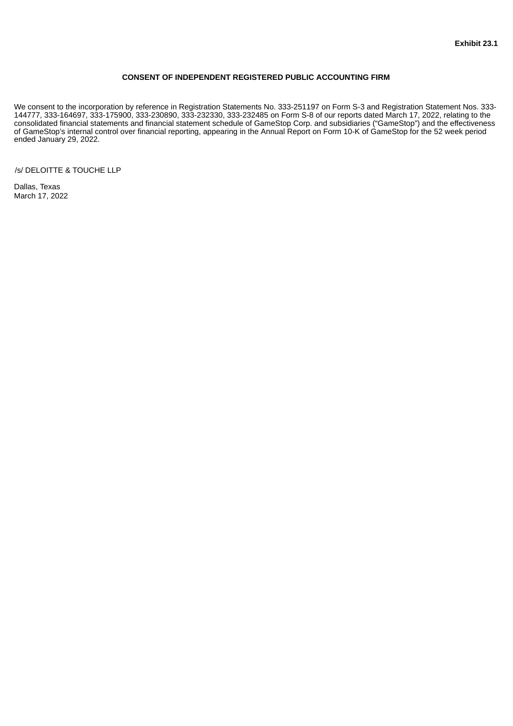# **CONSENT OF INDEPENDENT REGISTERED PUBLIC ACCOUNTING FIRM**

We consent to the incorporation by reference in Registration Statements No. 333-251197 on Form S-3 and Registration Statement Nos. 333- 144777, 333-164697, 333-175900, 333-230890, 333-232330, 333-232485 on Form S-8 of our reports dated March 17, 2022, relating to the consolidated financial statements and financial statement schedule of GameStop Corp. and subsidiaries ("GameStop") and the effectiveness of GameStop's internal control over financial reporting, appearing in the Annual Report on Form 10-K of GameStop for the 52 week period ended January 29, 2022.

/s/ DELOITTE & TOUCHE LLP

Dallas, Texas March 17, 2022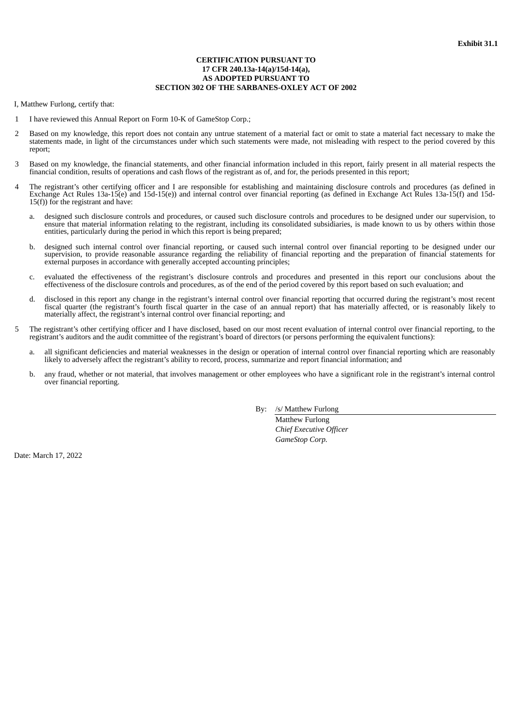# **CERTIFICATION PURSUANT TO 17 CFR 240.13a-14(a)/15d-14(a), AS ADOPTED PURSUANT TO SECTION 302 OF THE SARBANES-OXLEY ACT OF 2002**

I, Matthew Furlong, certify that:

- 1 I have reviewed this Annual Report on Form 10-K of GameStop Corp.;
- 2 Based on my knowledge, this report does not contain any untrue statement of a material fact or omit to state a material fact necessary to make the statements made, in light of the circumstances under which such statements were made, not misleading with respect to the period covered by this report;
- 3 Based on my knowledge, the financial statements, and other financial information included in this report, fairly present in all material respects the financial condition, results of operations and cash flows of the registrant as of, and for, the periods presented in this report;
- The registrant's other certifying officer and I are responsible for establishing and maintaining disclosure controls and procedures (as defined in Exchange Act Rules 13a-15(e) and 15d-15(e)) and internal control over financial reporting (as defined in Exchange Act Rules 13a-15(f) and 15d- $15(f)$ ) for the registrant and have:
	- a. designed such disclosure controls and procedures, or caused such disclosure controls and procedures to be designed under our supervision, to ensure that material information relating to the registrant, including its consolidated subsidiaries, is made known to us by others within those entities, particularly during the period in which this report is being prepared;
	- b. designed such internal control over financial reporting, or caused such internal control over financial reporting to be designed under our supervision, to provide reasonable assurance regarding the reliability of financial reporting and the preparation of financial statements for external purposes in accordance with generally accepted accounting principles;
	- c. evaluated the effectiveness of the registrant's disclosure controls and procedures and presented in this report our conclusions about the effectiveness of the disclosure controls and procedures, as of the end of the period covered by this report based on such evaluation; and
	- d. disclosed in this report any change in the registrant's internal control over financial reporting that occurred during the registrant's most recent fiscal quarter (the registrant's fourth fiscal quarter in the case of an annual report) that has materially affected, or is reasonably likely to materially affect, the registrant's internal control over financial reporting; and
- 5 The registrant's other certifying officer and I have disclosed, based on our most recent evaluation of internal control over financial reporting, to the registrant's auditors and the audit committee of the registrant's board of directors (or persons performing the equivalent functions):
	- a. all significant deficiencies and material weaknesses in the design or operation of internal control over financial reporting which are reasonably likely to adversely affect the registrant's ability to record, process, summarize and report financial information; and
	- b. any fraud, whether or not material, that involves management or other employees who have a significant role in the registrant's internal control over financial reporting.

By: /s/ Matthew Furlong

Matthew Furlong *Chief Executive Officer GameStop Corp.*

Date: March 17, 2022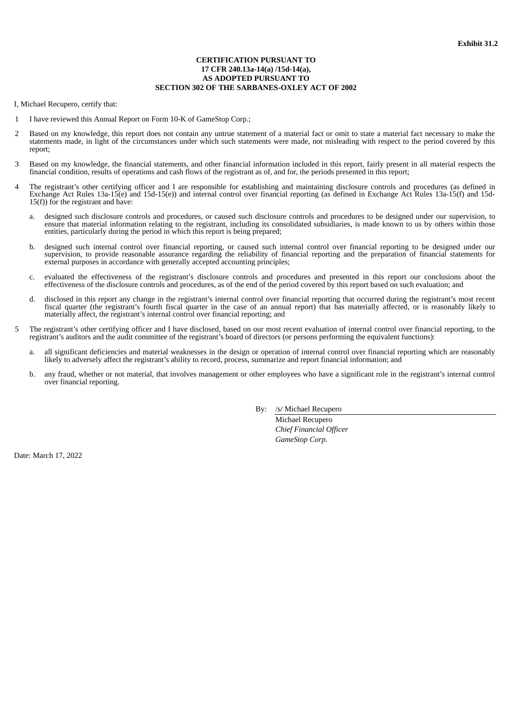## **CERTIFICATION PURSUANT TO 17 CFR 240.13a-14(a) /15d-14(a), AS ADOPTED PURSUANT TO SECTION 302 OF THE SARBANES-OXLEY ACT OF 2002**

I, Michael Recupero, certify that:

- 1 I have reviewed this Annual Report on Form 10-K of GameStop Corp.;
- 2 Based on my knowledge, this report does not contain any untrue statement of a material fact or omit to state a material fact necessary to make the statements made, in light of the circumstances under which such statements were made, not misleading with respect to the period covered by this report;
- 3 Based on my knowledge, the financial statements, and other financial information included in this report, fairly present in all material respects the financial condition, results of operations and cash flows of the registrant as of, and for, the periods presented in this report;
- The registrant's other certifying officer and I are responsible for establishing and maintaining disclosure controls and procedures (as defined in Exchange Act Rules 13a-15(e) and 15d-15(e)) and internal control over financial reporting (as defined in Exchange Act Rules 13a-15(f) and 15d- $15(f)$ ) for the registrant and have:
	- a. designed such disclosure controls and procedures, or caused such disclosure controls and procedures to be designed under our supervision, to ensure that material information relating to the registrant, including its consolidated subsidiaries, is made known to us by others within those entities, particularly during the period in which this report is being prepared;
	- b. designed such internal control over financial reporting, or caused such internal control over financial reporting to be designed under our supervision, to provide reasonable assurance regarding the reliability of financial reporting and the preparation of financial statements for external purposes in accordance with generally accepted accounting principles;
	- c. evaluated the effectiveness of the registrant's disclosure controls and procedures and presented in this report our conclusions about the effectiveness of the disclosure controls and procedures, as of the end of the period covered by this report based on such evaluation; and
	- d. disclosed in this report any change in the registrant's internal control over financial reporting that occurred during the registrant's most recent fiscal quarter (the registrant's fourth fiscal quarter in the case of an annual report) that has materially affected, or is reasonably likely to materially affect, the registrant's internal control over financial reporting; and
- 5 The registrant's other certifying officer and I have disclosed, based on our most recent evaluation of internal control over financial reporting, to the registrant's auditors and the audit committee of the registrant's board of directors (or persons performing the equivalent functions):
	- a. all significant deficiencies and material weaknesses in the design or operation of internal control over financial reporting which are reasonably likely to adversely affect the registrant's ability to record, process, summarize and report financial information; and
	- b. any fraud, whether or not material, that involves management or other employees who have a significant role in the registrant's internal control over financial reporting.

By: /s/ Michael Recupero

Michael Recupero *Chief Financial Officer GameStop Corp.*

Date: March 17, 2022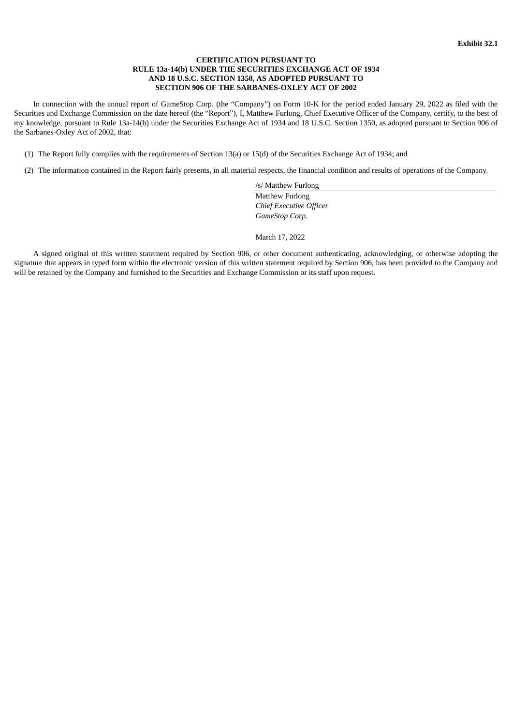### **CERTIFICATION PURSUANT TO RULE 13a-14(b) UNDER THE SECURITIES EXCHANGE ACT OF 1934 AND 18 U.S.C. SECTION 1350, AS ADOPTED PURSUANT TO SECTION 906 OF THE SARBANES-OXLEY ACT OF 2002**

In connection with the annual report of GameStop Corp. (the "Company") on Form 10-K for the period ended January 29, 2022 as filed with the Securities and Exchange Commission on the date hereof (the "Report"), I, Matthew Furlong, Chief Executive Officer of the Company, certify, to the best of my knowledge, pursuant to Rule 13a-14(b) under the Securities Exchange Act of 1934 and 18 U.S.C. Section 1350, as adopted pursuant to Section 906 of the Sarbanes-Oxley Act of 2002, that:

- (1) The Report fully complies with the requirements of Section 13(a) or 15(d) of the Securities Exchange Act of 1934; and
- (2) The information contained in the Report fairly presents, in all material respects, the financial condition and results of operations of the Company.

/s/ Matthew Furlong Matthew Furlong *Chief Executive Officer GameStop Corp.*

March 17, 2022

A signed original of this written statement required by Section 906, or other document authenticating, acknowledging, or otherwise adopting the signature that appears in typed form within the electronic version of this written statement required by Section 906, has been provided to the Company and will be retained by the Company and furnished to the Securities and Exchange Commission or its staff upon request.